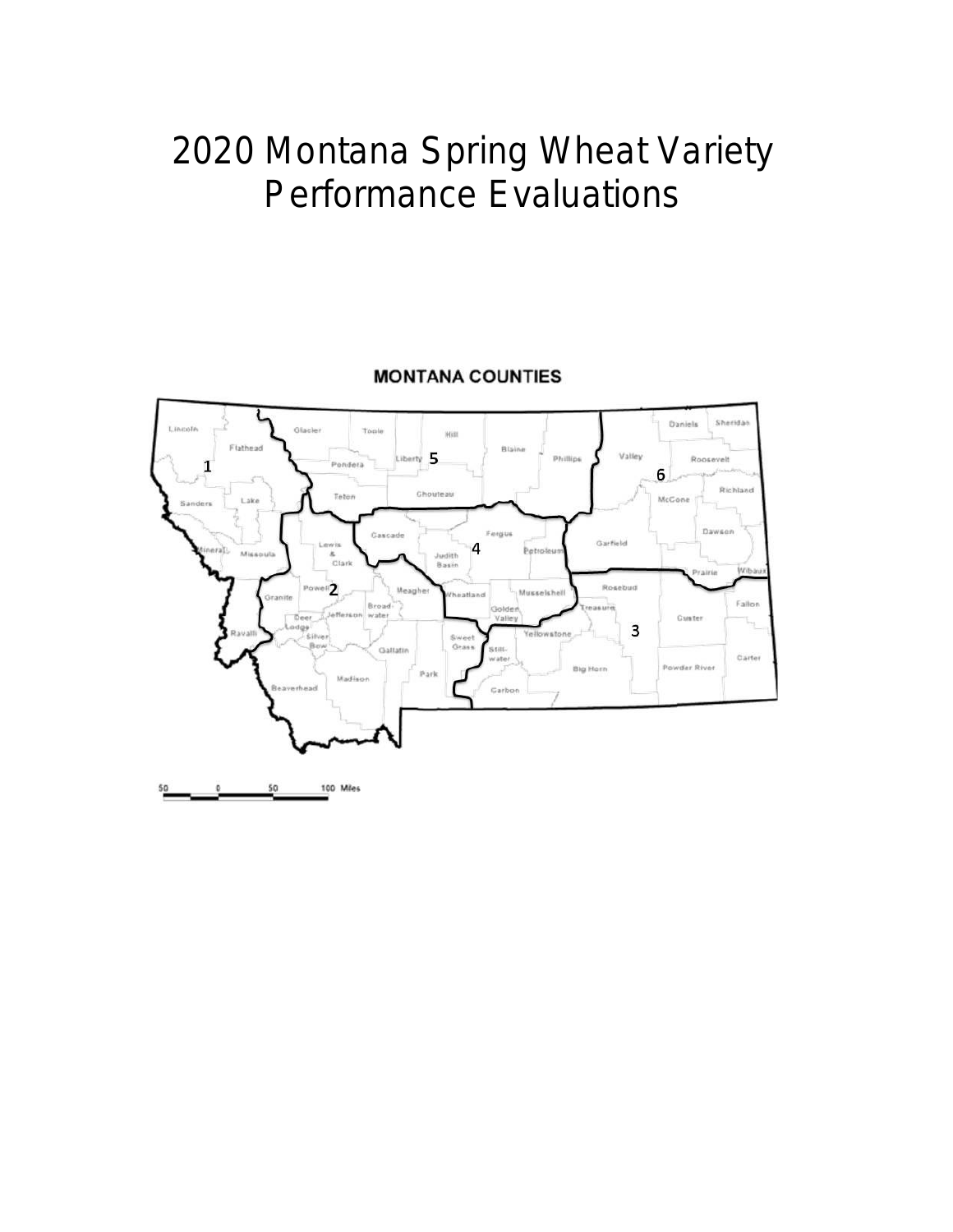# 2020 Montana Spring Wheat Variety Performance Evaluations



#### **MONTANA COUNTIES**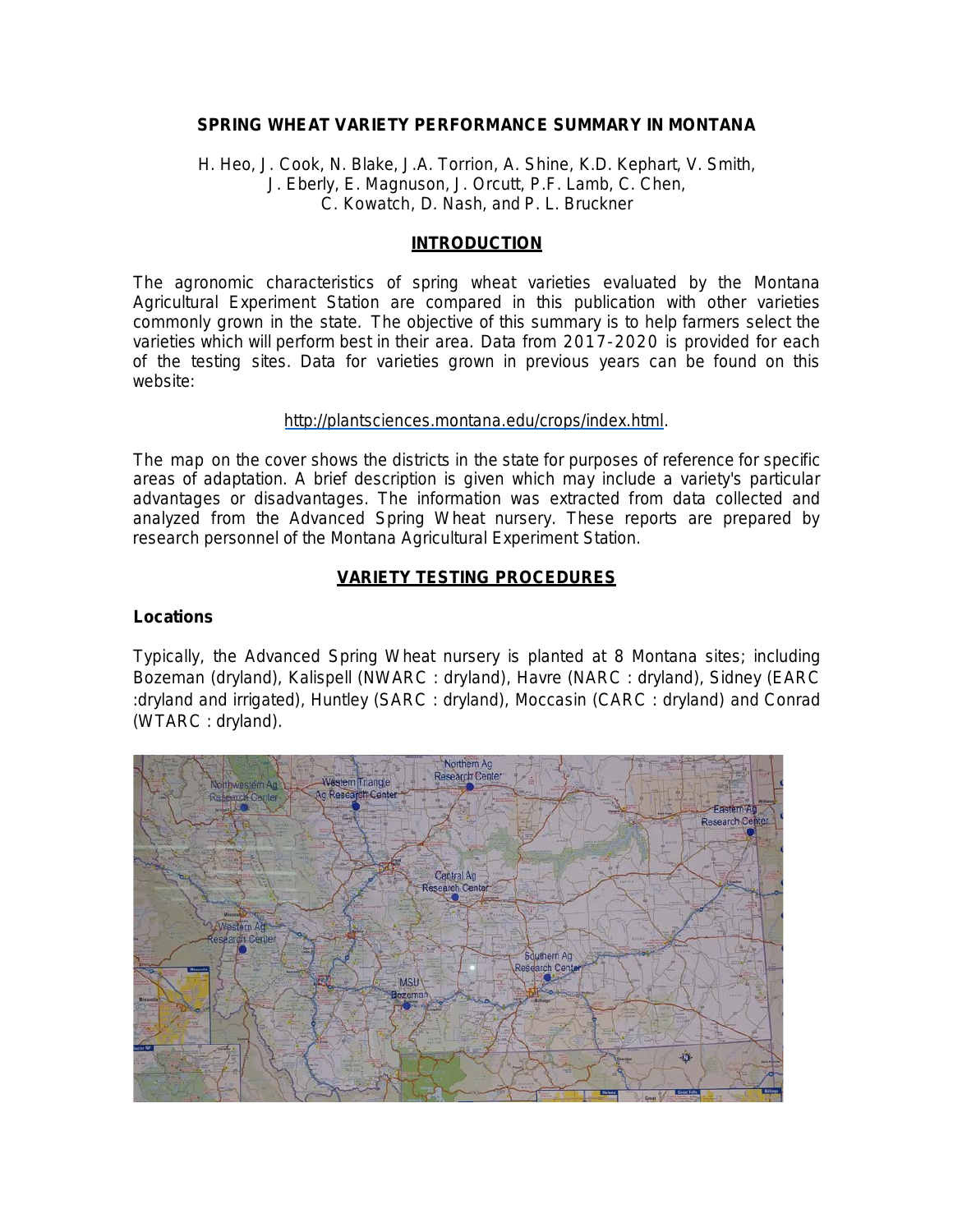#### **SPRING WHEAT VARIETY PERFORMANCE SUMMARY IN MONTANA**

H. Heo, J. Cook, N. Blake, J.A. Torrion, A. Shine, K.D. Kephart, V. Smith, J. Eberly, E. Magnuson, J. Orcutt, P.F. Lamb, C. Chen, C. Kowatch, D. Nash, and P. L. Bruckner

#### **INTRODUCTION**

The agronomic characteristics of spring wheat varieties evaluated by the Montana Agricultural Experiment Station are compared in this publication with other varieties commonly grown in the state. The objective of this summary is to help farmers select the varieties which will perform best in their area. Data from 2017-2020 is provided for each of the testing sites. Data for varieties grown in previous years can be found on this website:

#### [http://plantsciences.montana.edu/crops/index.html.](http://plantsciences.montana.edu/crops/index.html)

The map on the cover shows the districts in the state for purposes of reference for specific areas of adaptation. A brief description is given which may include a variety's particular advantages or disadvantages. The information was extracted from data collected and analyzed from the Advanced Spring Wheat nursery. These reports are prepared by research personnel of the Montana Agricultural Experiment Station.

#### **VARIETY TESTING PROCEDURES**

#### **Locations**

Typically, the Advanced Spring Wheat nursery is planted at 8 Montana sites; including Bozeman (dryland), Kalispell (NWARC : dryland), Havre (NARC : dryland), Sidney (EARC :dryland and irrigated), Huntley (SARC : dryland), Moccasin (CARC : dryland) and Conrad (WTARC : dryland).

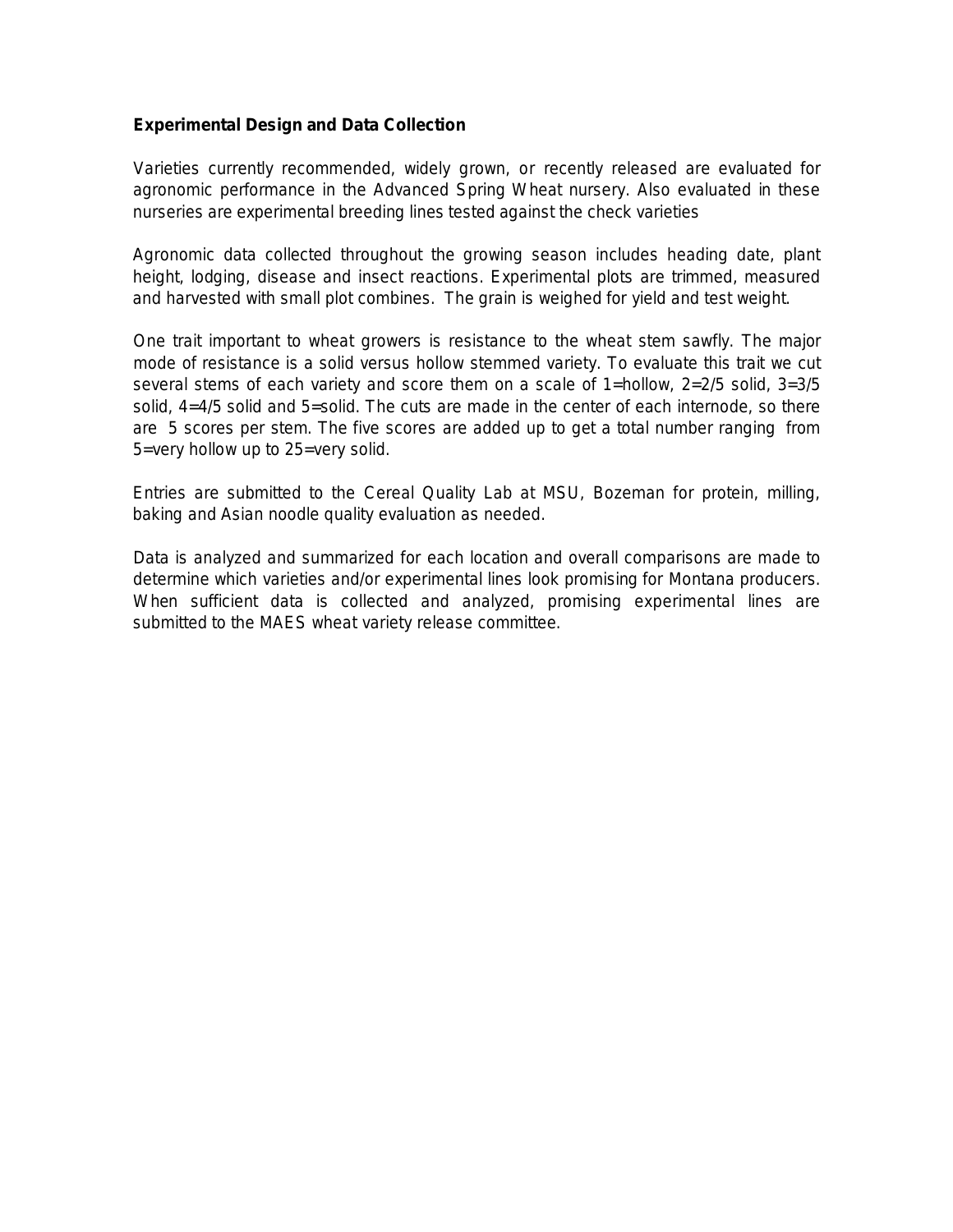#### **Experimental Design and Data Collection**

Varieties currently recommended, widely grown, or recently released are evaluated for agronomic performance in the Advanced Spring Wheat nursery. Also evaluated in these nurseries are experimental breeding lines tested against the check varieties

Agronomic data collected throughout the growing season includes heading date, plant height, lodging, disease and insect reactions. Experimental plots are trimmed, measured and harvested with small plot combines. The grain is weighed for yield and test weight.

One trait important to wheat growers is resistance to the wheat stem sawfly. The major mode of resistance is a solid versus hollow stemmed variety. To evaluate this trait we cut several stems of each variety and score them on a scale of 1=hollow, 2=2/5 solid, 3=3/5 solid, 4=4/5 solid and 5=solid. The cuts are made in the center of each internode, so there are 5 scores per stem. The five scores are added up to get a total number ranging from 5=very hollow up to 25=very solid.

Entries are submitted to the Cereal Quality Lab at MSU, Bozeman for protein, milling, baking and Asian noodle quality evaluation as needed.

Data is analyzed and summarized for each location and overall comparisons are made to determine which varieties and/or experimental lines look promising for Montana producers. When sufficient data is collected and analyzed, promising experimental lines are submitted to the MAES wheat variety release committee.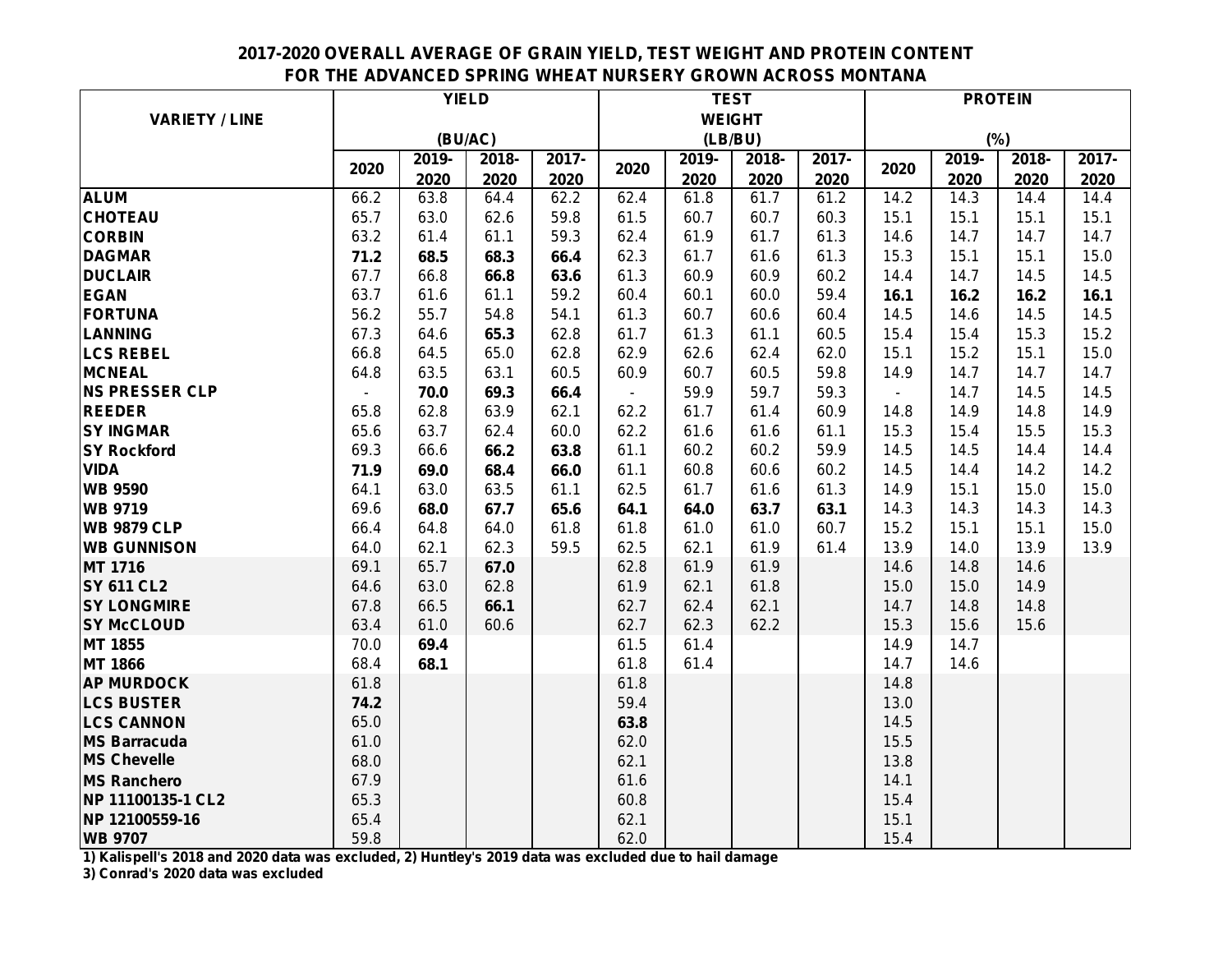## **2017-2020 OVERALL AVERAGE OF GRAIN YIELD, TEST WEIGHT AND PROTEIN CONTENT FOR THE ADVANCED SPRING WHEAT NURSERY GROWN ACROSS MONTANA**

|                       |      | <b>YIELD</b> |       | <b>TEST</b> |                |               |         | <b>PROTEIN</b> |                          |       |       |       |
|-----------------------|------|--------------|-------|-------------|----------------|---------------|---------|----------------|--------------------------|-------|-------|-------|
| <b>VARIETY / LINE</b> |      |              |       |             |                | <b>WEIGHT</b> |         |                |                          |       |       |       |
|                       |      | (BU/AC)      |       |             |                |               | (LB/BU) |                |                          |       | (%)   |       |
|                       |      | 2019-        | 2018- | 2017-       |                | 2019-         | 2018-   | 2017-          |                          | 2019- | 2018- | 2017- |
|                       | 2020 | 2020         | 2020  | 2020        | 2020           | 2020          | 2020    | 2020           | 2020                     | 2020  | 2020  | 2020  |
| <b>ALUM</b>           | 66.2 | 63.8         | 64.4  | 62.2        | 62.4           | 61.8          | 61.7    | 61.2           | 14.2                     | 14.3  | 14.4  | 14.4  |
| <b>CHOTEAU</b>        | 65.7 | 63.0         | 62.6  | 59.8        | 61.5           | 60.7          | 60.7    | 60.3           | 15.1                     | 15.1  | 15.1  | 15.1  |
| <b>CORBIN</b>         | 63.2 | 61.4         | 61.1  | 59.3        | 62.4           | 61.9          | 61.7    | 61.3           | 14.6                     | 14.7  | 14.7  | 14.7  |
| <b>DAGMAR</b>         | 71.2 | 68.5         | 68.3  | 66.4        | 62.3           | 61.7          | 61.6    | 61.3           | 15.3                     | 15.1  | 15.1  | 15.0  |
| <b>DUCLAIR</b>        | 67.7 | 66.8         | 66.8  | 63.6        | 61.3           | 60.9          | 60.9    | 60.2           | 14.4                     | 14.7  | 14.5  | 14.5  |
| <b>EGAN</b>           | 63.7 | 61.6         | 61.1  | 59.2        | 60.4           | 60.1          | 60.0    | 59.4           | 16.1                     | 16.2  | 16.2  | 16.1  |
| <b>FORTUNA</b>        | 56.2 | 55.7         | 54.8  | 54.1        | 61.3           | 60.7          | 60.6    | 60.4           | 14.5                     | 14.6  | 14.5  | 14.5  |
| <b>LANNING</b>        | 67.3 | 64.6         | 65.3  | 62.8        | 61.7           | 61.3          | 61.1    | 60.5           | 15.4                     | 15.4  | 15.3  | 15.2  |
| <b>LCS REBEL</b>      | 66.8 | 64.5         | 65.0  | 62.8        | 62.9           | 62.6          | 62.4    | 62.0           | 15.1                     | 15.2  | 15.1  | 15.0  |
| <b>MCNEAL</b>         | 64.8 | 63.5         | 63.1  | 60.5        | 60.9           | 60.7          | 60.5    | 59.8           | 14.9                     | 14.7  | 14.7  | 14.7  |
| <b>NS PRESSER CLP</b> |      | 70.0         | 69.3  | 66.4        | $\blacksquare$ | 59.9          | 59.7    | 59.3           | $\overline{\phantom{0}}$ | 14.7  | 14.5  | 14.5  |
| <b>REEDER</b>         | 65.8 | 62.8         | 63.9  | 62.1        | 62.2           | 61.7          | 61.4    | 60.9           | 14.8                     | 14.9  | 14.8  | 14.9  |
| <b>SY INGMAR</b>      | 65.6 | 63.7         | 62.4  | 60.0        | 62.2           | 61.6          | 61.6    | 61.1           | 15.3                     | 15.4  | 15.5  | 15.3  |
| <b>SY Rockford</b>    | 69.3 | 66.6         | 66.2  | 63.8        | 61.1           | 60.2          | 60.2    | 59.9           | 14.5                     | 14.5  | 14.4  | 14.4  |
| <b>VIDA</b>           | 71.9 | 69.0         | 68.4  | 66.0        | 61.1           | 60.8          | 60.6    | 60.2           | 14.5                     | 14.4  | 14.2  | 14.2  |
| <b>WB 9590</b>        | 64.1 | 63.0         | 63.5  | 61.1        | 62.5           | 61.7          | 61.6    | 61.3           | 14.9                     | 15.1  | 15.0  | 15.0  |
| <b>WB 9719</b>        | 69.6 | 68.0         | 67.7  | 65.6        | 64.1           | 64.0          | 63.7    | 63.1           | 14.3                     | 14.3  | 14.3  | 14.3  |
| <b>WB 9879 CLP</b>    | 66.4 | 64.8         | 64.0  | 61.8        | 61.8           | 61.0          | 61.0    | 60.7           | 15.2                     | 15.1  | 15.1  | 15.0  |
| <b>WB GUNNISON</b>    | 64.0 | 62.1         | 62.3  | 59.5        | 62.5           | 62.1          | 61.9    | 61.4           | 13.9                     | 14.0  | 13.9  | 13.9  |
| <b>MT 1716</b>        | 69.1 | 65.7         | 67.0  |             | 62.8           | 61.9          | 61.9    |                | 14.6                     | 14.8  | 14.6  |       |
| <b>SY 611 CL2</b>     | 64.6 | 63.0         | 62.8  |             | 61.9           | 62.1          | 61.8    |                | 15.0                     | 15.0  | 14.9  |       |
| <b>SY LONGMIRE</b>    | 67.8 | 66.5         | 66.1  |             | 62.7           | 62.4          | 62.1    |                | 14.7                     | 14.8  | 14.8  |       |
| <b>SY McCLOUD</b>     | 63.4 | 61.0         | 60.6  |             | 62.7           | 62.3          | 62.2    |                | 15.3                     | 15.6  | 15.6  |       |
| MT 1855               | 70.0 | 69.4         |       |             | 61.5           | 61.4          |         |                | 14.9                     | 14.7  |       |       |
| <b>MT 1866</b>        | 68.4 | 68.1         |       |             | 61.8           | 61.4          |         |                | 14.7                     | 14.6  |       |       |
| <b>AP MURDOCK</b>     | 61.8 |              |       |             | 61.8           |               |         |                | 14.8                     |       |       |       |
| <b>LCS BUSTER</b>     | 74.2 |              |       |             | 59.4           |               |         |                | 13.0                     |       |       |       |
| <b>LCS CANNON</b>     | 65.0 |              |       |             | 63.8           |               |         |                | 14.5                     |       |       |       |
| <b>MS Barracuda</b>   | 61.0 |              |       |             | 62.0           |               |         |                | 15.5                     |       |       |       |
| <b>MS Chevelle</b>    | 68.0 |              |       |             | 62.1           |               |         |                | 13.8                     |       |       |       |
| <b>MS Ranchero</b>    | 67.9 |              |       |             | 61.6           |               |         |                | 14.1                     |       |       |       |
| NP 11100135-1 CL2     | 65.3 |              |       |             | 60.8           |               |         |                | 15.4                     |       |       |       |
| NP 12100559-16        | 65.4 |              |       |             | 62.1           |               |         |                | 15.1                     |       |       |       |
| <b>WB 9707</b>        | 59.8 |              |       |             | 62.0           |               |         |                | 15.4                     |       |       |       |

**1) Kalispell's 2018 and 2020 data was excluded, 2) Huntley's 2019 data was excluded due to hail damage**

**3) Conrad's 2020 data was excluded**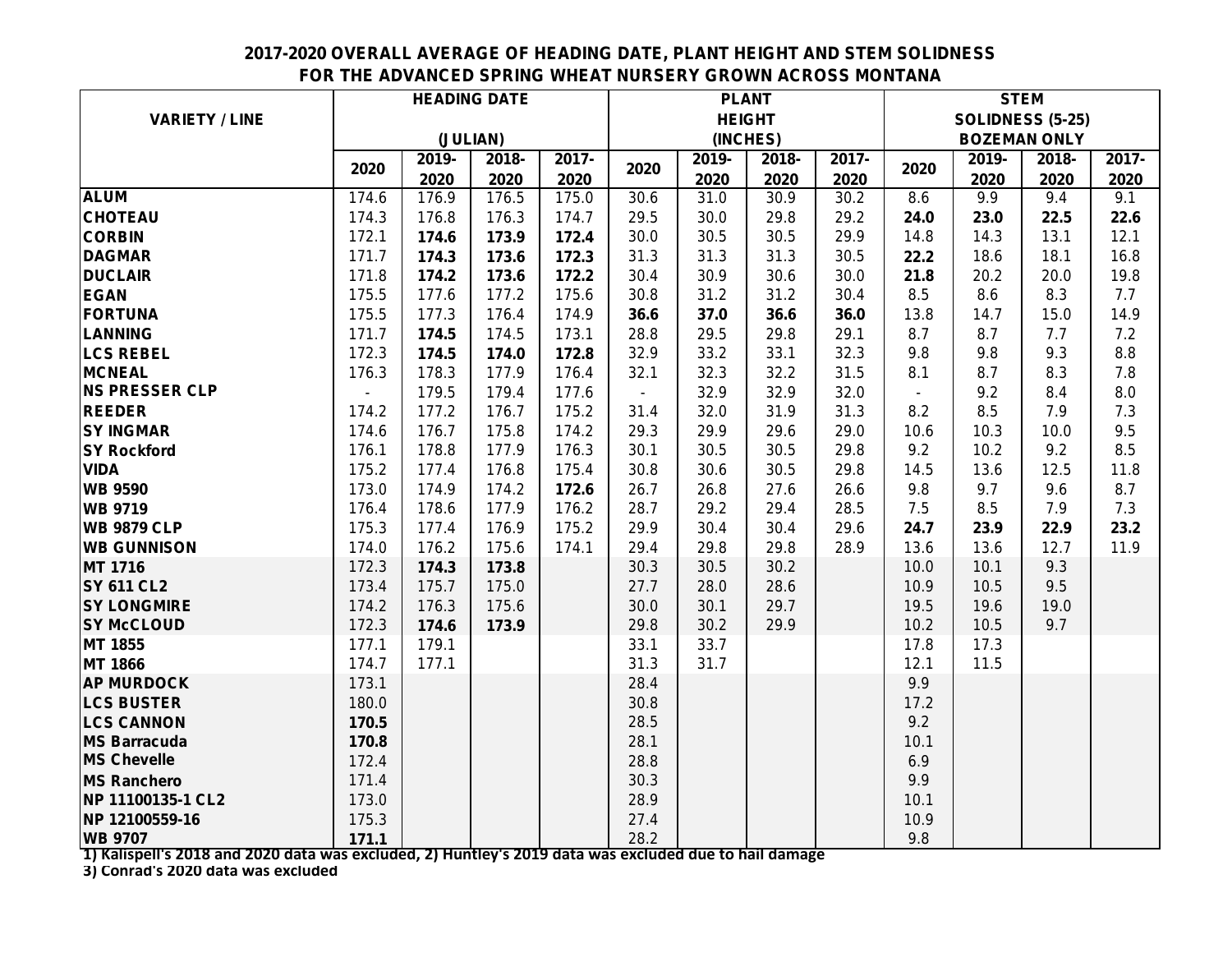## **2017-2020 OVERALL AVERAGE OF HEADING DATE, PLANT HEIGHT AND STEM SOLIDNESS FOR THE ADVANCED SPRING WHEAT NURSERY GROWN ACROSS MONTANA**

|                       | <b>HEADING DATE</b> |          |       |       | <b>PLANT</b>   |               |       |       | <b>STEM</b> |       |                         |       |
|-----------------------|---------------------|----------|-------|-------|----------------|---------------|-------|-------|-------------|-------|-------------------------|-------|
| <b>VARIETY / LINE</b> |                     |          |       |       |                | <b>HEIGHT</b> |       |       |             |       | <b>SOLIDNESS (5-25)</b> |       |
|                       |                     | (JULIAN) |       |       |                | (INCHES)      |       |       |             |       | <b>BOZEMAN ONLY</b>     |       |
|                       |                     | 2019-    | 2018- | 2017- |                | 2019-         | 2018- | 2017- |             | 2019- | 2018-                   | 2017- |
|                       | 2020                | 2020     | 2020  | 2020  | 2020           | 2020          | 2020  | 2020  | 2020        | 2020  | 2020                    | 2020  |
| <b>ALUM</b>           | 174.6               | 176.9    | 176.5 | 175.0 | 30.6           | 31.0          | 30.9  | 30.2  | 8.6         | 9.9   | 9.4                     | 9.1   |
| <b>CHOTEAU</b>        | 174.3               | 176.8    | 176.3 | 174.7 | 29.5           | 30.0          | 29.8  | 29.2  | 24.0        | 23.0  | 22.5                    | 22.6  |
| <b>CORBIN</b>         | 172.1               | 174.6    | 173.9 | 172.4 | 30.0           | 30.5          | 30.5  | 29.9  | 14.8        | 14.3  | 13.1                    | 12.1  |
| <b>DAGMAR</b>         | 171.7               | 174.3    | 173.6 | 172.3 | 31.3           | 31.3          | 31.3  | 30.5  | 22.2        | 18.6  | 18.1                    | 16.8  |
| <b>DUCLAIR</b>        | 171.8               | 174.2    | 173.6 | 172.2 | 30.4           | 30.9          | 30.6  | 30.0  | 21.8        | 20.2  | 20.0                    | 19.8  |
| <b>EGAN</b>           | 175.5               | 177.6    | 177.2 | 175.6 | 30.8           | 31.2          | 31.2  | 30.4  | 8.5         | 8.6   | 8.3                     | 7.7   |
| FORTUNA               | 175.5               | 177.3    | 176.4 | 174.9 | 36.6           | 37.0          | 36.6  | 36.0  | 13.8        | 14.7  | 15.0                    | 14.9  |
| LANNING               | 171.7               | 174.5    | 174.5 | 173.1 | 28.8           | 29.5          | 29.8  | 29.1  | 8.7         | 8.7   | 7.7                     | 7.2   |
| <b>LCS REBEL</b>      | 172.3               | 174.5    | 174.0 | 172.8 | 32.9           | 33.2          | 33.1  | 32.3  | 9.8         | 9.8   | 9.3                     | 8.8   |
| <b>MCNEAL</b>         | 176.3               | 178.3    | 177.9 | 176.4 | 32.1           | 32.3          | 32.2  | 31.5  | 8.1         | 8.7   | 8.3                     | 7.8   |
| <b>NS PRESSER CLP</b> |                     | 179.5    | 179.4 | 177.6 | $\blacksquare$ | 32.9          | 32.9  | 32.0  |             | 9.2   | 8.4                     | 8.0   |
| <b>REEDER</b>         | 174.2               | 177.2    | 176.7 | 175.2 | 31.4           | 32.0          | 31.9  | 31.3  | 8.2         | 8.5   | 7.9                     | 7.3   |
| <b>SY INGMAR</b>      | 174.6               | 176.7    | 175.8 | 174.2 | 29.3           | 29.9          | 29.6  | 29.0  | 10.6        | 10.3  | 10.0                    | 9.5   |
| <b>SY Rockford</b>    | 176.1               | 178.8    | 177.9 | 176.3 | 30.1           | 30.5          | 30.5  | 29.8  | 9.2         | 10.2  | 9.2                     | 8.5   |
| <b>VIDA</b>           | 175.2               | 177.4    | 176.8 | 175.4 | 30.8           | 30.6          | 30.5  | 29.8  | 14.5        | 13.6  | 12.5                    | 11.8  |
| <b>WB 9590</b>        | 173.0               | 174.9    | 174.2 | 172.6 | 26.7           | 26.8          | 27.6  | 26.6  | 9.8         | 9.7   | 9.6                     | 8.7   |
| <b>WB 9719</b>        | 176.4               | 178.6    | 177.9 | 176.2 | 28.7           | 29.2          | 29.4  | 28.5  | 7.5         | 8.5   | 7.9                     | 7.3   |
| <b>WB 9879 CLP</b>    | 175.3               | 177.4    | 176.9 | 175.2 | 29.9           | 30.4          | 30.4  | 29.6  | 24.7        | 23.9  | 22.9                    | 23.2  |
| <b>WB GUNNISON</b>    | 174.0               | 176.2    | 175.6 | 174.1 | 29.4           | 29.8          | 29.8  | 28.9  | 13.6        | 13.6  | 12.7                    | 11.9  |
| <b>MT 1716</b>        | 172.3               | 174.3    | 173.8 |       | 30.3           | 30.5          | 30.2  |       | 10.0        | 10.1  | 9.3                     |       |
| <b>SY 611 CL2</b>     | 173.4               | 175.7    | 175.0 |       | 27.7           | 28.0          | 28.6  |       | 10.9        | 10.5  | 9.5                     |       |
| <b>SY LONGMIRE</b>    | 174.2               | 176.3    | 175.6 |       | 30.0           | 30.1          | 29.7  |       | 19.5        | 19.6  | 19.0                    |       |
| <b>SY McCLOUD</b>     | 172.3               | 174.6    | 173.9 |       | 29.8           | 30.2          | 29.9  |       | 10.2        | 10.5  | 9.7                     |       |
| MT 1855               | 177.1               | 179.1    |       |       | 33.1           | 33.7          |       |       | 17.8        | 17.3  |                         |       |
| <b>MT 1866</b>        | 174.7               | 177.1    |       |       | 31.3           | 31.7          |       |       | 12.1        | 11.5  |                         |       |
| <b>AP MURDOCK</b>     | 173.1               |          |       |       | 28.4           |               |       |       | 9.9         |       |                         |       |
| <b>LCS BUSTER</b>     | 180.0               |          |       |       | 30.8           |               |       |       | 17.2        |       |                         |       |
| <b>LCS CANNON</b>     | 170.5               |          |       |       | 28.5           |               |       |       | 9.2         |       |                         |       |
| <b>MS Barracuda</b>   | 170.8               |          |       |       | 28.1           |               |       |       | 10.1        |       |                         |       |
| <b>MS Chevelle</b>    | 172.4               |          |       |       | 28.8           |               |       |       | 6.9         |       |                         |       |
| <b>MS Ranchero</b>    | 171.4               |          |       |       | 30.3           |               |       |       | 9.9         |       |                         |       |
| NP 11100135-1 CL2     | 173.0               |          |       |       | 28.9           |               |       |       | 10.1        |       |                         |       |
| NP 12100559-16        | 175.3               |          |       |       | 27.4           |               |       |       | 10.9        |       |                         |       |
| <b>WB 9707</b>        | 171.1               |          |       |       | 28.2           |               |       |       | 9.8         |       |                         |       |

**1) Kalispell's 2018 and 2020 data was excluded, 2) Huntley's 2019 data was excluded due to hail damage**

**3) Conrad's 2020 data was excluded**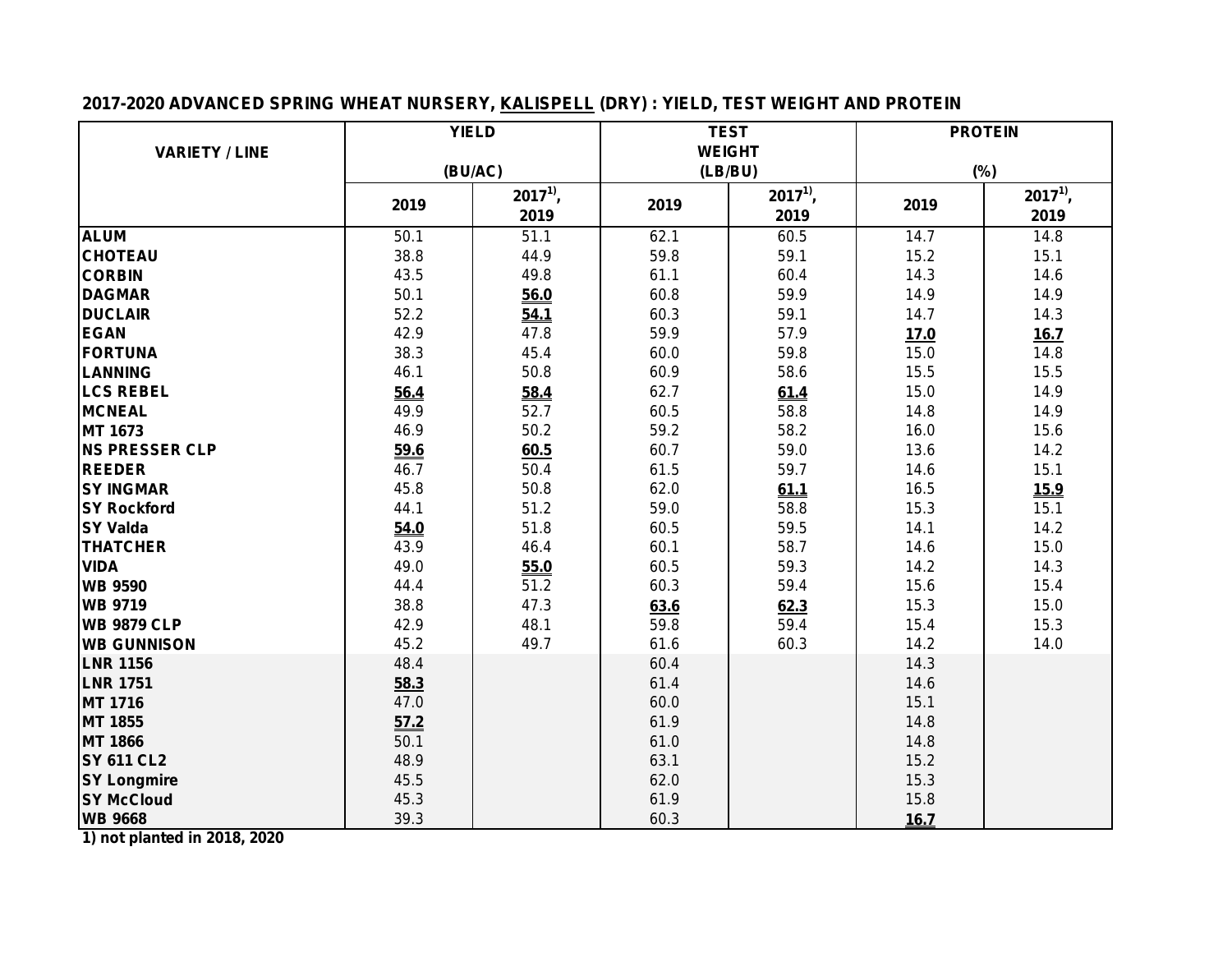## **2017-2020 ADVANCED SPRING WHEAT NURSERY, KALISPELL (DRY) : YIELD, TEST WEIGHT AND PROTEIN**

|                       | <b>YIELD</b> |              |               | <b>TEST</b>  | <b>PROTEIN</b> |              |  |
|-----------------------|--------------|--------------|---------------|--------------|----------------|--------------|--|
| <b>VARIETY / LINE</b> |              |              | <b>WEIGHT</b> |              |                |              |  |
|                       | (BU/AC)      |              | (LB/BU)       |              |                | (%)          |  |
|                       | 2019         | $2017^{1}$ , | 2019          | $2017^{1}$ , | 2019           | $2017^{1}$ , |  |
|                       |              | 2019         |               | 2019         |                | 2019         |  |
| <b>ALUM</b>           | 50.1         | 51.1         | 62.1          | 60.5         | 14.7           | 14.8         |  |
| <b>CHOTEAU</b>        | 38.8         | 44.9         | 59.8          | 59.1         | 15.2           | 15.1         |  |
| <b>CORBIN</b>         | 43.5         | 49.8         | 61.1          | 60.4         | 14.3           | 14.6         |  |
| <b>DAGMAR</b>         | 50.1         | 56.0         | 60.8          | 59.9         | 14.9           | 14.9         |  |
| <b>DUCLAIR</b>        | 52.2         | 54.1         | 60.3          | 59.1         | 14.7           | 14.3         |  |
| <b>EGAN</b>           | 42.9         | 47.8         | 59.9          | 57.9         | 17.0           | 16.7         |  |
| <b>FORTUNA</b>        | 38.3         | 45.4         | 60.0          | 59.8         | 15.0           | 14.8         |  |
| <b>LANNING</b>        | 46.1         | 50.8         | 60.9          | 58.6         | 15.5           | 15.5         |  |
| <b>LCS REBEL</b>      | 56.4         | 58.4         | 62.7          | 61.4         | 15.0           | 14.9         |  |
| <b>MCNEAL</b>         | 49.9         | 52.7         | 60.5          | 58.8         | 14.8           | 14.9         |  |
| MT 1673               | 46.9         | 50.2         | 59.2          | 58.2         | 16.0           | 15.6         |  |
| <b>NS PRESSER CLP</b> | 59.6         | 60.5         | 60.7          | 59.0         | 13.6           | 14.2         |  |
| <b>REEDER</b>         | 46.7         | 50.4         | 61.5          | 59.7         | 14.6           | 15.1         |  |
| <b>SY INGMAR</b>      | 45.8         | 50.8         | 62.0          | 61.1         | 16.5           | <u>15.9</u>  |  |
| <b>SY Rockford</b>    | 44.1         | 51.2         | 59.0          | 58.8         | 15.3           | 15.1         |  |
| <b>SY Valda</b>       | 54.0         | 51.8         | 60.5          | 59.5         | 14.1           | 14.2         |  |
| <b>THATCHER</b>       | 43.9         | 46.4         | 60.1          | 58.7         | 14.6           | 15.0         |  |
| <b>VIDA</b>           | 49.0         | 55.0         | 60.5          | 59.3         | 14.2           | 14.3         |  |
| <b>WB 9590</b>        | 44.4         | 51.2         | 60.3          | 59.4         | 15.6           | 15.4         |  |
| <b>WB 9719</b>        | 38.8         | 47.3         | 63.6          | 62.3         | 15.3           | 15.0         |  |
| <b>WB 9879 CLP</b>    | 42.9         | 48.1         | 59.8          | 59.4         | 15.4           | 15.3         |  |
| <b>WB GUNNISON</b>    | 45.2         | 49.7         | 61.6          | 60.3         | 14.2           | 14.0         |  |
| <b>LNR 1156</b>       | 48.4         |              | 60.4          |              | 14.3           |              |  |
| <b>LNR 1751</b>       | 58.3         |              | 61.4          |              | 14.6           |              |  |
| MT 1716               | 47.0         |              | 60.0          |              | 15.1           |              |  |
| MT 1855               | 57.2         |              | 61.9          |              | 14.8           |              |  |
| <b>MT 1866</b>        | 50.1         |              | 61.0          |              | 14.8           |              |  |
| <b>SY 611 CL2</b>     | 48.9         |              | 63.1          |              | 15.2           |              |  |
| <b>SY Longmire</b>    | 45.5         |              | 62.0          |              | 15.3           |              |  |
| <b>SY McCloud</b>     | 45.3         |              | 61.9          |              | 15.8           |              |  |
| <b>WB 9668</b>        | 39.3         |              | 60.3          |              | 16.7           |              |  |

**1) not planted in 2018, 2020**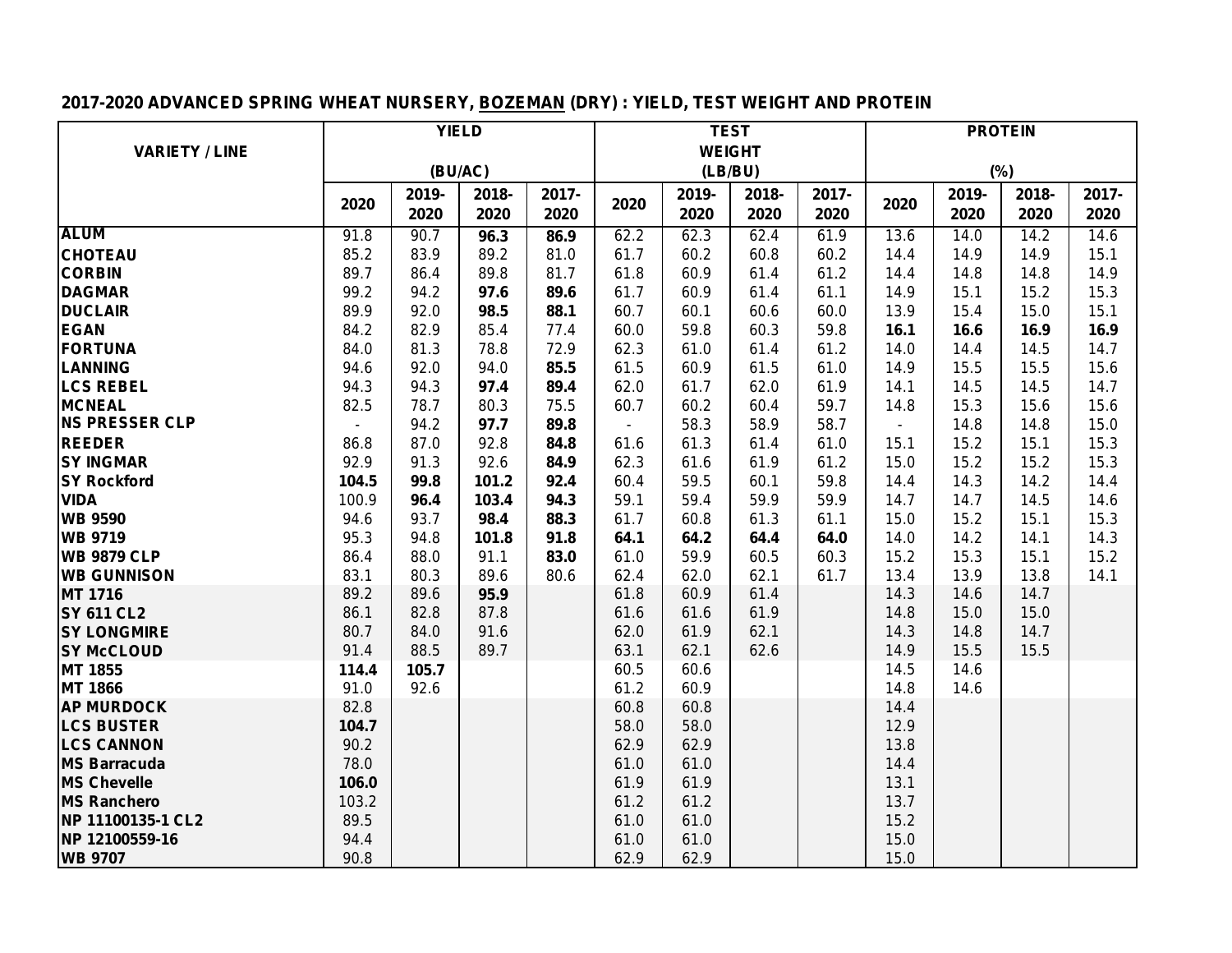# **2017-2020 ADVANCED SPRING WHEAT NURSERY, BOZEMAN (DRY) : YIELD, TEST WEIGHT AND PROTEIN**

|                       | <b>YIELD</b>   |         |       |       | <b>TEST</b>    |               |       |       | <b>PROTEIN</b> |       |       |       |  |
|-----------------------|----------------|---------|-------|-------|----------------|---------------|-------|-------|----------------|-------|-------|-------|--|
| <b>VARIETY / LINE</b> |                |         |       |       |                | <b>WEIGHT</b> |       |       |                |       |       |       |  |
|                       |                | (BU/AC) |       |       |                | (LB/BU)       |       |       |                |       | (%)   |       |  |
|                       |                | 2019-   | 2018- | 2017- |                | 2019-         | 2018- | 2017- |                | 2019- | 2018- | 2017- |  |
|                       | 2020           | 2020    | 2020  | 2020  | 2020           | 2020          | 2020  | 2020  | 2020           | 2020  | 2020  | 2020  |  |
| <b>ALUM</b>           | 91.8           | 90.7    | 96.3  | 86.9  | 62.2           | 62.3          | 62.4  | 61.9  | 13.6           | 14.0  | 14.2  | 14.6  |  |
| <b>CHOTEAU</b>        | 85.2           | 83.9    | 89.2  | 81.0  | 61.7           | 60.2          | 60.8  | 60.2  | 14.4           | 14.9  | 14.9  | 15.1  |  |
| <b>CORBIN</b>         | 89.7           | 86.4    | 89.8  | 81.7  | 61.8           | 60.9          | 61.4  | 61.2  | 14.4           | 14.8  | 14.8  | 14.9  |  |
| <b>DAGMAR</b>         | 99.2           | 94.2    | 97.6  | 89.6  | 61.7           | 60.9          | 61.4  | 61.1  | 14.9           | 15.1  | 15.2  | 15.3  |  |
| <b>DUCLAIR</b>        | 89.9           | 92.0    | 98.5  | 88.1  | 60.7           | 60.1          | 60.6  | 60.0  | 13.9           | 15.4  | 15.0  | 15.1  |  |
| <b>EGAN</b>           | 84.2           | 82.9    | 85.4  | 77.4  | 60.0           | 59.8          | 60.3  | 59.8  | 16.1           | 16.6  | 16.9  | 16.9  |  |
| <b>FORTUNA</b>        | 84.0           | 81.3    | 78.8  | 72.9  | 62.3           | 61.0          | 61.4  | 61.2  | 14.0           | 14.4  | 14.5  | 14.7  |  |
| <b>LANNING</b>        | 94.6           | 92.0    | 94.0  | 85.5  | 61.5           | 60.9          | 61.5  | 61.0  | 14.9           | 15.5  | 15.5  | 15.6  |  |
| <b>LCS REBEL</b>      | 94.3           | 94.3    | 97.4  | 89.4  | 62.0           | 61.7          | 62.0  | 61.9  | 14.1           | 14.5  | 14.5  | 14.7  |  |
| <b>MCNEAL</b>         | 82.5           | 78.7    | 80.3  | 75.5  | 60.7           | 60.2          | 60.4  | 59.7  | 14.8           | 15.3  | 15.6  | 15.6  |  |
| <b>NS PRESSER CLP</b> | $\blacksquare$ | 94.2    | 97.7  | 89.8  | $\blacksquare$ | 58.3          | 58.9  | 58.7  |                | 14.8  | 14.8  | 15.0  |  |
| <b>REEDER</b>         | 86.8           | 87.0    | 92.8  | 84.8  | 61.6           | 61.3          | 61.4  | 61.0  | 15.1           | 15.2  | 15.1  | 15.3  |  |
| <b>SY INGMAR</b>      | 92.9           | 91.3    | 92.6  | 84.9  | 62.3           | 61.6          | 61.9  | 61.2  | 15.0           | 15.2  | 15.2  | 15.3  |  |
| <b>SY Rockford</b>    | 104.5          | 99.8    | 101.2 | 92.4  | 60.4           | 59.5          | 60.1  | 59.8  | 14.4           | 14.3  | 14.2  | 14.4  |  |
| <b>VIDA</b>           | 100.9          | 96.4    | 103.4 | 94.3  | 59.1           | 59.4          | 59.9  | 59.9  | 14.7           | 14.7  | 14.5  | 14.6  |  |
| <b>WB 9590</b>        | 94.6           | 93.7    | 98.4  | 88.3  | 61.7           | 60.8          | 61.3  | 61.1  | 15.0           | 15.2  | 15.1  | 15.3  |  |
| <b>WB 9719</b>        | 95.3           | 94.8    | 101.8 | 91.8  | 64.1           | 64.2          | 64.4  | 64.0  | 14.0           | 14.2  | 14.1  | 14.3  |  |
| <b>WB 9879 CLP</b>    | 86.4           | 88.0    | 91.1  | 83.0  | 61.0           | 59.9          | 60.5  | 60.3  | 15.2           | 15.3  | 15.1  | 15.2  |  |
| <b>WB GUNNISON</b>    | 83.1           | 80.3    | 89.6  | 80.6  | 62.4           | 62.0          | 62.1  | 61.7  | 13.4           | 13.9  | 13.8  | 14.1  |  |
| <b>MT 1716</b>        | 89.2           | 89.6    | 95.9  |       | 61.8           | 60.9          | 61.4  |       | 14.3           | 14.6  | 14.7  |       |  |
| <b>SY 611 CL2</b>     | 86.1           | 82.8    | 87.8  |       | 61.6           | 61.6          | 61.9  |       | 14.8           | 15.0  | 15.0  |       |  |
| <b>SY LONGMIRE</b>    | 80.7           | 84.0    | 91.6  |       | 62.0           | 61.9          | 62.1  |       | 14.3           | 14.8  | 14.7  |       |  |
| <b>SY McCLOUD</b>     | 91.4           | 88.5    | 89.7  |       | 63.1           | 62.1          | 62.6  |       | 14.9           | 15.5  | 15.5  |       |  |
| MT 1855               | 114.4          | 105.7   |       |       | 60.5           | 60.6          |       |       | 14.5           | 14.6  |       |       |  |
| <b>MT 1866</b>        | 91.0           | 92.6    |       |       | 61.2           | 60.9          |       |       | 14.8           | 14.6  |       |       |  |
| <b>AP MURDOCK</b>     | 82.8           |         |       |       | 60.8           | 60.8          |       |       | 14.4           |       |       |       |  |
| <b>LCS BUSTER</b>     | 104.7          |         |       |       | 58.0           | 58.0          |       |       | 12.9           |       |       |       |  |
| <b>LCS CANNON</b>     | 90.2           |         |       |       | 62.9           | 62.9          |       |       | 13.8           |       |       |       |  |
| <b>MS Barracuda</b>   | 78.0           |         |       |       | 61.0           | 61.0          |       |       | 14.4           |       |       |       |  |
| <b>MS Chevelle</b>    | 106.0          |         |       |       | 61.9           | 61.9          |       |       | 13.1           |       |       |       |  |
| <b>MS Ranchero</b>    | 103.2          |         |       |       | 61.2           | 61.2          |       |       | 13.7           |       |       |       |  |
| NP 11100135-1 CL2     | 89.5           |         |       |       | 61.0           | 61.0          |       |       | 15.2           |       |       |       |  |
| NP 12100559-16        | 94.4           |         |       |       | 61.0           | 61.0          |       |       | 15.0           |       |       |       |  |
| <b>WB 9707</b>        | 90.8           |         |       |       | 62.9           | 62.9          |       |       | 15.0           |       |       |       |  |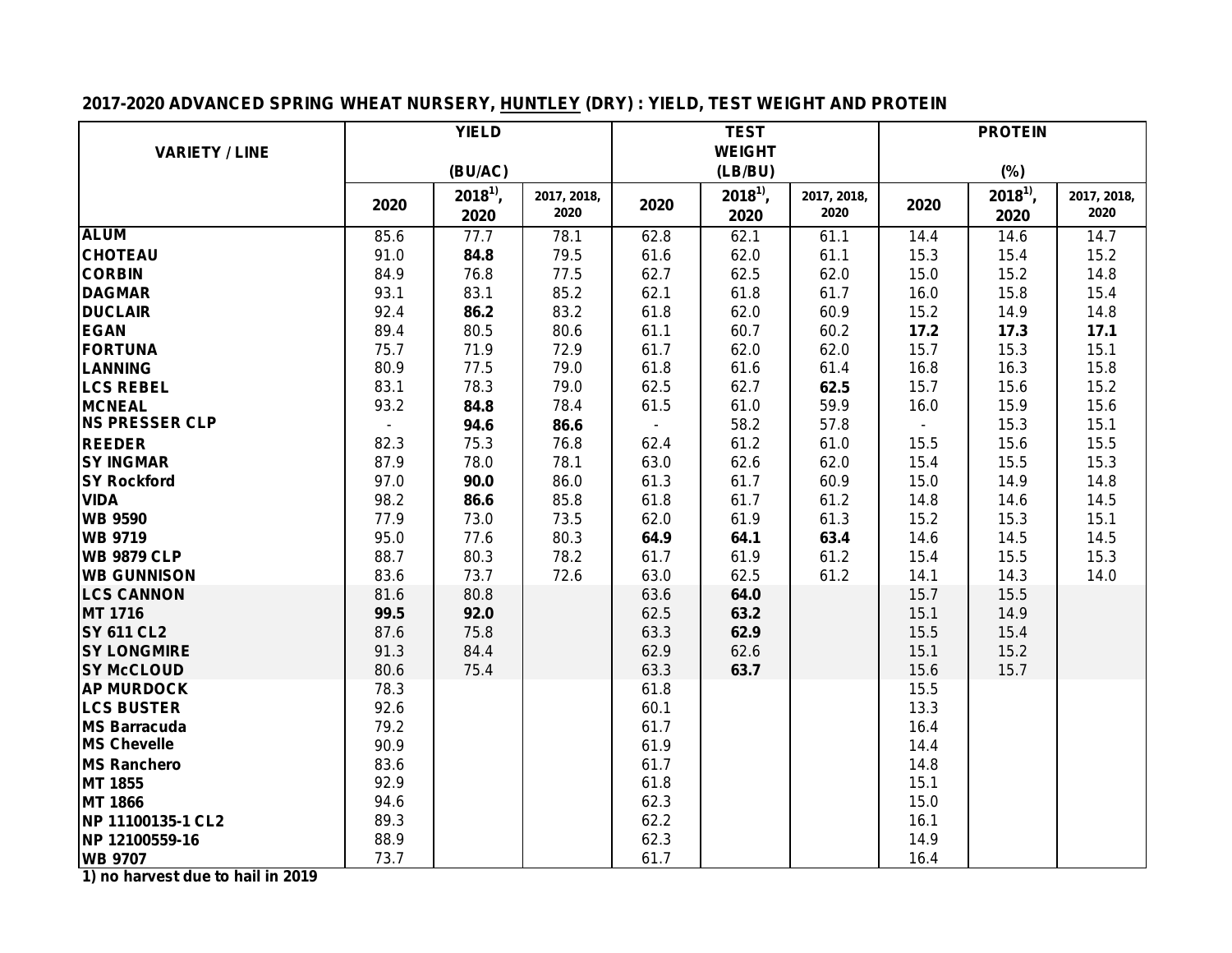# **2017-2020 ADVANCED SPRING WHEAT NURSERY, HUNTLEY (DRY) : YIELD, TEST WEIGHT AND PROTEIN**

|                       |      | <b>YIELD</b> |             |              | <b>TEST</b>   |             | <b>PROTEIN</b> |            |             |  |
|-----------------------|------|--------------|-------------|--------------|---------------|-------------|----------------|------------|-------------|--|
| <b>VARIETY / LINE</b> |      |              |             |              | <b>WEIGHT</b> |             |                |            |             |  |
|                       |      | (BU/AC)      |             |              | (LB/BU)       |             |                | (%)        |             |  |
|                       |      | $2018^{1}$   | 2017, 2018, |              | $2018^{1}$ ,  | 2017, 2018, |                | $2018^{1}$ | 2017, 2018, |  |
|                       | 2020 | 2020         | 2020        | 2020         | 2020          | 2020        | 2020           | 2020       | 2020        |  |
| <b>ALUM</b>           | 85.6 | 77.7         | 78.1        | 62.8         | 62.1          | 61.1        | 14.4           | 14.6       | 14.7        |  |
| <b>CHOTEAU</b>        | 91.0 | 84.8         | 79.5        | 61.6         | 62.0          | 61.1        | 15.3           | 15.4       | 15.2        |  |
| <b>CORBIN</b>         | 84.9 | 76.8         | 77.5        | 62.7         | 62.5          | 62.0        | 15.0           | 15.2       | 14.8        |  |
| <b>DAGMAR</b>         | 93.1 | 83.1         | 85.2        | 62.1         | 61.8          | 61.7        | 16.0           | 15.8       | 15.4        |  |
| <b>DUCLAIR</b>        | 92.4 | 86.2         | 83.2        | 61.8         | 62.0          | 60.9        | 15.2           | 14.9       | 14.8        |  |
| <b>EGAN</b>           | 89.4 | 80.5         | 80.6        | 61.1         | 60.7          | 60.2        | 17.2           | 17.3       | 17.1        |  |
| <b>FORTUNA</b>        | 75.7 | 71.9         | 72.9        | 61.7         | 62.0          | 62.0        | 15.7           | 15.3       | 15.1        |  |
| <b>LANNING</b>        | 80.9 | 77.5         | 79.0        | 61.8         | 61.6          | 61.4        | 16.8           | 16.3       | 15.8        |  |
| <b>LCS REBEL</b>      | 83.1 | 78.3         | 79.0        | 62.5         | 62.7          | 62.5        | 15.7           | 15.6       | 15.2        |  |
| <b>MCNEAL</b>         | 93.2 | 84.8         | 78.4        | 61.5         | 61.0          | 59.9        | 16.0           | 15.9       | 15.6        |  |
| <b>NS PRESSER CLP</b> |      | 94.6         | 86.6        |              | 58.2          | 57.8        | $\blacksquare$ | 15.3       | 15.1        |  |
| <b>REEDER</b>         | 82.3 | 75.3         | 76.8        | 62.4         | 61.2          | 61.0        | 15.5           | 15.6       | 15.5        |  |
| <b>SY INGMAR</b>      | 87.9 | 78.0         | 78.1        | 63.0         | 62.6          | 62.0        | 15.4           | 15.5       | 15.3        |  |
| <b>SY Rockford</b>    | 97.0 | 90.0         | 86.0        | 61.3         | 61.7          | 60.9        | 15.0           | 14.9       | 14.8        |  |
| <b>VIDA</b>           | 98.2 | 86.6         | 85.8        | 61.8         | 61.7          | 61.2        | 14.8           | 14.6       | 14.5        |  |
| <b>WB 9590</b>        | 77.9 | 73.0         | 73.5        | 62.0         | 61.9          | 61.3        | 15.2           | 15.3       | 15.1        |  |
| <b>WB 9719</b>        | 95.0 | 77.6         | 80.3        | 64.9         | 64.1          | 63.4        | 14.6           | 14.5       | 14.5        |  |
| <b>WB 9879 CLP</b>    | 88.7 | 80.3         | 78.2        | 61.7         | 61.9          | 61.2        | 15.4           | 15.5       | 15.3        |  |
| <b>WB GUNNISON</b>    | 83.6 | 73.7         | 72.6        | 63.0         | 62.5          | 61.2        | 14.1           | 14.3       | 14.0        |  |
| <b>LCS CANNON</b>     | 81.6 | 80.8         |             | 63.6         | 64.0          |             | 15.7           | 15.5       |             |  |
| <b>MT 1716</b>        | 99.5 | 92.0         |             | 62.5         | 63.2          |             | 15.1           | 14.9       |             |  |
| <b>SY 611 CL2</b>     | 87.6 | 75.8         |             | 63.3         | 62.9          |             | 15.5           | 15.4       |             |  |
| <b>SY LONGMIRE</b>    | 91.3 | 84.4         |             | 62.9         | 62.6          |             | 15.1           | 15.2       |             |  |
| <b>SY McCLOUD</b>     | 80.6 | 75.4         |             | 63.3         | 63.7          |             | 15.6           | 15.7       |             |  |
| <b>AP MURDOCK</b>     | 78.3 |              |             | 61.8         |               |             | 15.5           |            |             |  |
| <b>LCS BUSTER</b>     | 92.6 |              |             | 60.1         |               |             | 13.3           |            |             |  |
| <b>MS Barracuda</b>   | 79.2 |              |             | 61.7         |               |             | 16.4           |            |             |  |
| <b>MS Chevelle</b>    | 90.9 |              |             | 61.9         |               |             | 14.4           |            |             |  |
| <b>MS Ranchero</b>    | 83.6 |              |             | 61.7         |               |             | 14.8           |            |             |  |
| <b>MT 1855</b>        | 92.9 |              |             | 61.8         |               |             | 15.1           |            |             |  |
| MT 1866               | 94.6 |              |             | 62.3<br>62.2 |               |             | 15.0           |            |             |  |
| NP 11100135-1 CL2     | 89.3 |              |             |              |               |             | 16.1           |            |             |  |
| NP 12100559-16        | 88.9 |              |             | 62.3         |               |             | 14.9           |            |             |  |
| <b>WB 9707</b>        | 73.7 |              |             | 61.7         |               |             | 16.4           |            |             |  |

**1) no harvest due to hail in 2019**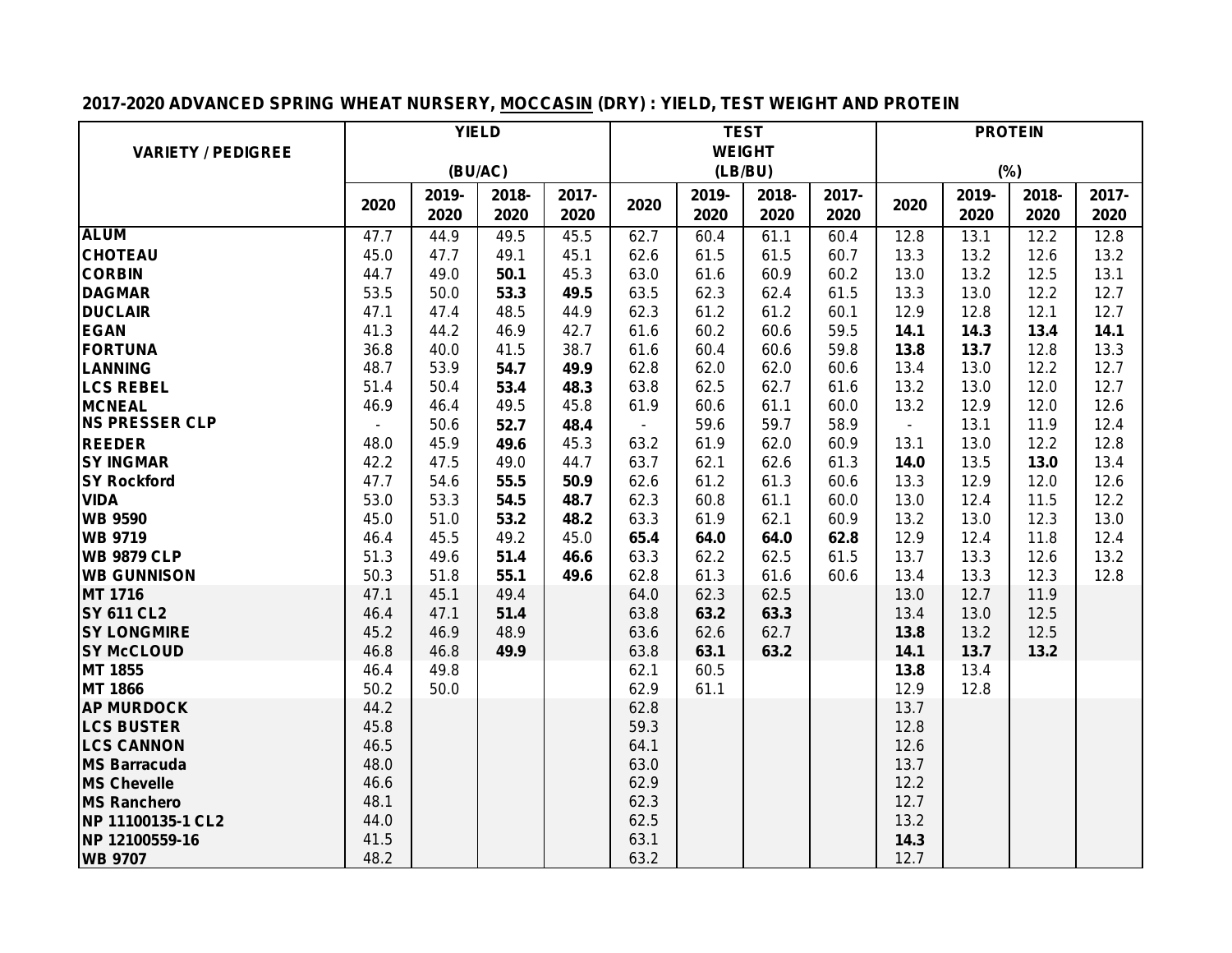# **2017-2020 ADVANCED SPRING WHEAT NURSERY, MOCCASIN (DRY) : YIELD, TEST WEIGHT AND PROTEIN**

|                                         |                | <b>YIELD</b> |              |       |              |              | <b>TEST</b>   |       | <b>PROTEIN</b> |              |              |       |  |
|-----------------------------------------|----------------|--------------|--------------|-------|--------------|--------------|---------------|-------|----------------|--------------|--------------|-------|--|
| <b>VARIETY / PEDIGREE</b>               |                |              |              |       |              |              | <b>WEIGHT</b> |       |                |              |              |       |  |
|                                         |                | (BU/AC)      |              |       |              |              | (LB/BU)       |       |                | (%)          |              |       |  |
|                                         |                | 2019-        | 2018-        | 2017- |              | 2019-        | 2018-         | 2017- | 2020           | 2019-        | 2018-        | 2017- |  |
|                                         | 2020           | 2020         | 2020         | 2020  | 2020         | 2020         | 2020          | 2020  |                | 2020         | 2020         | 2020  |  |
| <b>ALUM</b>                             | 47.7           | 44.9         | 49.5         | 45.5  | 62.7         | 60.4         | 61.1          | 60.4  | 12.8           | 13.1         | 12.2         | 12.8  |  |
| <b>CHOTEAU</b>                          | 45.0           | 47.7         | 49.1         | 45.1  | 62.6         | 61.5         | 61.5          | 60.7  | 13.3           | 13.2         | 12.6         | 13.2  |  |
| <b>CORBIN</b>                           | 44.7           | 49.0         | 50.1         | 45.3  | 63.0         | 61.6         | 60.9          | 60.2  | 13.0           | 13.2         | 12.5         | 13.1  |  |
| <b>DAGMAR</b>                           | 53.5           | 50.0         | 53.3         | 49.5  | 63.5         | 62.3         | 62.4          | 61.5  | 13.3           | 13.0         | 12.2         | 12.7  |  |
| <b>DUCLAIR</b>                          | 47.1           | 47.4         | 48.5         | 44.9  | 62.3         | 61.2         | 61.2          | 60.1  | 12.9           | 12.8         | 12.1         | 12.7  |  |
| <b>EGAN</b>                             | 41.3           | 44.2         | 46.9         | 42.7  | 61.6         | 60.2         | 60.6          | 59.5  | 14.1           | 14.3         | 13.4         | 14.1  |  |
| <b>FORTUNA</b>                          | 36.8           | 40.0         | 41.5         | 38.7  | 61.6         | 60.4         | 60.6          | 59.8  | 13.8           | 13.7         | 12.8         | 13.3  |  |
| <b>LANNING</b>                          | 48.7           | 53.9         | 54.7         | 49.9  | 62.8         | 62.0         | 62.0          | 60.6  | 13.4           | 13.0         | 12.2         | 12.7  |  |
| <b>LCS REBEL</b>                        | 51.4           | 50.4         | 53.4         | 48.3  | 63.8         | 62.5         | 62.7          | 61.6  | 13.2           | 13.0         | 12.0         | 12.7  |  |
| <b>MCNEAL</b>                           | 46.9           | 46.4         | 49.5         | 45.8  | 61.9         | 60.6         | 61.1          | 60.0  | 13.2           | 12.9         | 12.0         | 12.6  |  |
| <b>NS PRESSER CLP</b>                   | $\blacksquare$ | 50.6         | 52.7         | 48.4  | $\sim$       | 59.6         | 59.7          | 58.9  | $\blacksquare$ | 13.1         | 11.9         | 12.4  |  |
| <b>REEDER</b>                           | 48.0           | 45.9         | 49.6         | 45.3  | 63.2         | 61.9         | 62.0          | 60.9  | 13.1           | 13.0         | 12.2         | 12.8  |  |
| <b>SY INGMAR</b>                        | 42.2           | 47.5         | 49.0         | 44.7  | 63.7         | 62.1         | 62.6          | 61.3  | 14.0           | 13.5         | 13.0         | 13.4  |  |
| <b>SY Rockford</b>                      | 47.7           | 54.6         | 55.5         | 50.9  | 62.6         | 61.2         | 61.3          | 60.6  | 13.3           | 12.9         | 12.0         | 12.6  |  |
| <b>VIDA</b>                             | 53.0           | 53.3         | 54.5         | 48.7  | 62.3         | 60.8         | 61.1          | 60.0  | 13.0           | 12.4         | 11.5         | 12.2  |  |
| <b>WB 9590</b>                          | 45.0           | 51.0         | 53.2         | 48.2  | 63.3         | 61.9         | 62.1          | 60.9  | 13.2           | 13.0         | 12.3         | 13.0  |  |
| <b>WB 9719</b>                          | 46.4           | 45.5         | 49.2         | 45.0  | 65.4         | 64.0         | 64.0          | 62.8  | 12.9           | 12.4         | 11.8         | 12.4  |  |
| <b>WB 9879 CLP</b>                      | 51.3           | 49.6         | 51.4         | 46.6  | 63.3         | 62.2         | 62.5          | 61.5  | 13.7           | 13.3         | 12.6         | 13.2  |  |
| <b>WB GUNNISON</b>                      | 50.3           | 51.8         | 55.1         | 49.6  | 62.8         | 61.3         | 61.6          | 60.6  | 13.4           | 13.3         | 12.3         | 12.8  |  |
| MT 1716                                 | 47.1           | 45.1         | 49.4         |       | 64.0         | 62.3         | 62.5          |       | 13.0           | 12.7         | 11.9         |       |  |
| <b>SY 611 CL2</b><br><b>SY LONGMIRE</b> | 46.4<br>45.2   | 47.1<br>46.9 | 51.4<br>48.9 |       | 63.8<br>63.6 | 63.2<br>62.6 | 63.3<br>62.7  |       | 13.4<br>13.8   | 13.0<br>13.2 | 12.5<br>12.5 |       |  |
| <b>SY McCLOUD</b>                       | 46.8           | 46.8         | 49.9         |       | 63.8         | 63.1         | 63.2          |       | 14.1           | 13.7         | 13.2         |       |  |
| MT 1855                                 | 46.4           | 49.8         |              |       | 62.1         | 60.5         |               |       | 13.8           | 13.4         |              |       |  |
| <b>MT 1866</b>                          | 50.2           | 50.0         |              |       | 62.9         | 61.1         |               |       | 12.9           | 12.8         |              |       |  |
| <b>AP MURDOCK</b>                       | 44.2           |              |              |       | 62.8         |              |               |       | 13.7           |              |              |       |  |
| <b>LCS BUSTER</b>                       | 45.8           |              |              |       | 59.3         |              |               |       | 12.8           |              |              |       |  |
| <b>LCS CANNON</b>                       | 46.5           |              |              |       | 64.1         |              |               |       | 12.6           |              |              |       |  |
| <b>MS Barracuda</b>                     | 48.0           |              |              |       | 63.0         |              |               |       | 13.7           |              |              |       |  |
| <b>MS Chevelle</b>                      | 46.6           |              |              |       | 62.9         |              |               |       | 12.2           |              |              |       |  |
| <b>MS Ranchero</b>                      | 48.1           |              |              |       | 62.3         |              |               |       | 12.7           |              |              |       |  |
| NP 11100135-1 CL2                       | 44.0           |              |              |       | 62.5         |              |               |       | 13.2           |              |              |       |  |
| NP 12100559-16                          | 41.5           |              |              |       | 63.1         |              |               |       | 14.3           |              |              |       |  |
| <b>WB 9707</b>                          | 48.2           |              |              |       | 63.2         |              |               |       | 12.7           |              |              |       |  |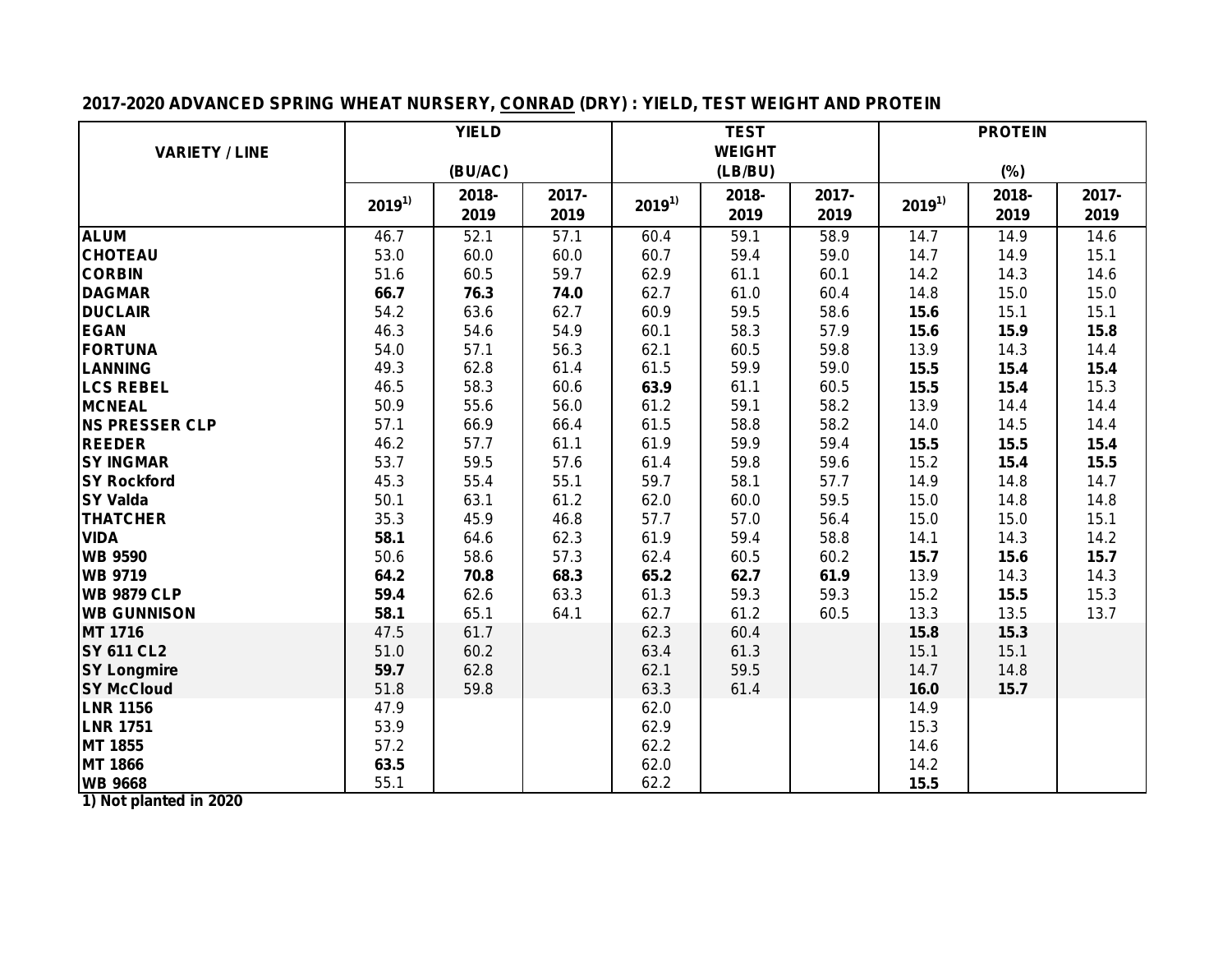## **2017-2020 ADVANCED SPRING WHEAT NURSERY, CONRAD (DRY) : YIELD, TEST WEIGHT AND PROTEIN**

|                       | <b>YIELD</b> |         |       |            | <b>TEST</b>   |       |            | <b>PROTEIN</b> |       |
|-----------------------|--------------|---------|-------|------------|---------------|-------|------------|----------------|-------|
| <b>VARIETY / LINE</b> |              |         |       |            | <b>WEIGHT</b> |       |            |                |       |
|                       |              | (BU/AC) |       |            | (LB/BU)       |       |            | (%)            |       |
|                       | $2019^{1}$   | 2018-   | 2017- |            | 2018-         | 2017- | $2019^{1}$ | 2018-          | 2017- |
|                       |              | 2019    | 2019  | $2019^{1}$ | 2019          | 2019  |            | 2019           | 2019  |
| <b>ALUM</b>           | 46.7         | 52.1    | 57.1  | 60.4       | 59.1          | 58.9  | 14.7       | 14.9           | 14.6  |
| <b>CHOTEAU</b>        | 53.0         | 60.0    | 60.0  | 60.7       | 59.4          | 59.0  | 14.7       | 14.9           | 15.1  |
| <b>CORBIN</b>         | 51.6         | 60.5    | 59.7  | 62.9       | 61.1          | 60.1  | 14.2       | 14.3           | 14.6  |
| <b>DAGMAR</b>         | 66.7         | 76.3    | 74.0  | 62.7       | 61.0          | 60.4  | 14.8       | 15.0           | 15.0  |
| <b>DUCLAIR</b>        | 54.2         | 63.6    | 62.7  | 60.9       | 59.5          | 58.6  | 15.6       | 15.1           | 15.1  |
| <b>EGAN</b>           | 46.3         | 54.6    | 54.9  | 60.1       | 58.3          | 57.9  | 15.6       | 15.9           | 15.8  |
| <b>FORTUNA</b>        | 54.0         | 57.1    | 56.3  | 62.1       | 60.5          | 59.8  | 13.9       | 14.3           | 14.4  |
| <b>LANNING</b>        | 49.3         | 62.8    | 61.4  | 61.5       | 59.9          | 59.0  | 15.5       | 15.4           | 15.4  |
| <b>LCS REBEL</b>      | 46.5         | 58.3    | 60.6  | 63.9       | 61.1          | 60.5  | 15.5       | 15.4           | 15.3  |
| <b>MCNEAL</b>         | 50.9         | 55.6    | 56.0  | 61.2       | 59.1          | 58.2  | 13.9       | 14.4           | 14.4  |
| <b>NS PRESSER CLP</b> | 57.1         | 66.9    | 66.4  | 61.5       | 58.8          | 58.2  | 14.0       | 14.5           | 14.4  |
| <b>REEDER</b>         | 46.2         | 57.7    | 61.1  | 61.9       | 59.9          | 59.4  | 15.5       | 15.5           | 15.4  |
| <b>SY INGMAR</b>      | 53.7         | 59.5    | 57.6  | 61.4       | 59.8          | 59.6  | 15.2       | 15.4           | 15.5  |
| <b>SY Rockford</b>    | 45.3         | 55.4    | 55.1  | 59.7       | 58.1          | 57.7  | 14.9       | 14.8           | 14.7  |
| <b>SY Valda</b>       | 50.1         | 63.1    | 61.2  | 62.0       | 60.0          | 59.5  | 15.0       | 14.8           | 14.8  |
| <b>THATCHER</b>       | 35.3         | 45.9    | 46.8  | 57.7       | 57.0          | 56.4  | 15.0       | 15.0           | 15.1  |
| <b>VIDA</b>           | 58.1         | 64.6    | 62.3  | 61.9       | 59.4          | 58.8  | 14.1       | 14.3           | 14.2  |
| <b>WB 9590</b>        | 50.6         | 58.6    | 57.3  | 62.4       | 60.5          | 60.2  | 15.7       | 15.6           | 15.7  |
| <b>WB 9719</b>        | 64.2         | 70.8    | 68.3  | 65.2       | 62.7          | 61.9  | 13.9       | 14.3           | 14.3  |
| <b>WB 9879 CLP</b>    | 59.4         | 62.6    | 63.3  | 61.3       | 59.3          | 59.3  | 15.2       | 15.5           | 15.3  |
| <b>WB GUNNISON</b>    | 58.1         | 65.1    | 64.1  | 62.7       | 61.2          | 60.5  | 13.3       | 13.5           | 13.7  |
| <b>MT 1716</b>        | 47.5         | 61.7    |       | 62.3       | 60.4          |       | 15.8       | 15.3           |       |
| <b>SY 611 CL2</b>     | 51.0         | 60.2    |       | 63.4       | 61.3          |       | 15.1       | 15.1           |       |
| <b>SY Longmire</b>    | 59.7         | 62.8    |       | 62.1       | 59.5          |       | 14.7       | 14.8           |       |
| <b>SY McCloud</b>     | 51.8         | 59.8    |       | 63.3       | 61.4          |       | 16.0       | 15.7           |       |
| <b>LNR 1156</b>       | 47.9         |         |       | 62.0       |               |       | 14.9       |                |       |
| <b>LNR 1751</b>       | 53.9         |         |       | 62.9       |               |       | 15.3       |                |       |
| MT 1855               | 57.2         |         |       | 62.2       |               |       | 14.6       |                |       |
| <b>MT 1866</b>        | 63.5         |         |       | 62.0       |               |       | 14.2       |                |       |
| <b>WB 9668</b>        | 55.1         |         |       | 62.2       |               |       | 15.5       |                |       |

**1) Not planted in 2020**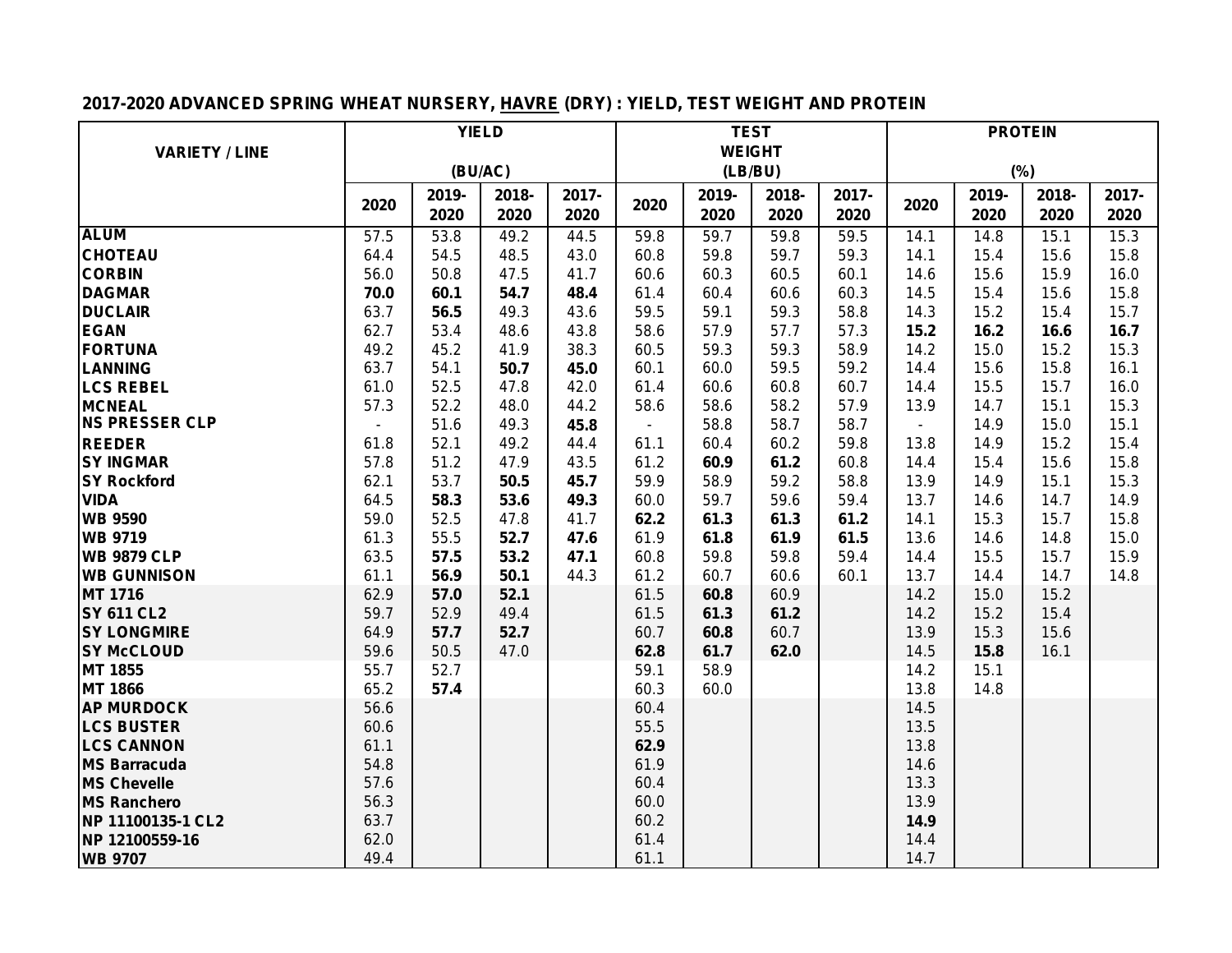# **2017-2020 ADVANCED SPRING WHEAT NURSERY, HAVRE (DRY) : YIELD, TEST WEIGHT AND PROTEIN**

|                                        | <b>YIELD</b> |         |       |       | <b>TEST</b>              |               |       |       | <b>PROTEIN</b> |       |       |       |  |
|----------------------------------------|--------------|---------|-------|-------|--------------------------|---------------|-------|-------|----------------|-------|-------|-------|--|
| <b>VARIETY / LINE</b>                  |              |         |       |       |                          | <b>WEIGHT</b> |       |       |                |       |       |       |  |
|                                        |              | (BU/AC) |       |       |                          | (LB/BU)       |       |       |                | (%)   |       |       |  |
|                                        |              | 2019-   | 2018- | 2017- |                          | 2019-         | 2018- | 2017- |                | 2019- | 2018- | 2017- |  |
|                                        | 2020         | 2020    | 2020  | 2020  | 2020                     | 2020          | 2020  | 2020  | 2020           | 2020  | 2020  | 2020  |  |
| <b>ALUM</b>                            | 57.5         | 53.8    | 49.2  | 44.5  | 59.8                     | 59.7          | 59.8  | 59.5  | 14.1           | 14.8  | 15.1  | 15.3  |  |
| <b>CHOTEAU</b>                         | 64.4         | 54.5    | 48.5  | 43.0  | 60.8                     | 59.8          | 59.7  | 59.3  | 14.1           | 15.4  | 15.6  | 15.8  |  |
| <b>CORBIN</b>                          | 56.0         | 50.8    | 47.5  | 41.7  | 60.6                     | 60.3          | 60.5  | 60.1  | 14.6           | 15.6  | 15.9  | 16.0  |  |
| <b>DAGMAR</b>                          | 70.0         | 60.1    | 54.7  | 48.4  | 61.4                     | 60.4          | 60.6  | 60.3  | 14.5           | 15.4  | 15.6  | 15.8  |  |
| <b>DUCLAIR</b>                         | 63.7         | 56.5    | 49.3  | 43.6  | 59.5                     | 59.1          | 59.3  | 58.8  | 14.3           | 15.2  | 15.4  | 15.7  |  |
| <b>EGAN</b>                            | 62.7         | 53.4    | 48.6  | 43.8  | 58.6                     | 57.9          | 57.7  | 57.3  | 15.2           | 16.2  | 16.6  | 16.7  |  |
| <b>FORTUNA</b>                         | 49.2         | 45.2    | 41.9  | 38.3  | 60.5                     | 59.3          | 59.3  | 58.9  | 14.2           | 15.0  | 15.2  | 15.3  |  |
| <b>LANNING</b>                         | 63.7         | 54.1    | 50.7  | 45.0  | 60.1                     | 60.0          | 59.5  | 59.2  | 14.4           | 15.6  | 15.8  | 16.1  |  |
| <b>LCS REBEL</b>                       | 61.0         | 52.5    | 47.8  | 42.0  | 61.4                     | 60.6          | 60.8  | 60.7  | 14.4           | 15.5  | 15.7  | 16.0  |  |
| <b>MCNEAL</b>                          | 57.3         | 52.2    | 48.0  | 44.2  | 58.6                     | 58.6          | 58.2  | 57.9  | 13.9           | 14.7  | 15.1  | 15.3  |  |
| <b>NS PRESSER CLP</b>                  |              | 51.6    | 49.3  | 45.8  | $\overline{\phantom{a}}$ | 58.8          | 58.7  | 58.7  | $\blacksquare$ | 14.9  | 15.0  | 15.1  |  |
| <b>REEDER</b>                          | 61.8         | 52.1    | 49.2  | 44.4  | 61.1                     | 60.4          | 60.2  | 59.8  | 13.8           | 14.9  | 15.2  | 15.4  |  |
| <b>SY INGMAR</b>                       | 57.8         | 51.2    | 47.9  | 43.5  | 61.2                     | 60.9          | 61.2  | 60.8  | 14.4           | 15.4  | 15.6  | 15.8  |  |
| <b>SY Rockford</b>                     | 62.1         | 53.7    | 50.5  | 45.7  | 59.9                     | 58.9          | 59.2  | 58.8  | 13.9           | 14.9  | 15.1  | 15.3  |  |
| <b>VIDA</b>                            | 64.5         | 58.3    | 53.6  | 49.3  | 60.0                     | 59.7          | 59.6  | 59.4  | 13.7           | 14.6  | 14.7  | 14.9  |  |
| <b>WB 9590</b>                         | 59.0         | 52.5    | 47.8  | 41.7  | 62.2                     | 61.3          | 61.3  | 61.2  | 14.1           | 15.3  | 15.7  | 15.8  |  |
| <b>WB 9719</b>                         | 61.3         | 55.5    | 52.7  | 47.6  | 61.9                     | 61.8          | 61.9  | 61.5  | 13.6           | 14.6  | 14.8  | 15.0  |  |
| <b>WB 9879 CLP</b>                     | 63.5         | 57.5    | 53.2  | 47.1  | 60.8                     | 59.8          | 59.8  | 59.4  | 14.4           | 15.5  | 15.7  | 15.9  |  |
| <b>WB GUNNISON</b>                     | 61.1         | 56.9    | 50.1  | 44.3  | 61.2                     | 60.7          | 60.6  | 60.1  | 13.7           | 14.4  | 14.7  | 14.8  |  |
| <b>MT 1716</b>                         | 62.9         | 57.0    | 52.1  |       | 61.5                     | 60.8          | 60.9  |       | 14.2           | 15.0  | 15.2  |       |  |
| <b>SY 611 CL2</b>                      | 59.7         | 52.9    | 49.4  |       | 61.5                     | 61.3          | 61.2  |       | 14.2           | 15.2  | 15.4  |       |  |
| <b>SY LONGMIRE</b>                     | 64.9         | 57.7    | 52.7  |       | 60.7                     | 60.8          | 60.7  |       | 13.9           | 15.3  | 15.6  |       |  |
| <b>SY McCLOUD</b>                      | 59.6         | 50.5    | 47.0  |       | 62.8                     | 61.7          | 62.0  |       | 14.5           | 15.8  | 16.1  |       |  |
| <b>MT 1855</b>                         | 55.7         | 52.7    |       |       | 59.1                     | 58.9          |       |       | 14.2           | 15.1  |       |       |  |
| <b>MT 1866</b>                         | 65.2         | 57.4    |       |       | 60.3                     | 60.0          |       |       | 13.8           | 14.8  |       |       |  |
| <b>AP MURDOCK</b><br><b>LCS BUSTER</b> | 56.6<br>60.6 |         |       |       | 60.4<br>55.5             |               |       |       | 14.5<br>13.5   |       |       |       |  |
| <b>LCS CANNON</b>                      | 61.1         |         |       |       | 62.9                     |               |       |       | 13.8           |       |       |       |  |
| <b>MS Barracuda</b>                    | 54.8         |         |       |       | 61.9                     |               |       |       | 14.6           |       |       |       |  |
| <b>MS Chevelle</b>                     | 57.6         |         |       |       | 60.4                     |               |       |       | 13.3           |       |       |       |  |
| <b>MS Ranchero</b>                     | 56.3         |         |       |       | 60.0                     |               |       |       | 13.9           |       |       |       |  |
| NP 11100135-1 CL2                      | 63.7         |         |       |       | 60.2                     |               |       |       | 14.9           |       |       |       |  |
| NP 12100559-16                         | 62.0         |         |       |       | 61.4                     |               |       |       | 14.4           |       |       |       |  |
| <b>WB 9707</b>                         | 49.4         |         |       |       | 61.1                     |               |       |       | 14.7           |       |       |       |  |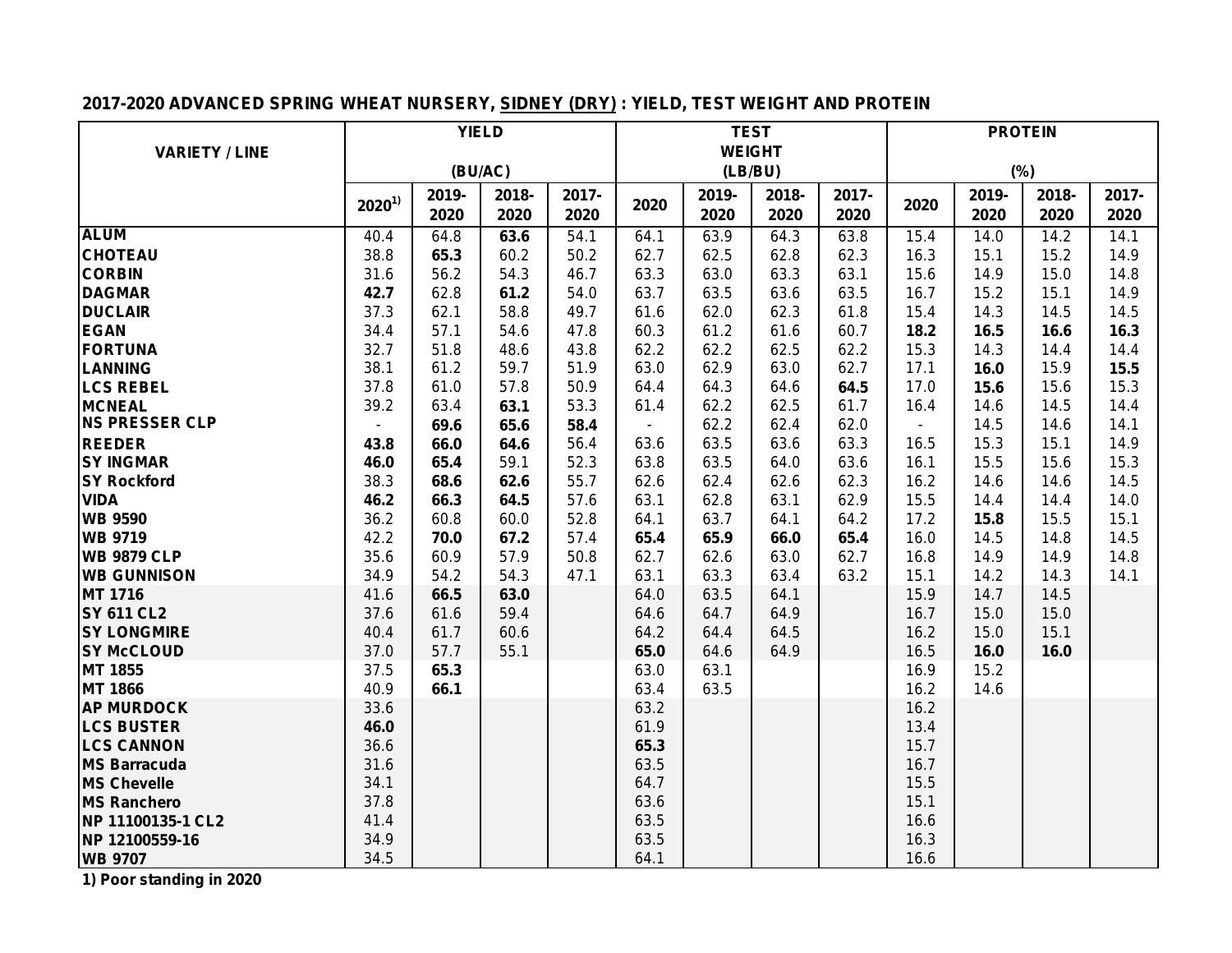## **2017-2020 ADVANCED SPRING WHEAT NURSERY, SIDNEY (DRY) : YIELD, TEST WEIGHT AND PROTEIN**

|                                           | <b>YIELD</b> |         |       |       |                | <b>TEST</b>   |         |       | <b>PROTEIN</b> |       |       |       |  |
|-------------------------------------------|--------------|---------|-------|-------|----------------|---------------|---------|-------|----------------|-------|-------|-------|--|
| <b>VARIETY / LINE</b>                     |              |         |       |       |                | <b>WEIGHT</b> |         |       |                |       |       |       |  |
|                                           |              | (BU/AC) |       |       |                |               | (LB/BU) |       |                | (%)   |       |       |  |
|                                           | $2020^{1}$   | 2019-   | 2018- | 2017- | 2020           | 2019-         | 2018-   | 2017- | 2020           | 2019- | 2018- | 2017- |  |
|                                           |              | 2020    | 2020  | 2020  |                | 2020          | 2020    | 2020  |                | 2020  | 2020  | 2020  |  |
| <b>ALUM</b>                               | 40.4         | 64.8    | 63.6  | 54.1  | 64.1           | 63.9          | 64.3    | 63.8  | 15.4           | 14.0  | 14.2  | 14.1  |  |
| <b>CHOTEAU</b>                            | 38.8         | 65.3    | 60.2  | 50.2  | 62.7           | 62.5          | 62.8    | 62.3  | 16.3           | 15.1  | 15.2  | 14.9  |  |
| <b>CORBIN</b>                             | 31.6         | 56.2    | 54.3  | 46.7  | 63.3           | 63.0          | 63.3    | 63.1  | 15.6           | 14.9  | 15.0  | 14.8  |  |
| <b>DAGMAR</b>                             | 42.7         | 62.8    | 61.2  | 54.0  | 63.7           | 63.5          | 63.6    | 63.5  | 16.7           | 15.2  | 15.1  | 14.9  |  |
| <b>DUCLAIR</b>                            | 37.3         | 62.1    | 58.8  | 49.7  | 61.6           | 62.0          | 62.3    | 61.8  | 15.4           | 14.3  | 14.5  | 14.5  |  |
| <b>EGAN</b>                               | 34.4         | 57.1    | 54.6  | 47.8  | 60.3           | 61.2          | 61.6    | 60.7  | 18.2           | 16.5  | 16.6  | 16.3  |  |
| <b>FORTUNA</b>                            | 32.7         | 51.8    | 48.6  | 43.8  | 62.2           | 62.2          | 62.5    | 62.2  | 15.3           | 14.3  | 14.4  | 14.4  |  |
| <b>LANNING</b>                            | 38.1         | 61.2    | 59.7  | 51.9  | 63.0           | 62.9          | 63.0    | 62.7  | 17.1           | 16.0  | 15.9  | 15.5  |  |
| <b>LCS REBEL</b>                          | 37.8         | 61.0    | 57.8  | 50.9  | 64.4           | 64.3          | 64.6    | 64.5  | 17.0           | 15.6  | 15.6  | 15.3  |  |
| <b>MCNEAL</b>                             | 39.2         | 63.4    | 63.1  | 53.3  | 61.4           | 62.2          | 62.5    | 61.7  | 16.4           | 14.6  | 14.5  | 14.4  |  |
| <b>NS PRESSER CLP</b>                     |              | 69.6    | 65.6  | 58.4  | $\blacksquare$ | 62.2          | 62.4    | 62.0  |                | 14.5  | 14.6  | 14.1  |  |
| <b>REEDER</b>                             | 43.8         | 66.0    | 64.6  | 56.4  | 63.6           | 63.5          | 63.6    | 63.3  | 16.5           | 15.3  | 15.1  | 14.9  |  |
| <b>SY INGMAR</b>                          | 46.0         | 65.4    | 59.1  | 52.3  | 63.8           | 63.5          | 64.0    | 63.6  | 16.1           | 15.5  | 15.6  | 15.3  |  |
| <b>SY Rockford</b>                        | 38.3         | 68.6    | 62.6  | 55.7  | 62.6           | 62.4          | 62.6    | 62.3  | 16.2           | 14.6  | 14.6  | 14.5  |  |
| <b>VIDA</b>                               | 46.2         | 66.3    | 64.5  | 57.6  | 63.1           | 62.8          | 63.1    | 62.9  | 15.5           | 14.4  | 14.4  | 14.0  |  |
| <b>WB 9590</b>                            | 36.2         | 60.8    | 60.0  | 52.8  | 64.1           | 63.7          | 64.1    | 64.2  | 17.2           | 15.8  | 15.5  | 15.1  |  |
| <b>WB 9719</b>                            | 42.2         | 70.0    | 67.2  | 57.4  | 65.4           | 65.9          | 66.0    | 65.4  | 16.0           | 14.5  | 14.8  | 14.5  |  |
| <b>WB 9879 CLP</b>                        | 35.6         | 60.9    | 57.9  | 50.8  | 62.7           | 62.6          | 63.0    | 62.7  | 16.8           | 14.9  | 14.9  | 14.8  |  |
| <b>WB GUNNISON</b>                        | 34.9         | 54.2    | 54.3  | 47.1  | 63.1           | 63.3          | 63.4    | 63.2  | 15.1           | 14.2  | 14.3  | 14.1  |  |
| MT 1716                                   | 41.6         | 66.5    | 63.0  |       | 64.0           | 63.5          | 64.1    |       | 15.9           | 14.7  | 14.5  |       |  |
| <b>SY 611 CL2</b>                         | 37.6         | 61.6    | 59.4  |       | 64.6           | 64.7          | 64.9    |       | 16.7           | 15.0  | 15.0  |       |  |
| <b>SY LONGMIRE</b>                        | 40.4         | 61.7    | 60.6  |       | 64.2           | 64.4          | 64.5    |       | 16.2           | 15.0  | 15.1  |       |  |
| <b>SY McCLOUD</b>                         | 37.0         | 57.7    | 55.1  |       | 65.0           | 64.6          | 64.9    |       | 16.5           | 16.0  | 16.0  |       |  |
| MT 1855                                   | 37.5         | 65.3    |       |       | 63.0           | 63.1          |         |       | 16.9           | 15.2  |       |       |  |
| <b>MT 1866</b>                            | 40.9         | 66.1    |       |       | 63.4           | 63.5          |         |       | 16.2           | 14.6  |       |       |  |
| <b>AP MURDOCK</b>                         | 33.6         |         |       |       | 63.2<br>61.9   |               |         |       | 16.2           |       |       |       |  |
| <b>LCS BUSTER</b><br><b>LCS CANNON</b>    | 46.0<br>36.6 |         |       |       | 65.3           |               |         |       | 13.4<br>15.7   |       |       |       |  |
|                                           | 31.6         |         |       |       | 63.5           |               |         |       | 16.7           |       |       |       |  |
| <b>MS Barracuda</b><br><b>MS Chevelle</b> | 34.1         |         |       |       | 64.7           |               |         |       | 15.5           |       |       |       |  |
| <b>MS Ranchero</b>                        | 37.8         |         |       |       | 63.6           |               |         |       | 15.1           |       |       |       |  |
| NP 11100135-1 CL2                         | 41.4         |         |       |       | 63.5           |               |         |       | 16.6           |       |       |       |  |
| NP 12100559-16                            | 34.9         |         |       |       | 63.5           |               |         |       | 16.3           |       |       |       |  |
| <b>WB 9707</b>                            | 34.5         |         |       |       | 64.1           |               |         |       | 16.6           |       |       |       |  |
|                                           |              |         |       |       |                |               |         |       |                |       |       |       |  |

**1) Poor standing in 2020**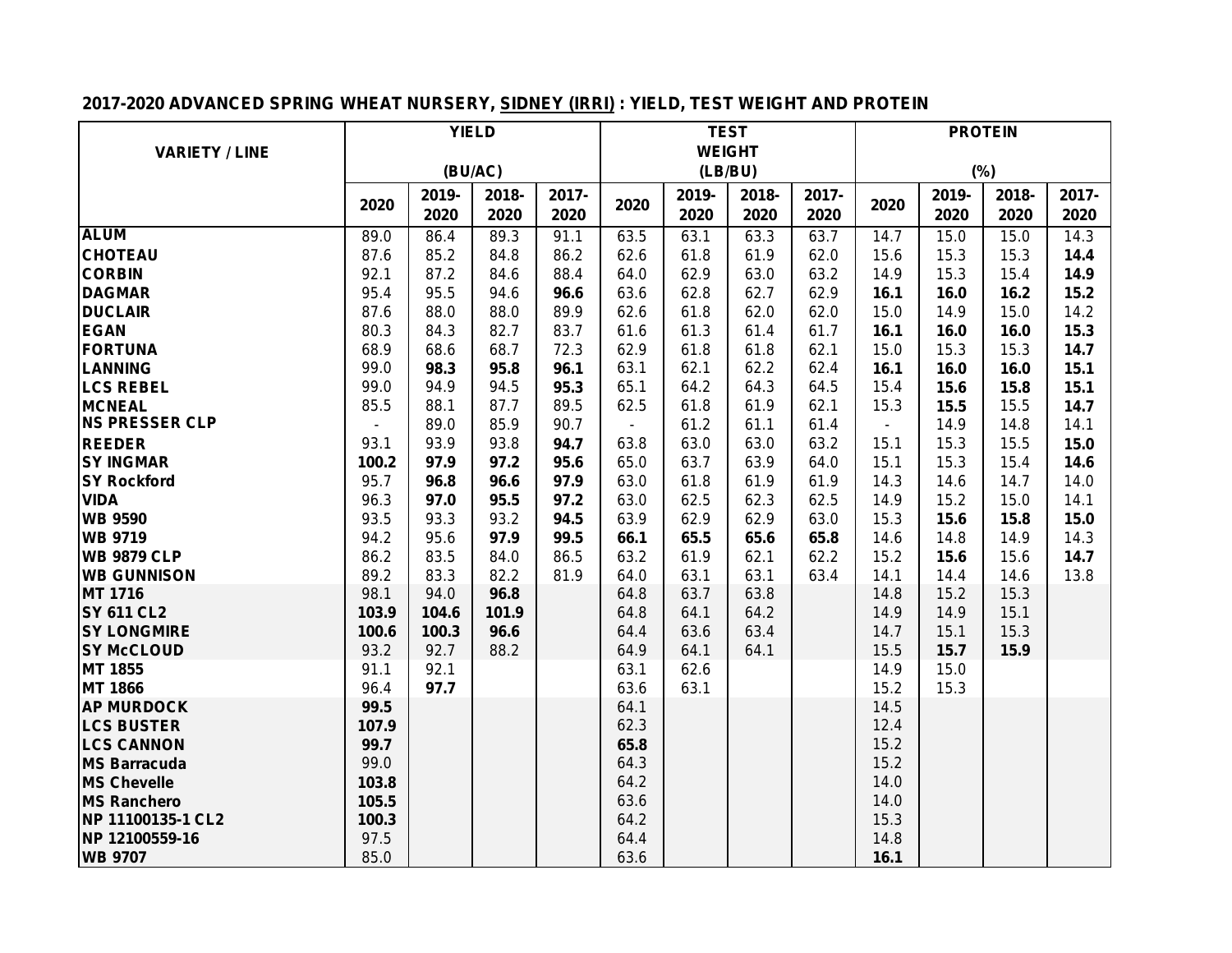## **2017-2020 ADVANCED SPRING WHEAT NURSERY, SIDNEY (IRRI) : YIELD, TEST WEIGHT AND PROTEIN**

|                                        |              |         | <b>YIELD</b> |       |                |               | <b>TEST</b> |       | <b>PROTEIN</b> |       |       |       |  |
|----------------------------------------|--------------|---------|--------------|-------|----------------|---------------|-------------|-------|----------------|-------|-------|-------|--|
| <b>VARIETY / LINE</b>                  |              |         |              |       |                | <b>WEIGHT</b> |             |       |                |       |       |       |  |
|                                        |              | (BU/AC) |              |       |                |               | (LB/BU)     |       |                | (%)   |       |       |  |
|                                        |              | 2019-   | 2018-        | 2017- |                | 2019-         | 2018-       | 2017- |                | 2019- | 2018- | 2017- |  |
|                                        | 2020         | 2020    | 2020         | 2020  | 2020           | 2020          | 2020        | 2020  | 2020           | 2020  | 2020  | 2020  |  |
| <b>ALUM</b>                            | 89.0         | 86.4    | 89.3         | 91.1  | 63.5           | 63.1          | 63.3        | 63.7  | 14.7           | 15.0  | 15.0  | 14.3  |  |
| <b>CHOTEAU</b>                         | 87.6         | 85.2    | 84.8         | 86.2  | 62.6           | 61.8          | 61.9        | 62.0  | 15.6           | 15.3  | 15.3  | 14.4  |  |
| <b>CORBIN</b>                          | 92.1         | 87.2    | 84.6         | 88.4  | 64.0           | 62.9          | 63.0        | 63.2  | 14.9           | 15.3  | 15.4  | 14.9  |  |
| <b>DAGMAR</b>                          | 95.4         | 95.5    | 94.6         | 96.6  | 63.6           | 62.8          | 62.7        | 62.9  | 16.1           | 16.0  | 16.2  | 15.2  |  |
| <b>DUCLAIR</b>                         | 87.6         | 88.0    | 88.0         | 89.9  | 62.6           | 61.8          | 62.0        | 62.0  | 15.0           | 14.9  | 15.0  | 14.2  |  |
| <b>EGAN</b>                            | 80.3         | 84.3    | 82.7         | 83.7  | 61.6           | 61.3          | 61.4        | 61.7  | 16.1           | 16.0  | 16.0  | 15.3  |  |
| <b>FORTUNA</b>                         | 68.9         | 68.6    | 68.7         | 72.3  | 62.9           | 61.8          | 61.8        | 62.1  | 15.0           | 15.3  | 15.3  | 14.7  |  |
| LANNING                                | 99.0         | 98.3    | 95.8         | 96.1  | 63.1           | 62.1          | 62.2        | 62.4  | 16.1           | 16.0  | 16.0  | 15.1  |  |
| <b>LCS REBEL</b>                       | 99.0         | 94.9    | 94.5         | 95.3  | 65.1           | 64.2          | 64.3        | 64.5  | 15.4           | 15.6  | 15.8  | 15.1  |  |
| <b>MCNEAL</b>                          | 85.5         | 88.1    | 87.7         | 89.5  | 62.5           | 61.8          | 61.9        | 62.1  | 15.3           | 15.5  | 15.5  | 14.7  |  |
| <b>NS PRESSER CLP</b>                  |              | 89.0    | 85.9         | 90.7  | $\blacksquare$ | 61.2          | 61.1        | 61.4  | $\blacksquare$ | 14.9  | 14.8  | 14.1  |  |
| <b>REEDER</b>                          | 93.1         | 93.9    | 93.8         | 94.7  | 63.8           | 63.0          | 63.0        | 63.2  | 15.1           | 15.3  | 15.5  | 15.0  |  |
| <b>SY INGMAR</b>                       | 100.2        | 97.9    | 97.2         | 95.6  | 65.0           | 63.7          | 63.9        | 64.0  | 15.1           | 15.3  | 15.4  | 14.6  |  |
| <b>SY Rockford</b>                     | 95.7         | 96.8    | 96.6         | 97.9  | 63.0           | 61.8          | 61.9        | 61.9  | 14.3           | 14.6  | 14.7  | 14.0  |  |
| <b>VIDA</b>                            | 96.3         | 97.0    | 95.5         | 97.2  | 63.0           | 62.5          | 62.3        | 62.5  | 14.9           | 15.2  | 15.0  | 14.1  |  |
| <b>WB 9590</b>                         | 93.5         | 93.3    | 93.2         | 94.5  | 63.9           | 62.9          | 62.9        | 63.0  | 15.3           | 15.6  | 15.8  | 15.0  |  |
| <b>WB 9719</b>                         | 94.2         | 95.6    | 97.9         | 99.5  | 66.1           | 65.5          | 65.6        | 65.8  | 14.6           | 14.8  | 14.9  | 14.3  |  |
| <b>WB 9879 CLP</b>                     | 86.2         | 83.5    | 84.0         | 86.5  | 63.2           | 61.9          | 62.1        | 62.2  | 15.2           | 15.6  | 15.6  | 14.7  |  |
| <b>WB GUNNISON</b>                     | 89.2         | 83.3    | 82.2         | 81.9  | 64.0           | 63.1          | 63.1        | 63.4  | 14.1           | 14.4  | 14.6  | 13.8  |  |
| <b>MT 1716</b>                         | 98.1         | 94.0    | 96.8         |       | 64.8           | 63.7          | 63.8        |       | 14.8           | 15.2  | 15.3  |       |  |
| <b>SY 611 CL2</b>                      | 103.9        | 104.6   | 101.9        |       | 64.8           | 64.1          | 64.2        |       | 14.9           | 14.9  | 15.1  |       |  |
| <b>SY LONGMIRE</b>                     | 100.6        | 100.3   | 96.6         |       | 64.4           | 63.6          | 63.4        |       | 14.7           | 15.1  | 15.3  |       |  |
| <b>SY McCLOUD</b>                      | 93.2         | 92.7    | 88.2         |       | 64.9           | 64.1          | 64.1        |       | 15.5           | 15.7  | 15.9  |       |  |
| MT 1855                                | 91.1         | 92.1    |              |       | 63.1           | 62.6          |             |       | 14.9           | 15.0  |       |       |  |
| <b>MT 1866</b>                         | 96.4<br>99.5 | 97.7    |              |       | 63.6<br>64.1   | 63.1          |             |       | 15.2           | 15.3  |       |       |  |
| <b>AP MURDOCK</b><br><b>LCS BUSTER</b> | 107.9        |         |              |       | 62.3           |               |             |       | 14.5<br>12.4   |       |       |       |  |
| <b>LCS CANNON</b>                      | 99.7         |         |              |       | 65.8           |               |             |       | 15.2           |       |       |       |  |
| <b>MS Barracuda</b>                    | 99.0         |         |              |       | 64.3           |               |             |       | 15.2           |       |       |       |  |
| <b>MS Chevelle</b>                     | 103.8        |         |              |       | 64.2           |               |             |       | 14.0           |       |       |       |  |
| <b>MS Ranchero</b>                     | 105.5        |         |              |       | 63.6           |               |             |       | 14.0           |       |       |       |  |
| NP 11100135-1 CL2                      | 100.3        |         |              |       | 64.2           |               |             |       | 15.3           |       |       |       |  |
| NP 12100559-16                         | 97.5         |         |              |       | 64.4           |               |             |       | 14.8           |       |       |       |  |
| <b>WB 9707</b>                         | 85.0         |         |              |       | 63.6           |               |             |       | 16.1           |       |       |       |  |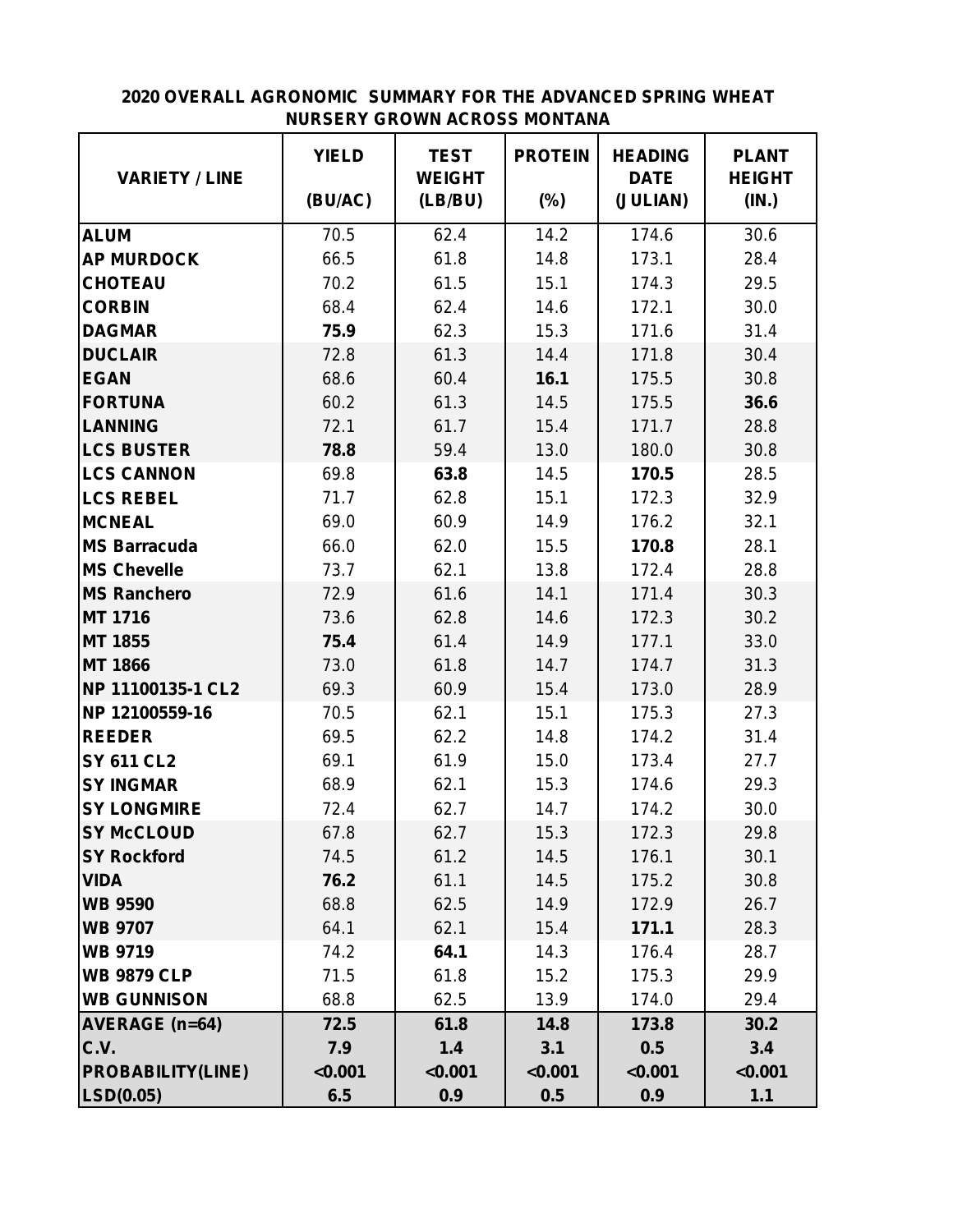#### **2020 OVERALL AGRONOMIC SUMMARY FOR THE ADVANCED SPRING WHEAT NURSERY GROWN ACROSS MONTANA**

|                          | <b>YIELD</b> | <b>TEST</b>              | <b>PROTEIN</b> | <b>HEADING</b>          | <b>PLANT</b>           |
|--------------------------|--------------|--------------------------|----------------|-------------------------|------------------------|
| <b>VARIETY / LINE</b>    | (BU/AC)      | <b>WEIGHT</b><br>(LB/BU) | $(\%)$         | <b>DATE</b><br>(JULIAN) | <b>HEIGHT</b><br>(IN.) |
| <b>ALUM</b>              | 70.5         | 62.4                     | 14.2           | 174.6                   | 30.6                   |
| <b>AP MURDOCK</b>        | 66.5         | 61.8                     | 14.8           | 173.1                   | 28.4                   |
| <b>CHOTEAU</b>           | 70.2         | 61.5                     | 15.1           | 174.3                   | 29.5                   |
| <b>CORBIN</b>            | 68.4         | 62.4                     | 14.6           | 172.1                   | 30.0                   |
| <b>DAGMAR</b>            | 75.9         | 62.3                     | 15.3           | 171.6                   | 31.4                   |
| <b>DUCLAIR</b>           | 72.8         | 61.3                     | 14.4           | 171.8                   | 30.4                   |
| <b>EGAN</b>              | 68.6         | 60.4                     | 16.1           | 175.5                   | 30.8                   |
| <b>FORTUNA</b>           | 60.2         | 61.3                     | 14.5           | 175.5                   | 36.6                   |
| <b>LANNING</b>           | 72.1         | 61.7                     | 15.4           | 171.7                   | 28.8                   |
| <b>LCS BUSTER</b>        | 78.8         | 59.4                     | 13.0           | 180.0                   | 30.8                   |
| <b>LCS CANNON</b>        | 69.8         | 63.8                     | 14.5           | 170.5                   | 28.5                   |
| <b>LCS REBEL</b>         | 71.7         | 62.8                     | 15.1           | 172.3                   | 32.9                   |
| <b>MCNEAL</b>            | 69.0         | 60.9                     | 14.9           | 176.2                   | 32.1                   |
| <b>MS Barracuda</b>      | 66.0         | 62.0                     | 15.5           | 170.8                   | 28.1                   |
| <b>MS Chevelle</b>       | 73.7         | 62.1                     | 13.8           | 172.4                   | 28.8                   |
| <b>MS Ranchero</b>       | 72.9         | 61.6                     | 14.1           | 171.4                   | 30.3                   |
| <b>MT 1716</b>           | 73.6         | 62.8                     | 14.6           | 172.3                   | 30.2                   |
| <b>MT 1855</b>           | 75.4         | 61.4                     | 14.9           | 177.1                   | 33.0                   |
| <b>MT 1866</b>           | 73.0         | 61.8                     | 14.7           | 174.7                   | 31.3                   |
| NP 11100135-1 CL2        | 69.3         | 60.9                     | 15.4           | 173.0                   | 28.9                   |
| NP 12100559-16           | 70.5         | 62.1                     | 15.1           | 175.3                   | 27.3                   |
| <b>REEDER</b>            | 69.5         | 62.2                     | 14.8           | 174.2                   | 31.4                   |
| <b>SY 611 CL2</b>        | 69.1         | 61.9                     | 15.0           | 173.4                   | 27.7                   |
| <b>SY INGMAR</b>         | 68.9         | 62.1                     | 15.3           | 174.6                   | 29.3                   |
| <b>SY LONGMIRE</b>       | 72.4         | 62.7                     | 14.7           | 174.2                   | 30.0                   |
| <b>SY McCLOUD</b>        | 67.8         | 62.7                     | 15.3           | 172.3                   | 29.8                   |
| <b>SY Rockford</b>       | 74.5         | 61.2                     | 14.5           | 176.1                   | 30.1                   |
| <b>VIDA</b>              | 76.2         | 61.1                     | 14.5           | 175.2                   | 30.8                   |
| <b>WB 9590</b>           | 68.8         | 62.5                     | 14.9           | 172.9                   | 26.7                   |
| <b>WB 9707</b>           | 64.1         | 62.1                     | 15.4           | 171.1                   | 28.3                   |
| <b>WB 9719</b>           | 74.2         | 64.1                     | 14.3           | 176.4                   | 28.7                   |
| <b>WB 9879 CLP</b>       | 71.5         | 61.8                     | 15.2           | 175.3                   | 29.9                   |
| <b>WB GUNNISON</b>       | 68.8         | 62.5                     | 13.9           | 174.0                   | 29.4                   |
| <b>AVERAGE (n=64)</b>    | 72.5         | 61.8                     | 14.8           | 173.8                   | 30.2                   |
| C.V.                     | 7.9          | 1.4                      | 3.1            | 0.5                     | 3.4                    |
| <b>PROBABILITY(LINE)</b> | < 0.001      | < 0.001                  | < 0.001        | < 0.001                 | < 0.001                |
| LSD(0.05)                | 6.5          | 0.9                      | 0.5            | 0.9                     | $1.1$                  |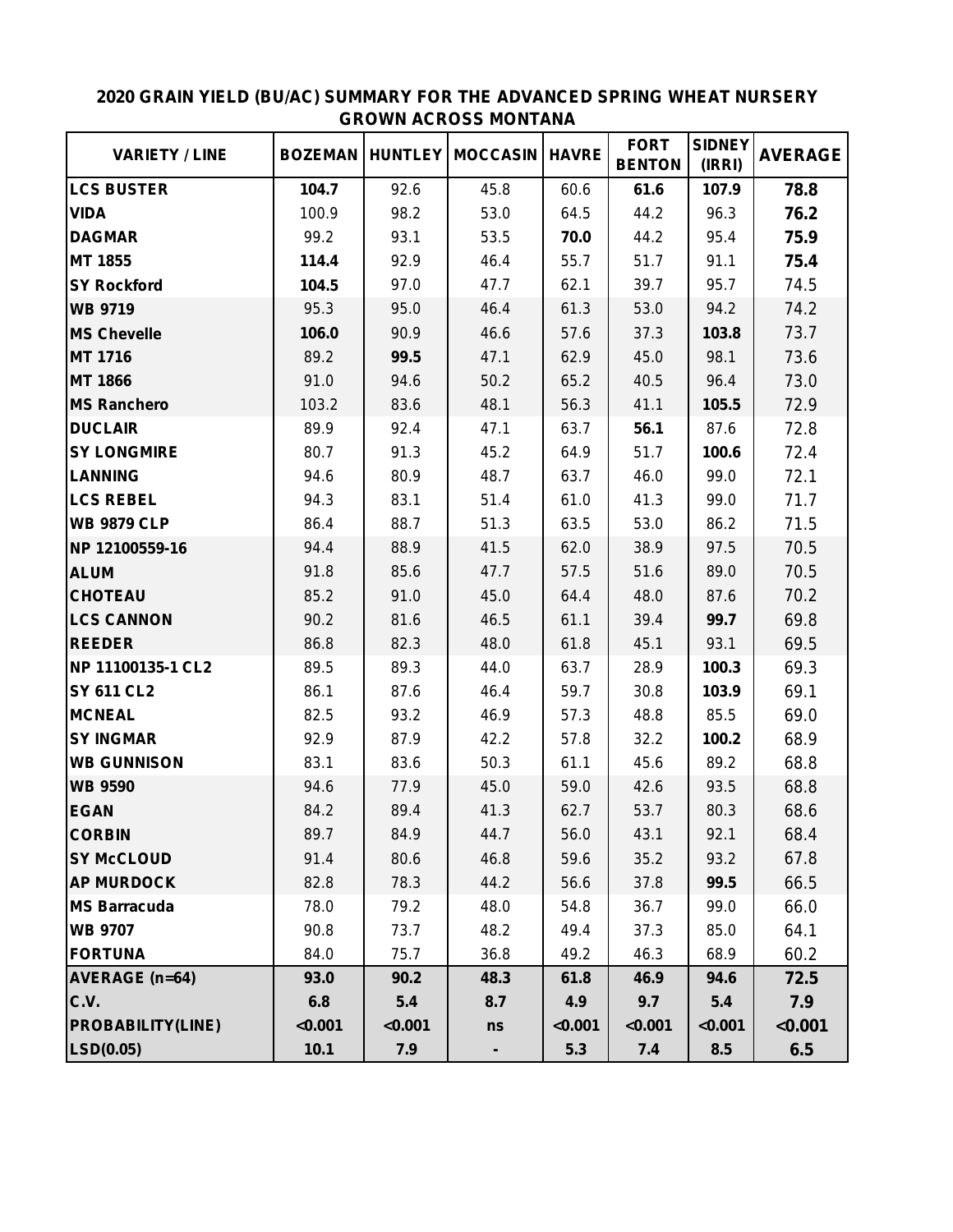| <b>VARIETY / LINE</b>    | <b>BOZEMAN</b> |         | <b>HUNTLEY   MOCCASIN</b> | <b>HAVRE</b> | <b>FORT</b><br><b>BENTON</b> | <b>SIDNEY</b><br>(IRRI) | <b>AVERAGE</b> |
|--------------------------|----------------|---------|---------------------------|--------------|------------------------------|-------------------------|----------------|
| <b>LCS BUSTER</b>        | 104.7          | 92.6    | 45.8                      | 60.6         | 61.6                         | 107.9                   | 78.8           |
| <b>VIDA</b>              | 100.9          | 98.2    | 53.0                      | 64.5         | 44.2                         | 96.3                    | 76.2           |
| <b>DAGMAR</b>            | 99.2           | 93.1    | 53.5                      | 70.0         | 44.2                         | 95.4                    | 75.9           |
| <b>MT 1855</b>           | 114.4          | 92.9    | 46.4                      | 55.7         | 51.7                         | 91.1                    | 75.4           |
| <b>SY Rockford</b>       | 104.5          | 97.0    | 47.7                      | 62.1         | 39.7                         | 95.7                    | 74.5           |
| <b>WB 9719</b>           | 95.3           | 95.0    | 46.4                      | 61.3         | 53.0                         | 94.2                    | 74.2           |
| <b>MS Chevelle</b>       | 106.0          | 90.9    | 46.6                      | 57.6         | 37.3                         | 103.8                   | 73.7           |
| <b>MT 1716</b>           | 89.2           | 99.5    | 47.1                      | 62.9         | 45.0                         | 98.1                    | 73.6           |
| <b>MT 1866</b>           | 91.0           | 94.6    | 50.2                      | 65.2         | 40.5                         | 96.4                    | 73.0           |
| <b>MS Ranchero</b>       | 103.2          | 83.6    | 48.1                      | 56.3         | 41.1                         | 105.5                   | 72.9           |
| <b>DUCLAIR</b>           | 89.9           | 92.4    | 47.1                      | 63.7         | 56.1                         | 87.6                    | 72.8           |
| <b>SY LONGMIRE</b>       | 80.7           | 91.3    | 45.2                      | 64.9         | 51.7                         | 100.6                   | 72.4           |
| <b>LANNING</b>           | 94.6           | 80.9    | 48.7                      | 63.7         | 46.0                         | 99.0                    | 72.1           |
| <b>LCS REBEL</b>         | 94.3           | 83.1    | 51.4                      | 61.0         | 41.3                         | 99.0                    | 71.7           |
| <b>WB 9879 CLP</b>       | 86.4           | 88.7    | 51.3                      | 63.5         | 53.0                         | 86.2                    | 71.5           |
| NP 12100559-16           | 94.4           | 88.9    | 41.5                      | 62.0         | 38.9                         | 97.5                    | 70.5           |
| <b>ALUM</b>              | 91.8           | 85.6    | 47.7                      | 57.5         | 51.6                         | 89.0                    | 70.5           |
| <b>CHOTEAU</b>           | 85.2           | 91.0    | 45.0                      | 64.4         | 48.0                         | 87.6                    | 70.2           |
| <b>LCS CANNON</b>        | 90.2           | 81.6    | 46.5                      | 61.1         | 39.4                         | 99.7                    | 69.8           |
| <b>REEDER</b>            | 86.8           | 82.3    | 48.0                      | 61.8         | 45.1                         | 93.1                    | 69.5           |
| NP 11100135-1 CL2        | 89.5           | 89.3    | 44.0                      | 63.7         | 28.9                         | 100.3                   | 69.3           |
| <b>SY 611 CL2</b>        | 86.1           | 87.6    | 46.4                      | 59.7         | 30.8                         | 103.9                   | 69.1           |
| <b>MCNEAL</b>            | 82.5           | 93.2    | 46.9                      | 57.3         | 48.8                         | 85.5                    | 69.0           |
| <b>SY INGMAR</b>         | 92.9           | 87.9    | 42.2                      | 57.8         | 32.2                         | 100.2                   | 68.9           |
| <b>WB GUNNISON</b>       | 83.1           | 83.6    | 50.3                      | 61.1         | 45.6                         | 89.2                    | 68.8           |
| <b>WB 9590</b>           | 94.6           | 77.9    | 45.0                      | 59.0         | 42.6                         | 93.5                    | 68.8           |
| <b>EGAN</b>              | 84.2           | 89.4    | 41.3                      | 62.7         | 53.7                         | 80.3                    | 68.6           |
| <b>CORBIN</b>            | 89.7           | 84.9    | 44.7                      | 56.0         | 43.1                         | 92.1                    | 68.4           |
| <b>SY McCLOUD</b>        | 91.4           | 80.6    | 46.8                      | 59.6         | 35.2                         | 93.2                    | 67.8           |
| <b>AP MURDOCK</b>        | 82.8           | 78.3    | 44.2                      | 56.6         | 37.8                         | 99.5                    | 66.5           |
| <b>MS Barracuda</b>      | 78.0           | 79.2    | 48.0                      | 54.8         | 36.7                         | 99.0                    | 66.0           |
| <b>WB 9707</b>           | 90.8           | 73.7    | 48.2                      | 49.4         | 37.3                         | 85.0                    | 64.1           |
| <b>FORTUNA</b>           | 84.0           | 75.7    | 36.8                      | 49.2         | 46.3                         | 68.9                    | 60.2           |
| <b>AVERAGE (n=64)</b>    | 93.0           | 90.2    | 48.3                      | 61.8         | 46.9                         | 94.6                    | 72.5           |
| C.V.                     | 6.8            | 5.4     | 8.7                       | 4.9          | 9.7                          | 5.4                     | 7.9            |
| <b>PROBABILITY(LINE)</b> | < 0.001        | < 0.001 | ns                        | < 0.001      | < 0.001                      | < 0.001                 | < 0.001        |
| LSD(0.05)                | 10.1           | 7.9     | ۰.                        | 5.3          | 7.4                          | 8.5                     | 6.5            |

#### **2020 GRAIN YIELD (BU/AC) SUMMARY FOR THE ADVANCED SPRING WHEAT NURSERY GROWN ACROSS MONTANA**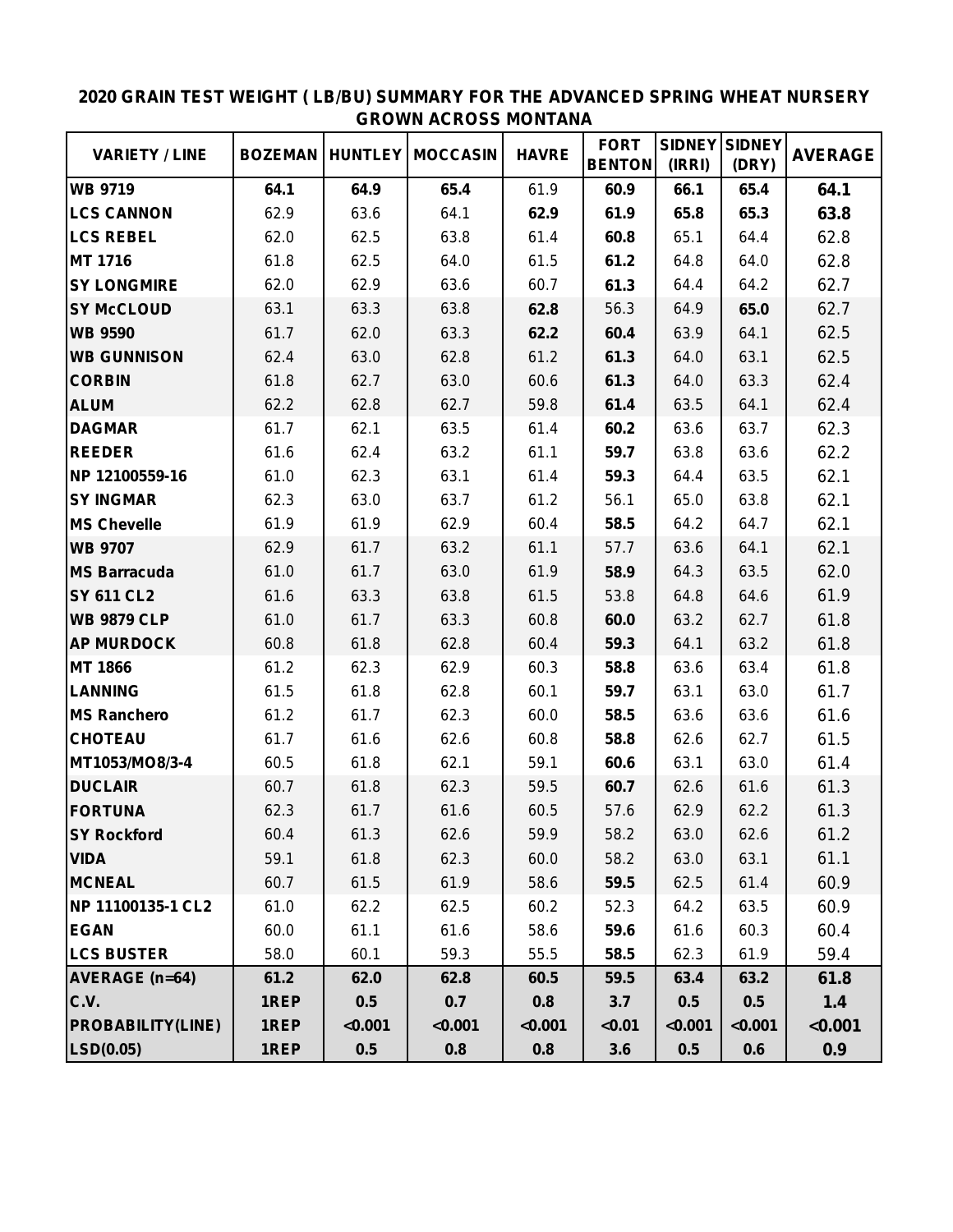|                          |                |         |                           |              | <b>FORT</b>   | <b>SIDNEY</b> | <b>SIDNEY</b> |                |
|--------------------------|----------------|---------|---------------------------|--------------|---------------|---------------|---------------|----------------|
| <b>VARIETY / LINE</b>    | <b>BOZEMAN</b> |         | <b>HUNTLEY   MOCCASIN</b> | <b>HAVRE</b> | <b>BENTON</b> | (IRRI)        | (DRY)         | <b>AVERAGE</b> |
| <b>WB 9719</b>           | 64.1           | 64.9    | 65.4                      | 61.9         | 60.9          | 66.1          | 65.4          | 64.1           |
| <b>LCS CANNON</b>        | 62.9           | 63.6    | 64.1                      | 62.9         | 61.9          | 65.8          | 65.3          | 63.8           |
| <b>LCS REBEL</b>         | 62.0           | 62.5    | 63.8                      | 61.4         | 60.8          | 65.1          | 64.4          | 62.8           |
| <b>MT 1716</b>           | 61.8           | 62.5    | 64.0                      | 61.5         | 61.2          | 64.8          | 64.0          | 62.8           |
| <b>SY LONGMIRE</b>       | 62.0           | 62.9    | 63.6                      | 60.7         | 61.3          | 64.4          | 64.2          | 62.7           |
| <b>SY McCLOUD</b>        | 63.1           | 63.3    | 63.8                      | 62.8         | 56.3          | 64.9          | 65.0          | 62.7           |
| <b>WB 9590</b>           | 61.7           | 62.0    | 63.3                      | 62.2         | 60.4          | 63.9          | 64.1          | 62.5           |
| <b>WB GUNNISON</b>       | 62.4           | 63.0    | 62.8                      | 61.2         | 61.3          | 64.0          | 63.1          | 62.5           |
| <b>CORBIN</b>            | 61.8           | 62.7    | 63.0                      | 60.6         | 61.3          | 64.0          | 63.3          | 62.4           |
| <b>ALUM</b>              | 62.2           | 62.8    | 62.7                      | 59.8         | 61.4          | 63.5          | 64.1          | 62.4           |
| <b>DAGMAR</b>            | 61.7           | 62.1    | 63.5                      | 61.4         | 60.2          | 63.6          | 63.7          | 62.3           |
| <b>REEDER</b>            | 61.6           | 62.4    | 63.2                      | 61.1         | 59.7          | 63.8          | 63.6          | 62.2           |
| NP 12100559-16           | 61.0           | 62.3    | 63.1                      | 61.4         | 59.3          | 64.4          | 63.5          | 62.1           |
| <b>SY INGMAR</b>         | 62.3           | 63.0    | 63.7                      | 61.2         | 56.1          | 65.0          | 63.8          | 62.1           |
| <b>MS Chevelle</b>       | 61.9           | 61.9    | 62.9                      | 60.4         | 58.5          | 64.2          | 64.7          | 62.1           |
| <b>WB 9707</b>           | 62.9           | 61.7    | 63.2                      | 61.1         | 57.7          | 63.6          | 64.1          | 62.1           |
| <b>MS Barracuda</b>      | 61.0           | 61.7    | 63.0                      | 61.9         | 58.9          | 64.3          | 63.5          | 62.0           |
| <b>SY 611 CL2</b>        | 61.6           | 63.3    | 63.8                      | 61.5         | 53.8          | 64.8          | 64.6          | 61.9           |
| <b>WB 9879 CLP</b>       | 61.0           | 61.7    | 63.3                      | 60.8         | 60.0          | 63.2          | 62.7          | 61.8           |
| <b>AP MURDOCK</b>        | 60.8           | 61.8    | 62.8                      | 60.4         | 59.3          | 64.1          | 63.2          | 61.8           |
| <b>MT 1866</b>           | 61.2           | 62.3    | 62.9                      | 60.3         | 58.8          | 63.6          | 63.4          | 61.8           |
| <b>LANNING</b>           | 61.5           | 61.8    | 62.8                      | 60.1         | 59.7          | 63.1          | 63.0          | 61.7           |
| <b>MS Ranchero</b>       | 61.2           | 61.7    | 62.3                      | 60.0         | 58.5          | 63.6          | 63.6          | 61.6           |
| <b>CHOTEAU</b>           | 61.7           | 61.6    | 62.6                      | 60.8         | 58.8          | 62.6          | 62.7          | 61.5           |
| MT1053/MO8/3-4           | 60.5           | 61.8    | 62.1                      | 59.1         | 60.6          | 63.1          | 63.0          | 61.4           |
| <b>DUCLAIR</b>           | 60.7           | 61.8    | 62.3                      | 59.5         | 60.7          | 62.6          | 61.6          | 61.3           |
| <b>FORTUNA</b>           | 62.3           | 61.7    | 61.6                      | 60.5         | 57.6          | 62.9          | 62.2          | 61.3           |
| <b>SY Rockford</b>       | 60.4           | 61.3    | 62.6                      | 59.9         | 58.2          | 63.0          | 62.6          | 61.2           |
| <b>VIDA</b>              | 59.1           | 61.8    | 62.3                      | 60.0         | 58.2          | 63.0          | 63.1          | 61.1           |
| <b>MCNEAL</b>            | 60.7           | 61.5    | 61.9                      | 58.6         | 59.5          | 62.5          | 61.4          | 60.9           |
| NP 11100135-1 CL2        | 61.0           | 62.2    | 62.5                      | 60.2         | 52.3          | 64.2          | 63.5          | 60.9           |
| <b>EGAN</b>              | 60.0           | 61.1    | 61.6                      | 58.6         | 59.6          | 61.6          | 60.3          | 60.4           |
| <b>LCS BUSTER</b>        | 58.0           | 60.1    | 59.3                      | 55.5         | 58.5          | 62.3          | 61.9          | 59.4           |
| <b>AVERAGE</b> (n=64)    | 61.2           | 62.0    | 62.8                      | 60.5         | 59.5          | 63.4          | 63.2          | 61.8           |
| C.V.                     | 1REP           | 0.5     | 0.7                       | 0.8          | 3.7           | 0.5           | 0.5           | 1.4            |
| <b>PROBABILITY(LINE)</b> | 1REP           | < 0.001 | < 0.001                   | < 0.001      | < 0.01        | < 0.001       | < 0.001       | < 0.001        |
| LSD(0.05)                | 1REP           | 0.5     | 0.8                       | 0.8          | 3.6           | 0.5           | 0.6           | 0.9            |

## **2020 GRAIN TEST WEIGHT ( LB/BU) SUMMARY FOR THE ADVANCED SPRING WHEAT NURSERY GROWN ACROSS MONTANA**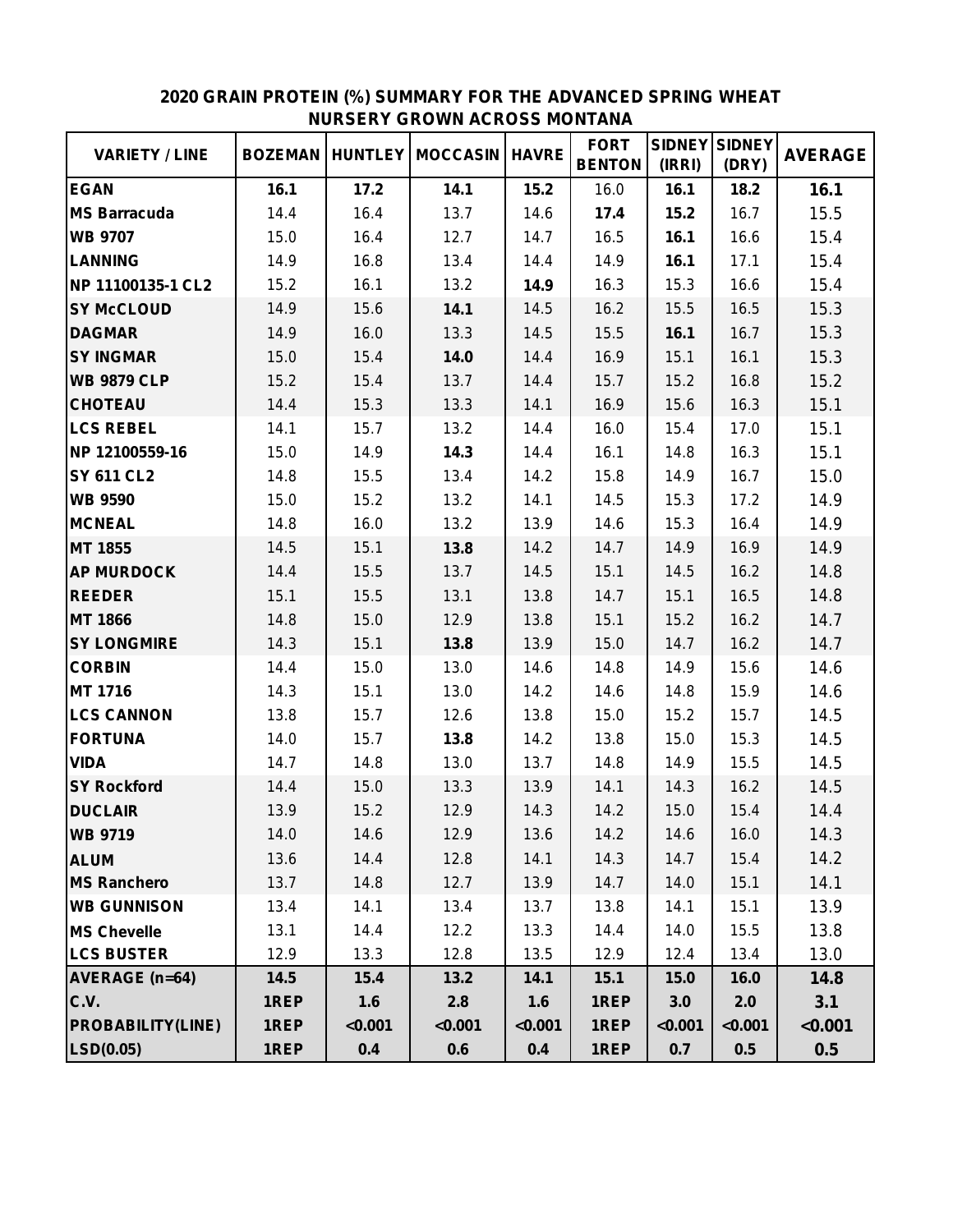| <b>VARIETY / LINE</b>    | <b>BOZEMAN</b> |         | <b>HUNTLEY   MOCCASIN</b> | <b>HAVRE</b> | <b>FORT</b><br><b>BENTON</b> | <b>SIDNEY</b><br>(IRRI) | <b>SIDNEY</b><br>(DRY) | <b>AVERAGE</b> |
|--------------------------|----------------|---------|---------------------------|--------------|------------------------------|-------------------------|------------------------|----------------|
| <b>EGAN</b>              | 16.1           | 17.2    | 14.1                      | 15.2         | 16.0                         | 16.1                    | 18.2                   | 16.1           |
| <b>MS Barracuda</b>      | 14.4           | 16.4    | 13.7                      | 14.6         | 17.4                         | 15.2                    | 16.7                   | 15.5           |
| <b>WB 9707</b>           | 15.0           | 16.4    | 12.7                      | 14.7         | 16.5                         | 16.1                    | 16.6                   | 15.4           |
| <b>LANNING</b>           | 14.9           | 16.8    | 13.4                      | 14.4         | 14.9                         | 16.1                    | 17.1                   | 15.4           |
| NP 11100135-1 CL2        | 15.2           | 16.1    | 13.2                      | 14.9         | 16.3                         | 15.3                    | 16.6                   | 15.4           |
| <b>SY McCLOUD</b>        | 14.9           | 15.6    | 14.1                      | 14.5         | 16.2                         | 15.5                    | 16.5                   | 15.3           |
| <b>DAGMAR</b>            | 14.9           | 16.0    | 13.3                      | 14.5         | 15.5                         | 16.1                    | 16.7                   | 15.3           |
| <b>SY INGMAR</b>         | 15.0           | 15.4    | 14.0                      | 14.4         | 16.9                         | 15.1                    | 16.1                   | 15.3           |
| <b>WB 9879 CLP</b>       | 15.2           | 15.4    | 13.7                      | 14.4         | 15.7                         | 15.2                    | 16.8                   | 15.2           |
| <b>CHOTEAU</b>           | 14.4           | 15.3    | 13.3                      | 14.1         | 16.9                         | 15.6                    | 16.3                   | 15.1           |
| <b>LCS REBEL</b>         | 14.1           | 15.7    | 13.2                      | 14.4         | 16.0                         | 15.4                    | 17.0                   | 15.1           |
| NP 12100559-16           | 15.0           | 14.9    | 14.3                      | 14.4         | 16.1                         | 14.8                    | 16.3                   | 15.1           |
| <b>SY 611 CL2</b>        | 14.8           | 15.5    | 13.4                      | 14.2         | 15.8                         | 14.9                    | 16.7                   | 15.0           |
| <b>WB 9590</b>           | 15.0           | 15.2    | 13.2                      | 14.1         | 14.5                         | 15.3                    | 17.2                   | 14.9           |
| <b>MCNEAL</b>            | 14.8           | 16.0    | 13.2                      | 13.9         | 14.6                         | 15.3                    | 16.4                   | 14.9           |
| MT 1855                  | 14.5           | 15.1    | 13.8                      | 14.2         | 14.7                         | 14.9                    | 16.9                   | 14.9           |
| <b>AP MURDOCK</b>        | 14.4           | 15.5    | 13.7                      | 14.5         | 15.1                         | 14.5                    | 16.2                   | 14.8           |
| <b>REEDER</b>            | 15.1           | 15.5    | 13.1                      | 13.8         | 14.7                         | 15.1                    | 16.5                   | 14.8           |
| <b>MT 1866</b>           | 14.8           | 15.0    | 12.9                      | 13.8         | 15.1                         | 15.2                    | 16.2                   | 14.7           |
| <b>SY LONGMIRE</b>       | 14.3           | 15.1    | 13.8                      | 13.9         | 15.0                         | 14.7                    | 16.2                   | 14.7           |
| <b>CORBIN</b>            | 14.4           | 15.0    | 13.0                      | 14.6         | 14.8                         | 14.9                    | 15.6                   | 14.6           |
| MT 1716                  | 14.3           | 15.1    | 13.0                      | 14.2         | 14.6                         | 14.8                    | 15.9                   | 14.6           |
| <b>LCS CANNON</b>        | 13.8           | 15.7    | 12.6                      | 13.8         | 15.0                         | 15.2                    | 15.7                   | 14.5           |
| <b>FORTUNA</b>           | 14.0           | 15.7    | 13.8                      | 14.2         | 13.8                         | 15.0                    | 15.3                   | 14.5           |
| <b>VIDA</b>              | 14.7           | 14.8    | 13.0                      | 13.7         | 14.8                         | 14.9                    | 15.5                   | 14.5           |
| <b>SY Rockford</b>       | 14.4           | 15.0    | 13.3                      | 13.9         | 14.1                         | 14.3                    | 16.2                   | 14.5           |
| <b>DUCLAIR</b>           | 13.9           | 15.2    | 12.9                      | 14.3         | 14.2                         | 15.0                    | 15.4                   | 14.4           |
| <b>WB 9719</b>           | 14.0           | 14.6    | 12.9                      | 13.6         | 14.2                         | 14.6                    | 16.0                   | 14.3           |
| <b>ALUM</b>              | 13.6           | 14.4    | 12.8                      | 14.1         | 14.3                         | 14.7                    | 15.4                   | 14.2           |
| <b>MS Ranchero</b>       | 13.7           | 14.8    | 12.7                      | 13.9         | 14.7                         | 14.0                    | 15.1                   | 14.1           |
| <b>WB GUNNISON</b>       | 13.4           | 14.1    | 13.4                      | 13.7         | 13.8                         | 14.1                    | 15.1                   | 13.9           |
| <b>MS Chevelle</b>       | 13.1           | 14.4    | 12.2                      | 13.3         | 14.4                         | 14.0                    | 15.5                   | 13.8           |
| <b>LCS BUSTER</b>        | 12.9           | 13.3    | 12.8                      | 13.5         | 12.9                         | 12.4                    | 13.4                   | 13.0           |
| <b>AVERAGE (n=64)</b>    | 14.5           | 15.4    | 13.2                      | 14.1         | 15.1                         | 15.0                    | 16.0                   | 14.8           |
| C.V.                     | 1REP           | 1.6     | 2.8                       | 1.6          | 1REP                         | 3.0                     | 2.0                    | 3.1            |
| <b>PROBABILITY(LINE)</b> | 1REP           | < 0.001 | < 0.001                   | < 0.001      | 1REP                         | < 0.001                 | < 0.001                | < 0.001        |
| LSD(0.05)                | 1REP           | 0.4     | 0.6                       | 0.4          | 1REP                         | 0.7                     | 0.5                    | 0.5            |

## **2020 GRAIN PROTEIN (%) SUMMARY FOR THE ADVANCED SPRING WHEAT NURSERY GROWN ACROSS MONTANA**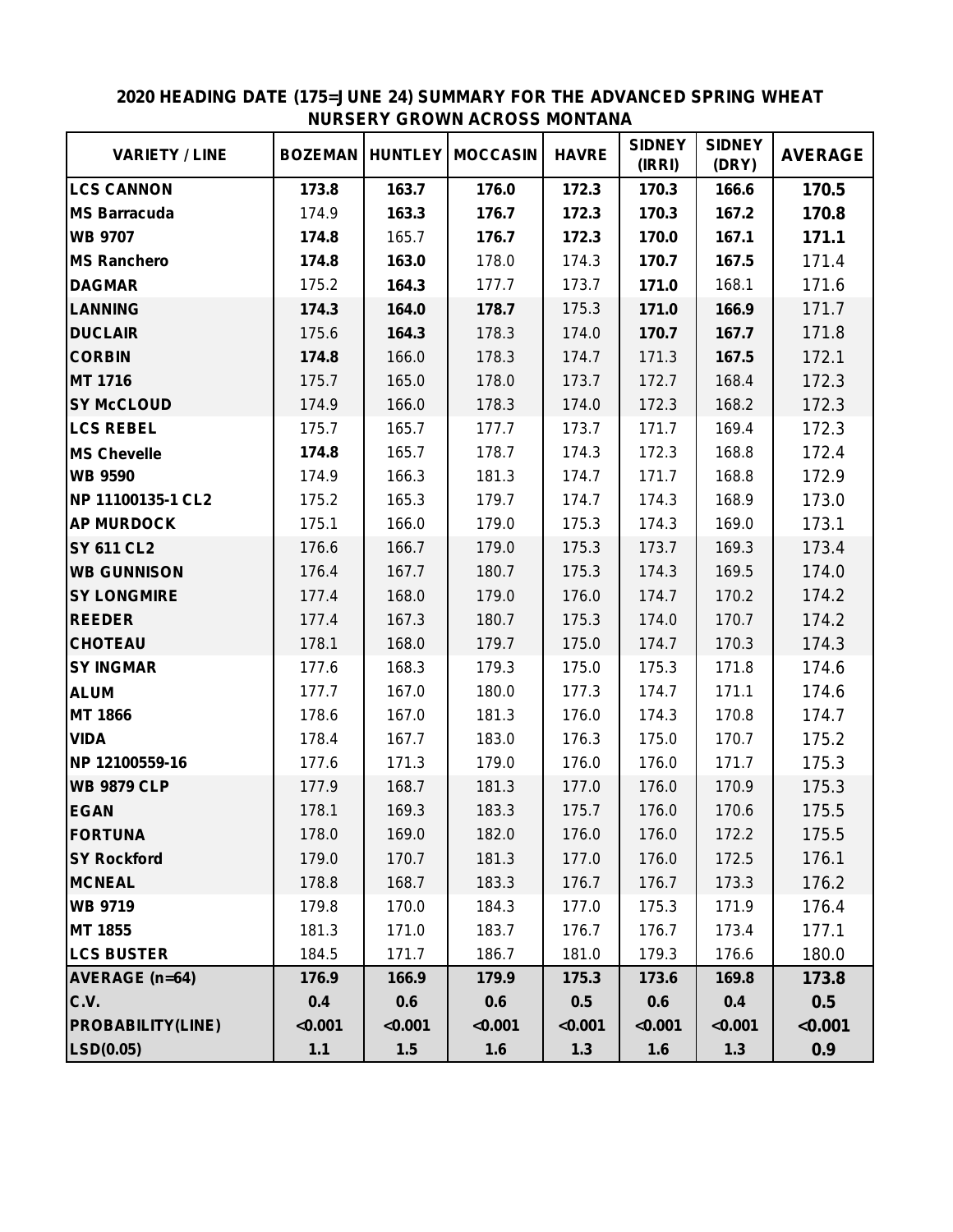| <b>VARIETY / LINE</b>    | <b>BOZEMAN</b> |         | <b>HUNTLEY   MOCCASIN</b> | <b>HAVRE</b> | <b>SIDNEY</b><br>(IRRI) | <b>SIDNEY</b><br>(DRY) | <b>AVERAGE</b> |
|--------------------------|----------------|---------|---------------------------|--------------|-------------------------|------------------------|----------------|
| <b>LCS CANNON</b>        | 173.8          | 163.7   | 176.0                     | 172.3        | 170.3                   | 166.6                  | 170.5          |
| <b>MS Barracuda</b>      | 174.9          | 163.3   | 176.7                     | 172.3        | 170.3                   | 167.2                  | 170.8          |
| <b>WB 9707</b>           | 174.8          | 165.7   | 176.7                     | 172.3        | 170.0                   | 167.1                  | 171.1          |
| <b>MS Ranchero</b>       | 174.8          | 163.0   | 178.0                     | 174.3        | 170.7                   | 167.5                  | 171.4          |
| <b>DAGMAR</b>            | 175.2          | 164.3   | 177.7                     | 173.7        | 171.0                   | 168.1                  | 171.6          |
| <b>LANNING</b>           | 174.3          | 164.0   | 178.7                     | 175.3        | 171.0                   | 166.9                  | 171.7          |
| <b>DUCLAIR</b>           | 175.6          | 164.3   | 178.3                     | 174.0        | 170.7                   | 167.7                  | 171.8          |
| <b>CORBIN</b>            | 174.8          | 166.0   | 178.3                     | 174.7        | 171.3                   | 167.5                  | 172.1          |
| MT 1716                  | 175.7          | 165.0   | 178.0                     | 173.7        | 172.7                   | 168.4                  | 172.3          |
| <b>SY McCLOUD</b>        | 174.9          | 166.0   | 178.3                     | 174.0        | 172.3                   | 168.2                  | 172.3          |
| <b>LCS REBEL</b>         | 175.7          | 165.7   | 177.7                     | 173.7        | 171.7                   | 169.4                  | 172.3          |
| <b>MS Chevelle</b>       | 174.8          | 165.7   | 178.7                     | 174.3        | 172.3                   | 168.8                  | 172.4          |
| <b>WB 9590</b>           | 174.9          | 166.3   | 181.3                     | 174.7        | 171.7                   | 168.8                  | 172.9          |
| NP 11100135-1 CL2        | 175.2          | 165.3   | 179.7                     | 174.7        | 174.3                   | 168.9                  | 173.0          |
| <b>AP MURDOCK</b>        | 175.1          | 166.0   | 179.0                     | 175.3        | 174.3                   | 169.0                  | 173.1          |
| <b>SY 611 CL2</b>        | 176.6          | 166.7   | 179.0                     | 175.3        | 173.7                   | 169.3                  | 173.4          |
| <b>WB GUNNISON</b>       | 176.4          | 167.7   | 180.7                     | 175.3        | 174.3                   | 169.5                  | 174.0          |
| <b>SY LONGMIRE</b>       | 177.4          | 168.0   | 179.0                     | 176.0        | 174.7                   | 170.2                  | 174.2          |
| <b>REEDER</b>            | 177.4          | 167.3   | 180.7                     | 175.3        | 174.0                   | 170.7                  | 174.2          |
| <b>CHOTEAU</b>           | 178.1          | 168.0   | 179.7                     | 175.0        | 174.7                   | 170.3                  | 174.3          |
| <b>SY INGMAR</b>         | 177.6          | 168.3   | 179.3                     | 175.0        | 175.3                   | 171.8                  | 174.6          |
| <b>ALUM</b>              | 177.7          | 167.0   | 180.0                     | 177.3        | 174.7                   | 171.1                  | 174.6          |
| MT 1866                  | 178.6          | 167.0   | 181.3                     | 176.0        | 174.3                   | 170.8                  | 174.7          |
| <b>VIDA</b>              | 178.4          | 167.7   | 183.0                     | 176.3        | 175.0                   | 170.7                  | 175.2          |
| NP 12100559-16           | 177.6          | 171.3   | 179.0                     | 176.0        | 176.0                   | 171.7                  | 175.3          |
| <b>WB 9879 CLP</b>       | 177.9          | 168.7   | 181.3                     | 177.0        | 176.0                   | 170.9                  | 175.3          |
| <b>EGAN</b>              | 178.1          | 169.3   | 183.3                     | 175.7        | 176.0                   | 170.6                  | 175.5          |
| <b>FORTUNA</b>           | 178.0          | 169.0   | 182.0                     | 176.0        | 176.0                   | 172.2                  | 175.5          |
| <b>SY Rockford</b>       | 179.0          | 170.7   | 181.3                     | 177.0        | 176.0                   | 172.5                  | 176.1          |
| <b>MCNEAL</b>            | 178.8          | 168.7   | 183.3                     | 176.7        | 176.7                   | 173.3                  | 176.2          |
| <b>WB 9719</b>           | 179.8          | 170.0   | 184.3                     | 177.0        | 175.3                   | 171.9                  | 176.4          |
| MT 1855                  | 181.3          | 171.0   | 183.7                     | 176.7        | 176.7                   | 173.4                  | 177.1          |
| <b>LCS BUSTER</b>        | 184.5          | 171.7   | 186.7                     | 181.0        | 179.3                   | 176.6                  | 180.0          |
| AVERAGE (n=64)           | 176.9          | 166.9   | 179.9                     | 175.3        | 173.6                   | 169.8                  | 173.8          |
| C.V.                     | 0.4            | 0.6     | 0.6                       | 0.5          | 0.6                     | 0.4                    | 0.5            |
| <b>PROBABILITY(LINE)</b> | < 0.001        | < 0.001 | < 0.001                   | < 0.001      | < 0.001                 | < 0.001                | < 0.001        |
| LSD(0.05)                | $1.1$          | 1.5     | 1.6                       | 1.3          | 1.6                     | $1.3$                  | 0.9            |

## **2020 HEADING DATE (175=JUNE 24) SUMMARY FOR THE ADVANCED SPRING WHEAT NURSERY GROWN ACROSS MONTANA**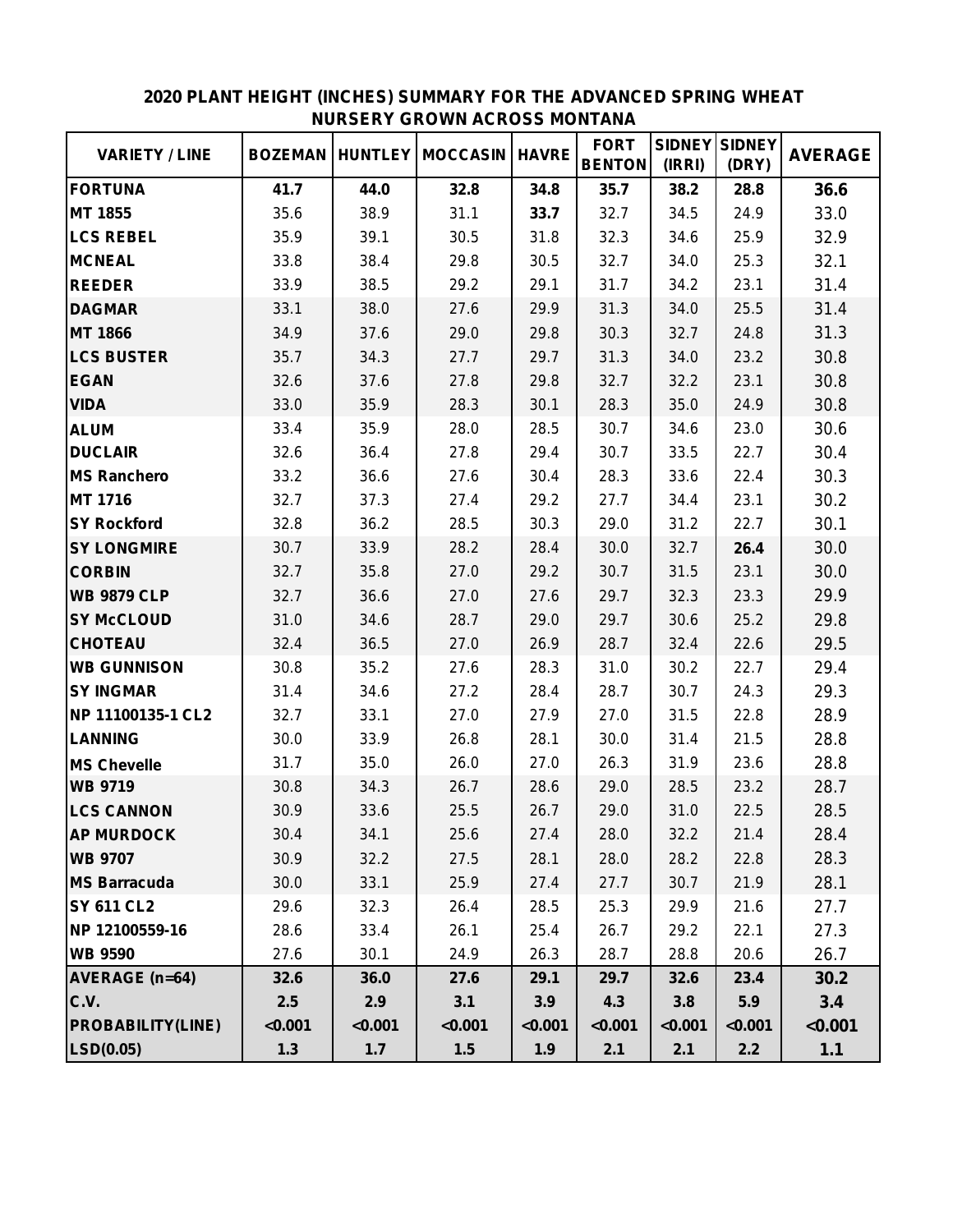| <b>VARIETY / LINE</b>    | <b>BOZEMAN</b> | <b>HUNTLEY</b> | <b>MOCCASIN</b> | <b>HAVRE</b> | <b>FORT</b><br><b>BENTON</b> | <b>SIDNEY</b><br>(IRRI) | <b>SIDNEY</b><br>(DRY) | <b>AVERAGE</b> |
|--------------------------|----------------|----------------|-----------------|--------------|------------------------------|-------------------------|------------------------|----------------|
| <b>FORTUNA</b>           | 41.7           | 44.0           | 32.8            | 34.8         | 35.7                         | 38.2                    | 28.8                   | 36.6           |
| MT 1855                  | 35.6           | 38.9           | 31.1            | 33.7         | 32.7                         | 34.5                    | 24.9                   | 33.0           |
| <b>LCS REBEL</b>         | 35.9           | 39.1           | 30.5            | 31.8         | 32.3                         | 34.6                    | 25.9                   | 32.9           |
| <b>MCNEAL</b>            | 33.8           | 38.4           | 29.8            | 30.5         | 32.7                         | 34.0                    | 25.3                   | 32.1           |
| <b>REEDER</b>            | 33.9           | 38.5           | 29.2            | 29.1         | 31.7                         | 34.2                    | 23.1                   | 31.4           |
| <b>DAGMAR</b>            | 33.1           | 38.0           | 27.6            | 29.9         | 31.3                         | 34.0                    | 25.5                   | 31.4           |
| <b>MT 1866</b>           | 34.9           | 37.6           | 29.0            | 29.8         | 30.3                         | 32.7                    | 24.8                   | 31.3           |
| <b>LCS BUSTER</b>        | 35.7           | 34.3           | 27.7            | 29.7         | 31.3                         | 34.0                    | 23.2                   | 30.8           |
| <b>EGAN</b>              | 32.6           | 37.6           | 27.8            | 29.8         | 32.7                         | 32.2                    | 23.1                   | 30.8           |
| <b>VIDA</b>              | 33.0           | 35.9           | 28.3            | 30.1         | 28.3                         | 35.0                    | 24.9                   | 30.8           |
| <b>ALUM</b>              | 33.4           | 35.9           | 28.0            | 28.5         | 30.7                         | 34.6                    | 23.0                   | 30.6           |
| <b>DUCLAIR</b>           | 32.6           | 36.4           | 27.8            | 29.4         | 30.7                         | 33.5                    | 22.7                   | 30.4           |
| <b>MS Ranchero</b>       | 33.2           | 36.6           | 27.6            | 30.4         | 28.3                         | 33.6                    | 22.4                   | 30.3           |
| MT 1716                  | 32.7           | 37.3           | 27.4            | 29.2         | 27.7                         | 34.4                    | 23.1                   | 30.2           |
| <b>SY Rockford</b>       | 32.8           | 36.2           | 28.5            | 30.3         | 29.0                         | 31.2                    | 22.7                   | 30.1           |
| <b>SY LONGMIRE</b>       | 30.7           | 33.9           | 28.2            | 28.4         | 30.0                         | 32.7                    | 26.4                   | 30.0           |
| <b>CORBIN</b>            | 32.7           | 35.8           | 27.0            | 29.2         | 30.7                         | 31.5                    | 23.1                   | 30.0           |
| <b>WB 9879 CLP</b>       | 32.7           | 36.6           | 27.0            | 27.6         | 29.7                         | 32.3                    | 23.3                   | 29.9           |
| <b>SY McCLOUD</b>        | 31.0           | 34.6           | 28.7            | 29.0         | 29.7                         | 30.6                    | 25.2                   | 29.8           |
| <b>CHOTEAU</b>           | 32.4           | 36.5           | 27.0            | 26.9         | 28.7                         | 32.4                    | 22.6                   | 29.5           |
| <b>WB GUNNISON</b>       | 30.8           | 35.2           | 27.6            | 28.3         | 31.0                         | 30.2                    | 22.7                   | 29.4           |
| <b>SY INGMAR</b>         | 31.4           | 34.6           | 27.2            | 28.4         | 28.7                         | 30.7                    | 24.3                   | 29.3           |
| NP 11100135-1 CL2        | 32.7           | 33.1           | 27.0            | 27.9         | 27.0                         | 31.5                    | 22.8                   | 28.9           |
| <b>LANNING</b>           | 30.0           | 33.9           | 26.8            | 28.1         | 30.0                         | 31.4                    | 21.5                   | 28.8           |
| <b>MS Chevelle</b>       | 31.7           | 35.0           | 26.0            | 27.0         | 26.3                         | 31.9                    | 23.6                   | 28.8           |
| <b>WB 9719</b>           | 30.8           | 34.3           | 26.7            | 28.6         | 29.0                         | 28.5                    | 23.2                   | 28.7           |
| <b>LCS CANNON</b>        | 30.9           | 33.6           | 25.5            | 26.7         | 29.0                         | 31.0                    | 22.5                   | 28.5           |
| <b>AP MURDOCK</b>        | 30.4           | 34.1           | 25.6            | 27.4         | 28.0                         | 32.2                    | 21.4                   | 28.4           |
| <b>WB 9707</b>           | 30.9           | 32.2           | 27.5            | 28.1         | 28.0                         | 28.2                    | 22.8                   | 28.3           |
| <b>MS Barracuda</b>      | 30.0           | 33.1           | 25.9            | 27.4         | 27.7                         | 30.7                    | 21.9                   | 28.1           |
| <b>SY 611 CL2</b>        | 29.6           | 32.3           | 26.4            | 28.5         | 25.3                         | 29.9                    | 21.6                   | 27.7           |
| NP 12100559-16           | 28.6           | 33.4           | 26.1            | 25.4         | 26.7                         | 29.2                    | 22.1                   | 27.3           |
| <b>WB 9590</b>           | 27.6           | 30.1           | 24.9            | 26.3         | 28.7                         | 28.8                    | 20.6                   | 26.7           |
| <b>AVERAGE (n=64)</b>    | 32.6           | 36.0           | 27.6            | 29.1         | 29.7                         | 32.6                    | 23.4                   | 30.2           |
| C.V.                     | 2.5            | 2.9            | 3.1             | 3.9          | 4.3                          | 3.8                     | 5.9                    | 3.4            |
| <b>PROBABILITY(LINE)</b> | < 0.001        | < 0.001        | < 0.001         | < 0.001      | < 0.001                      | < 0.001                 | < 0.001                | < 0.001        |
| LSD(0.05)                | 1.3            | $1.7$          | 1.5             | 1.9          | 2.1                          | 2.1                     | 2.2                    | $1.1$          |

#### **2020 PLANT HEIGHT (INCHES) SUMMARY FOR THE ADVANCED SPRING WHEAT NURSERY GROWN ACROSS MONTANA**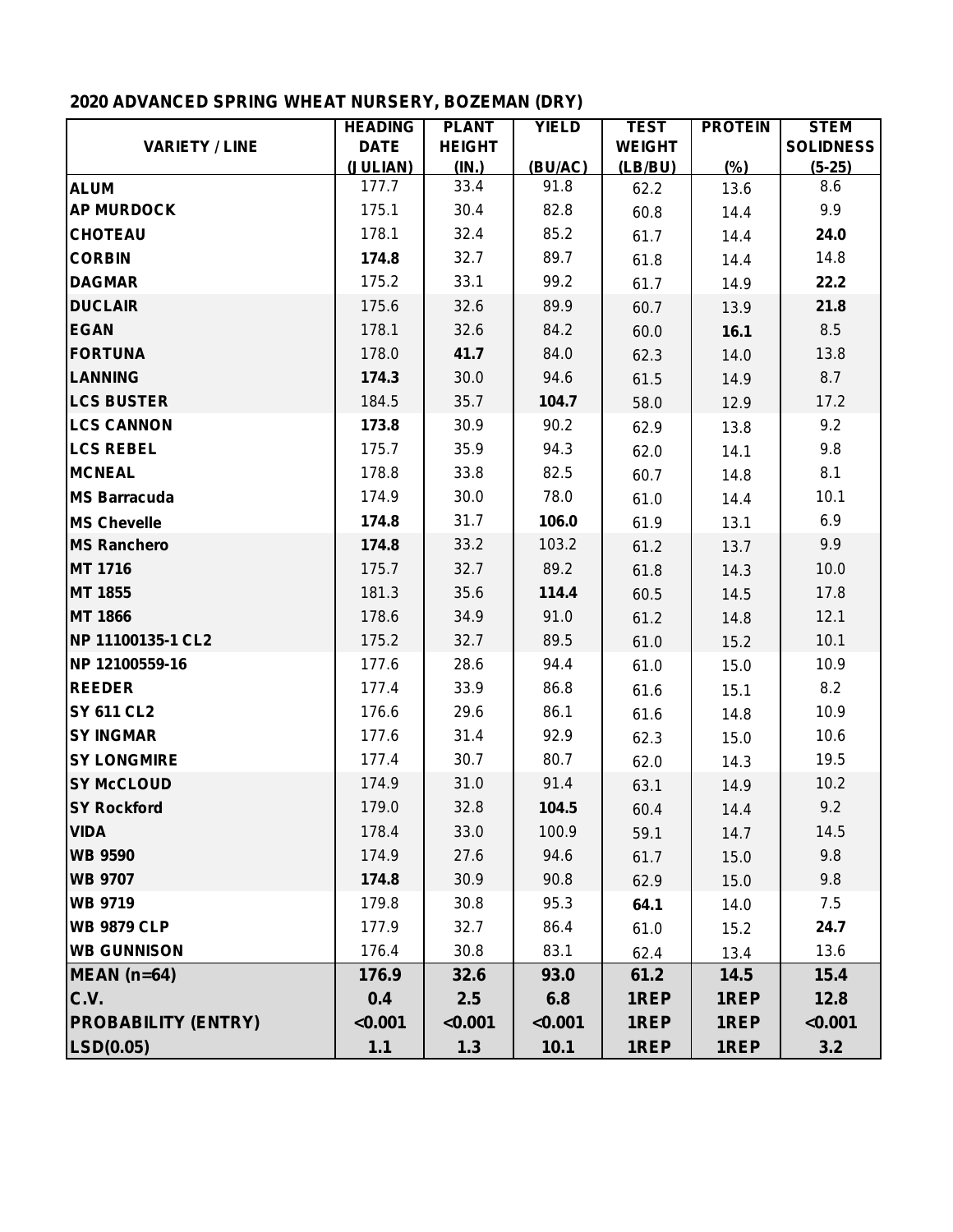# **2020 ADVANCED SPRING WHEAT NURSERY, BOZEMAN (DRY)**

|                            | <b>HEADING</b> | <b>PLANT</b>  | <b>YIELD</b> | <b>TEST</b>   | <b>PROTEIN</b> | <b>STEM</b>      |
|----------------------------|----------------|---------------|--------------|---------------|----------------|------------------|
| <b>VARIETY / LINE</b>      | <b>DATE</b>    | <b>HEIGHT</b> |              | <b>WEIGHT</b> |                | <b>SOLIDNESS</b> |
|                            | (JULIAN)       | (IN.)         | (BU/AC)      | (LB/BU)       | (%)            | $(5-25)$         |
| <b>ALUM</b>                | 177.7          | 33.4          | 91.8         | 62.2          | 13.6           | 8.6              |
| <b>AP MURDOCK</b>          | 175.1          | 30.4          | 82.8         | 60.8          | 14.4           | 9.9              |
| <b>CHOTEAU</b>             | 178.1          | 32.4          | 85.2         | 61.7          | 14.4           | 24.0             |
| <b>CORBIN</b>              | 174.8          | 32.7          | 89.7         | 61.8          | 14.4           | 14.8             |
| <b>DAGMAR</b>              | 175.2          | 33.1          | 99.2         | 61.7          | 14.9           | 22.2             |
| <b>DUCLAIR</b>             | 175.6          | 32.6          | 89.9         | 60.7          | 13.9           | 21.8             |
| <b>EGAN</b>                | 178.1          | 32.6          | 84.2         | 60.0          | 16.1           | 8.5              |
| <b>FORTUNA</b>             | 178.0          | 41.7          | 84.0         | 62.3          | 14.0           | 13.8             |
| <b>LANNING</b>             | 174.3          | 30.0          | 94.6         | 61.5          | 14.9           | 8.7              |
| <b>LCS BUSTER</b>          | 184.5          | 35.7          | 104.7        | 58.0          | 12.9           | 17.2             |
| <b>LCS CANNON</b>          | 173.8          | 30.9          | 90.2         | 62.9          | 13.8           | 9.2              |
| <b>LCS REBEL</b>           | 175.7          | 35.9          | 94.3         | 62.0          | 14.1           | 9.8              |
| <b>MCNEAL</b>              | 178.8          | 33.8          | 82.5         | 60.7          | 14.8           | 8.1              |
| <b>MS Barracuda</b>        | 174.9          | 30.0          | 78.0         | 61.0          | 14.4           | 10.1             |
| <b>MS Chevelle</b>         | 174.8          | 31.7          | 106.0        | 61.9          | 13.1           | 6.9              |
| <b>MS Ranchero</b>         | 174.8          | 33.2          | 103.2        | 61.2          | 13.7           | 9.9              |
| <b>MT 1716</b>             | 175.7          | 32.7          | 89.2         | 61.8          | 14.3           | 10.0             |
| MT 1855                    | 181.3          | 35.6          | 114.4        | 60.5          | 14.5           | 17.8             |
| <b>MT 1866</b>             | 178.6          | 34.9          | 91.0         | 61.2          | 14.8           | 12.1             |
| NP 11100135-1 CL2          | 175.2          | 32.7          | 89.5         | 61.0          | 15.2           | 10.1             |
| NP 12100559-16             | 177.6          | 28.6          | 94.4         | 61.0          | 15.0           | 10.9             |
| <b>REEDER</b>              | 177.4          | 33.9          | 86.8         | 61.6          | 15.1           | 8.2              |
| <b>SY 611 CL2</b>          | 176.6          | 29.6          | 86.1         | 61.6          | 14.8           | 10.9             |
| <b>SY INGMAR</b>           | 177.6          | 31.4          | 92.9         | 62.3          | 15.0           | 10.6             |
| <b>SY LONGMIRE</b>         | 177.4          | 30.7          | 80.7         | 62.0          | 14.3           | 19.5             |
| <b>SY McCLOUD</b>          | 174.9          | 31.0          | 91.4         | 63.1          | 14.9           | 10.2             |
| <b>SY Rockford</b>         | 179.0          | 32.8          | 104.5        | 60.4          | 14.4           | 9.2              |
| <b>VIDA</b>                | 178.4          | 33.0          | 100.9        | 59.1          | 14.7           | 14.5             |
| <b>WB 9590</b>             | 174.9          | 27.6          | 94.6         | 61.7          | 15.0           | 9.8              |
| <b>WB 9707</b>             | 174.8          | 30.9          | 90.8         | 62.9          | 15.0           | 9.8              |
| <b>WB 9719</b>             | 179.8          | 30.8          | 95.3         | 64.1          | 14.0           | 7.5              |
| <b>WB 9879 CLP</b>         | 177.9          | 32.7          | 86.4         | 61.0          | 15.2           | 24.7             |
| <b>WB GUNNISON</b>         | 176.4          | 30.8          | 83.1         | 62.4          | 13.4           | 13.6             |
| MEAN (n=64)                | 176.9          | 32.6          | 93.0         | 61.2          | 14.5           | 15.4             |
| C.V.                       | 0.4            | 2.5           | 6.8          | 1REP          | 1REP           | 12.8             |
| <b>PROBABILITY (ENTRY)</b> | < 0.001        | < 0.001       | < 0.001      | 1REP          | 1REP           | < 0.001          |
| LSD(0.05)                  | $1.1$          | 1.3           | 10.1         | 1REP          | 1REP           | 3.2              |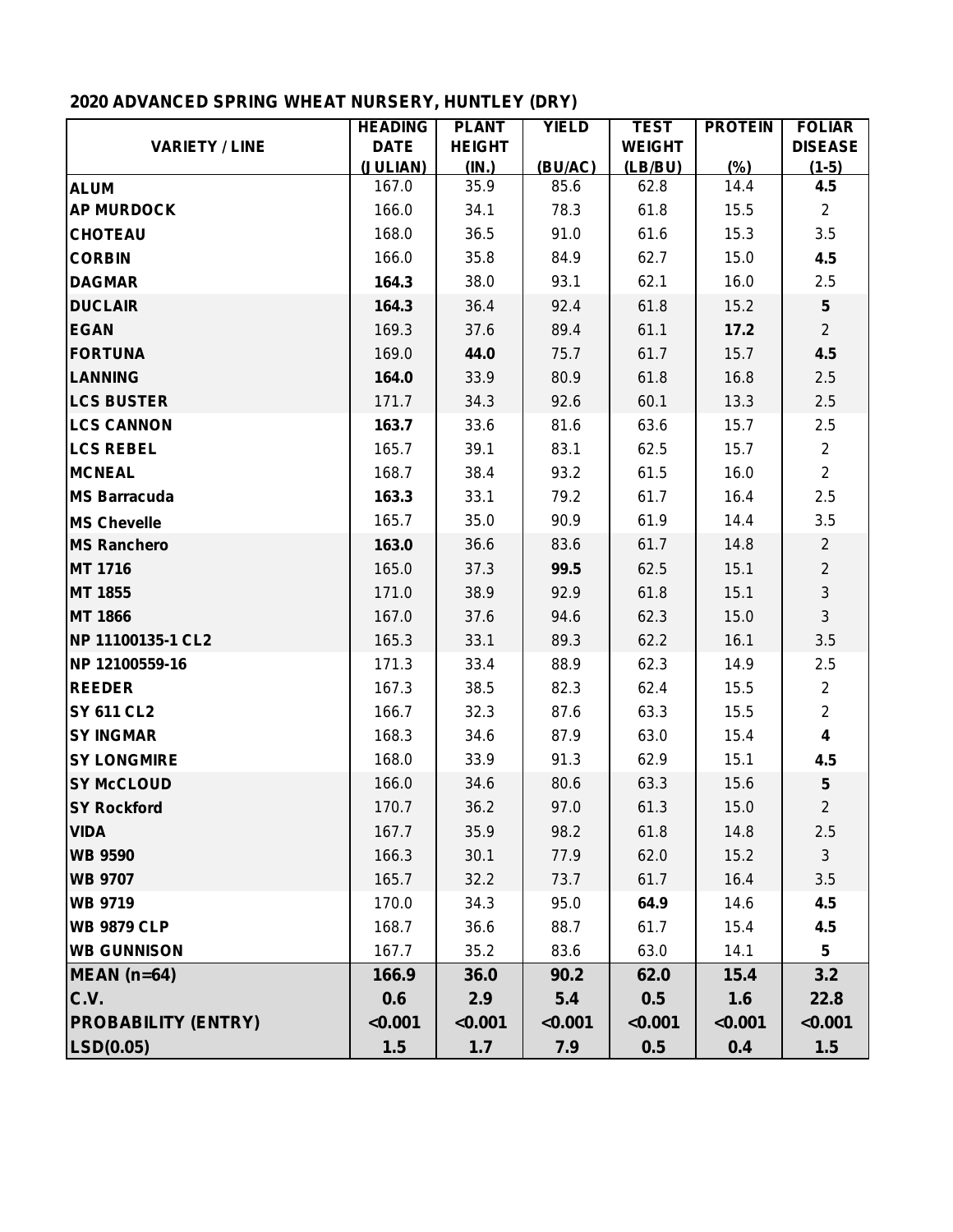# **2020 ADVANCED SPRING WHEAT NURSERY, HUNTLEY (DRY)**

|                            | <b>HEADING</b> | <b>PLANT</b>  | <b>YIELD</b> | <b>TEST</b>   | <b>PROTEIN</b> | <b>FOLIAR</b>           |
|----------------------------|----------------|---------------|--------------|---------------|----------------|-------------------------|
| <b>VARIETY / LINE</b>      | <b>DATE</b>    | <b>HEIGHT</b> |              | <b>WEIGHT</b> |                | <b>DISEASE</b>          |
|                            | (JULIAN)       | (IN.)         | (BU/AC)      | (LB/BU)       | (%)            | $(1-5)$                 |
| <b>ALUM</b>                | 167.0          | 35.9          | 85.6         | 62.8          | 14.4           | 4.5                     |
| <b>AP MURDOCK</b>          | 166.0          | 34.1          | 78.3         | 61.8          | 15.5           | $2^{\circ}$             |
| <b>CHOTEAU</b>             | 168.0          | 36.5          | 91.0         | 61.6          | 15.3           | 3.5                     |
| <b>CORBIN</b>              | 166.0          | 35.8          | 84.9         | 62.7          | 15.0           | 4.5                     |
| <b>DAGMAR</b>              | 164.3          | 38.0          | 93.1         | 62.1          | 16.0           | 2.5                     |
| <b>DUCLAIR</b>             | 164.3          | 36.4          | 92.4         | 61.8          | 15.2           | $5\phantom{.0}$         |
| <b>EGAN</b>                | 169.3          | 37.6          | 89.4         | 61.1          | 17.2           | $\overline{2}$          |
| <b>FORTUNA</b>             | 169.0          | 44.0          | 75.7         | 61.7          | 15.7           | 4.5                     |
| <b>LANNING</b>             | 164.0          | 33.9          | 80.9         | 61.8          | 16.8           | 2.5                     |
| <b>LCS BUSTER</b>          | 171.7          | 34.3          | 92.6         | 60.1          | 13.3           | 2.5                     |
| <b>LCS CANNON</b>          | 163.7          | 33.6          | 81.6         | 63.6          | 15.7           | 2.5                     |
| <b>LCS REBEL</b>           | 165.7          | 39.1          | 83.1         | 62.5          | 15.7           | $\overline{2}$          |
| <b>MCNEAL</b>              | 168.7          | 38.4          | 93.2         | 61.5          | 16.0           | $2^{\circ}$             |
| <b>MS Barracuda</b>        | 163.3          | 33.1          | 79.2         | 61.7          | 16.4           | 2.5                     |
| <b>MS Chevelle</b>         | 165.7          | 35.0          | 90.9         | 61.9          | 14.4           | 3.5                     |
| <b>MS Ranchero</b>         | 163.0          | 36.6          | 83.6         | 61.7          | 14.8           | $\overline{2}$          |
| <b>MT 1716</b>             | 165.0          | 37.3          | 99.5         | 62.5          | 15.1           | $\overline{2}$          |
| <b>MT 1855</b>             | 171.0          | 38.9          | 92.9         | 61.8          | 15.1           | $\mathbf{3}$            |
| <b>MT 1866</b>             | 167.0          | 37.6          | 94.6         | 62.3          | 15.0           | $\mathbf{3}$            |
| NP 11100135-1 CL2          | 165.3          | 33.1          | 89.3         | 62.2          | 16.1           | 3.5                     |
| NP 12100559-16             | 171.3          | 33.4          | 88.9         | 62.3          | 14.9           | 2.5                     |
| <b>REEDER</b>              | 167.3          | 38.5          | 82.3         | 62.4          | 15.5           | $\overline{2}$          |
| <b>SY 611 CL2</b>          | 166.7          | 32.3          | 87.6         | 63.3          | 15.5           | $\overline{2}$          |
| <b>SY INGMAR</b>           | 168.3          | 34.6          | 87.9         | 63.0          | 15.4           | $\overline{\mathbf{4}}$ |
| <b>SY LONGMIRE</b>         | 168.0          | 33.9          | 91.3         | 62.9          | 15.1           | 4.5                     |
| <b>SY McCLOUD</b>          | 166.0          | 34.6          | 80.6         | 63.3          | 15.6           | $\sqrt{5}$              |
| <b>SY Rockford</b>         | 170.7          | 36.2          | 97.0         | 61.3          | 15.0           | $\overline{2}$          |
| <b>VIDA</b>                | 167.7          | 35.9          | 98.2         | 61.8          | 14.8           | 2.5                     |
| <b>WB 9590</b>             | 166.3          | 30.1          | 77.9         | 62.0          | 15.2           | 3                       |
| <b>WB 9707</b>             | 165.7          | 32.2          | 73.7         | 61.7          | 16.4           | 3.5                     |
| <b>WB 9719</b>             | 170.0          | 34.3          | 95.0         | 64.9          | 14.6           | 4.5                     |
| <b>WB 9879 CLP</b>         | 168.7          | 36.6          | 88.7         | 61.7          | 15.4           | 4.5                     |
| <b>WB GUNNISON</b>         | 167.7          | 35.2          | 83.6         | 63.0          | 14.1           | $5\phantom{.0}$         |
| $MEAN$ (n=64)              | 166.9          | 36.0          | 90.2         | 62.0          | 15.4           | 3.2                     |
| C.V.                       | 0.6            | 2.9           | 5.4          | 0.5           | 1.6            | 22.8                    |
| <b>PROBABILITY (ENTRY)</b> | < 0.001        | < 0.001       | < 0.001      | < 0.001       | < 0.001        | < 0.001                 |
| LSD(0.05)                  | 1.5            | 1.7           | 7.9          | 0.5           | 0.4            | 1.5                     |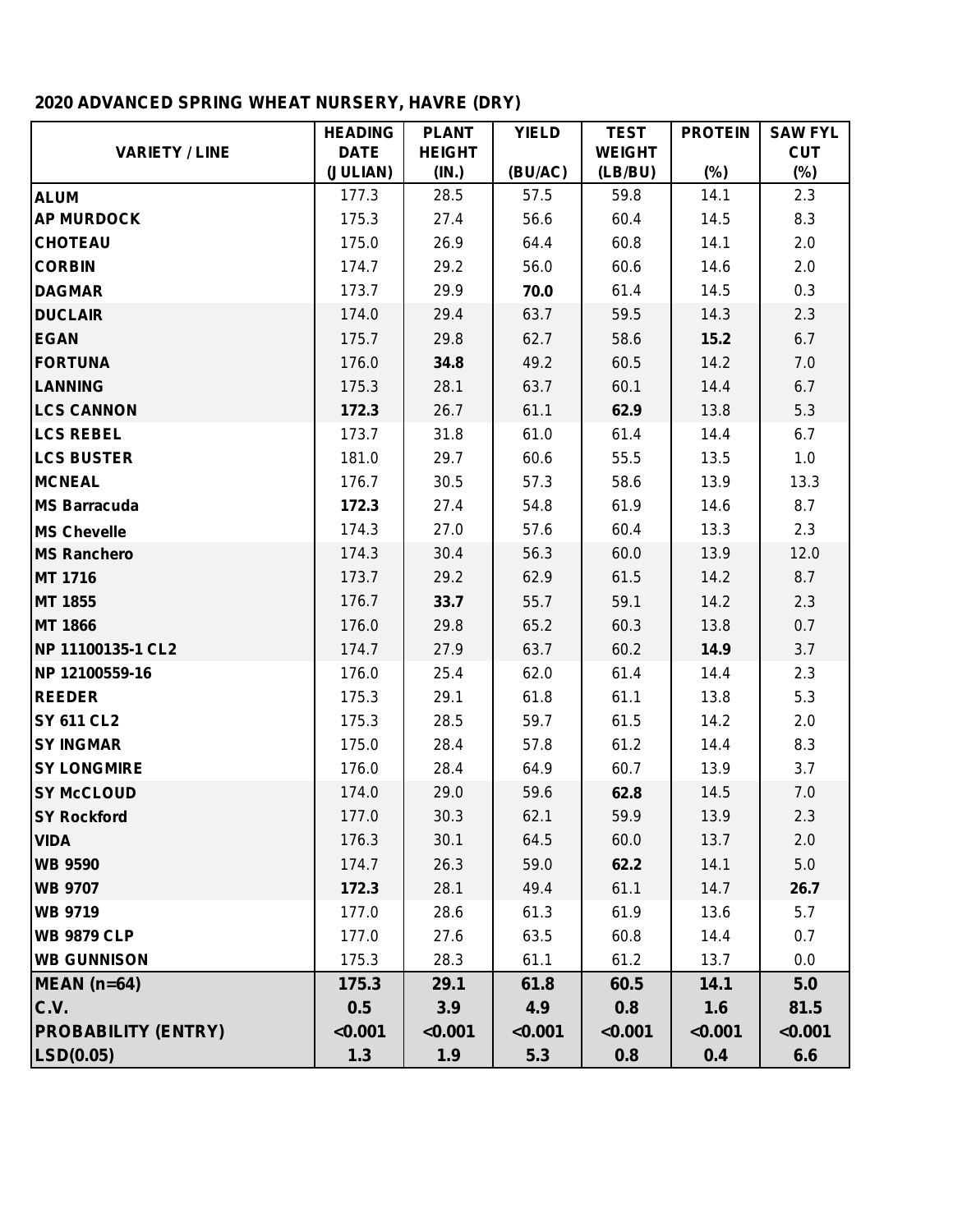# **2020 ADVANCED SPRING WHEAT NURSERY, HAVRE (DRY)**

|                            | <b>HEADING</b> | <b>PLANT</b>  | <b>YIELD</b> | <b>TEST</b>   | <b>PROTEIN</b> | <b>SAW FYL</b> |
|----------------------------|----------------|---------------|--------------|---------------|----------------|----------------|
| <b>VARIETY / LINE</b>      | <b>DATE</b>    | <b>HEIGHT</b> |              | <b>WEIGHT</b> |                | <b>CUT</b>     |
|                            | (JULIAN)       | (IN.)         | (BU/AC)      | (LB/BU)       | $(\%)$         | $(\%)$         |
| <b>ALUM</b>                | 177.3          | 28.5          | 57.5         | 59.8          | 14.1           | 2.3            |
| <b>AP MURDOCK</b>          | 175.3          | 27.4          | 56.6         | 60.4          | 14.5           | 8.3            |
| <b>CHOTEAU</b>             | 175.0          | 26.9          | 64.4         | 60.8          | 14.1           | 2.0            |
| <b>CORBIN</b>              | 174.7          | 29.2          | 56.0         | 60.6          | 14.6           | 2.0            |
| <b>DAGMAR</b>              | 173.7          | 29.9          | 70.0         | 61.4          | 14.5           | 0.3            |
| <b>DUCLAIR</b>             | 174.0          | 29.4          | 63.7         | 59.5          | 14.3           | 2.3            |
| <b>EGAN</b>                | 175.7          | 29.8          | 62.7         | 58.6          | 15.2           | 6.7            |
| <b>FORTUNA</b>             | 176.0          | 34.8          | 49.2         | 60.5          | 14.2           | 7.0            |
| <b>LANNING</b>             | 175.3          | 28.1          | 63.7         | 60.1          | 14.4           | 6.7            |
| <b>LCS CANNON</b>          | 172.3          | 26.7          | 61.1         | 62.9          | 13.8           | 5.3            |
| <b>LCS REBEL</b>           | 173.7          | 31.8          | 61.0         | 61.4          | 14.4           | 6.7            |
| <b>LCS BUSTER</b>          | 181.0          | 29.7          | 60.6         | 55.5          | 13.5           | 1.0            |
| <b>MCNEAL</b>              | 176.7          | 30.5          | 57.3         | 58.6          | 13.9           | 13.3           |
| <b>MS Barracuda</b>        | 172.3          | 27.4          | 54.8         | 61.9          | 14.6           | 8.7            |
| <b>MS Chevelle</b>         | 174.3          | 27.0          | 57.6         | 60.4          | 13.3           | 2.3            |
| <b>MS Ranchero</b>         | 174.3          | 30.4          | 56.3         | 60.0          | 13.9           | 12.0           |
| MT 1716                    | 173.7          | 29.2          | 62.9         | 61.5          | 14.2           | 8.7            |
| MT 1855                    | 176.7          | 33.7          | 55.7         | 59.1          | 14.2           | 2.3            |
| <b>MT 1866</b>             | 176.0          | 29.8          | 65.2         | 60.3          | 13.8           | 0.7            |
| NP 11100135-1 CL2          | 174.7          | 27.9          | 63.7         | 60.2          | 14.9           | 3.7            |
| NP 12100559-16             | 176.0          | 25.4          | 62.0         | 61.4          | 14.4           | 2.3            |
| <b>REEDER</b>              | 175.3          | 29.1          | 61.8         | 61.1          | 13.8           | 5.3            |
| <b>SY 611 CL2</b>          | 175.3          | 28.5          | 59.7         | 61.5          | 14.2           | 2.0            |
| <b>SY INGMAR</b>           | 175.0          | 28.4          | 57.8         | 61.2          | 14.4           | 8.3            |
| <b>SY LONGMIRE</b>         | 176.0          | 28.4          | 64.9         | 60.7          | 13.9           | 3.7            |
| <b>SY McCLOUD</b>          | 174.0          | 29.0          | 59.6         | 62.8          | 14.5           | 7.0            |
| <b>SY Rockford</b>         | 177.0          | 30.3          | 62.1         | 59.9          | 13.9           | 2.3            |
| <b>VIDA</b>                | 176.3          | 30.1          | 64.5         | 60.0          | 13.7           | 2.0            |
| <b>WB 9590</b>             | 174.7          | 26.3          | 59.0         | 62.2          | 14.1           | 5.0            |
| <b>WB 9707</b>             | 172.3          | 28.1          | 49.4         | 61.1          | 14.7           | 26.7           |
| <b>WB 9719</b>             | 177.0          | 28.6          | 61.3         | 61.9          | 13.6           | 5.7            |
| <b>WB 9879 CLP</b>         | 177.0          | 27.6          | 63.5         | 60.8          | 14.4           | 0.7            |
| <b>WB GUNNISON</b>         | 175.3          | 28.3          | 61.1         | 61.2          | 13.7           | 0.0            |
| $MEAN$ (n=64)              | 175.3          | 29.1          | 61.8         | 60.5          | 14.1           | 5.0            |
| C.V.                       | 0.5            | 3.9           | 4.9          | 0.8           | 1.6            | 81.5           |
| <b>PROBABILITY (ENTRY)</b> | < 0.001        | < 0.001       | < 0.001      | < 0.001       | < 0.001        | < 0.001        |
| LSD(0.05)                  | 1.3            | 1.9           | 5.3          | 0.8           | 0.4            | 6.6            |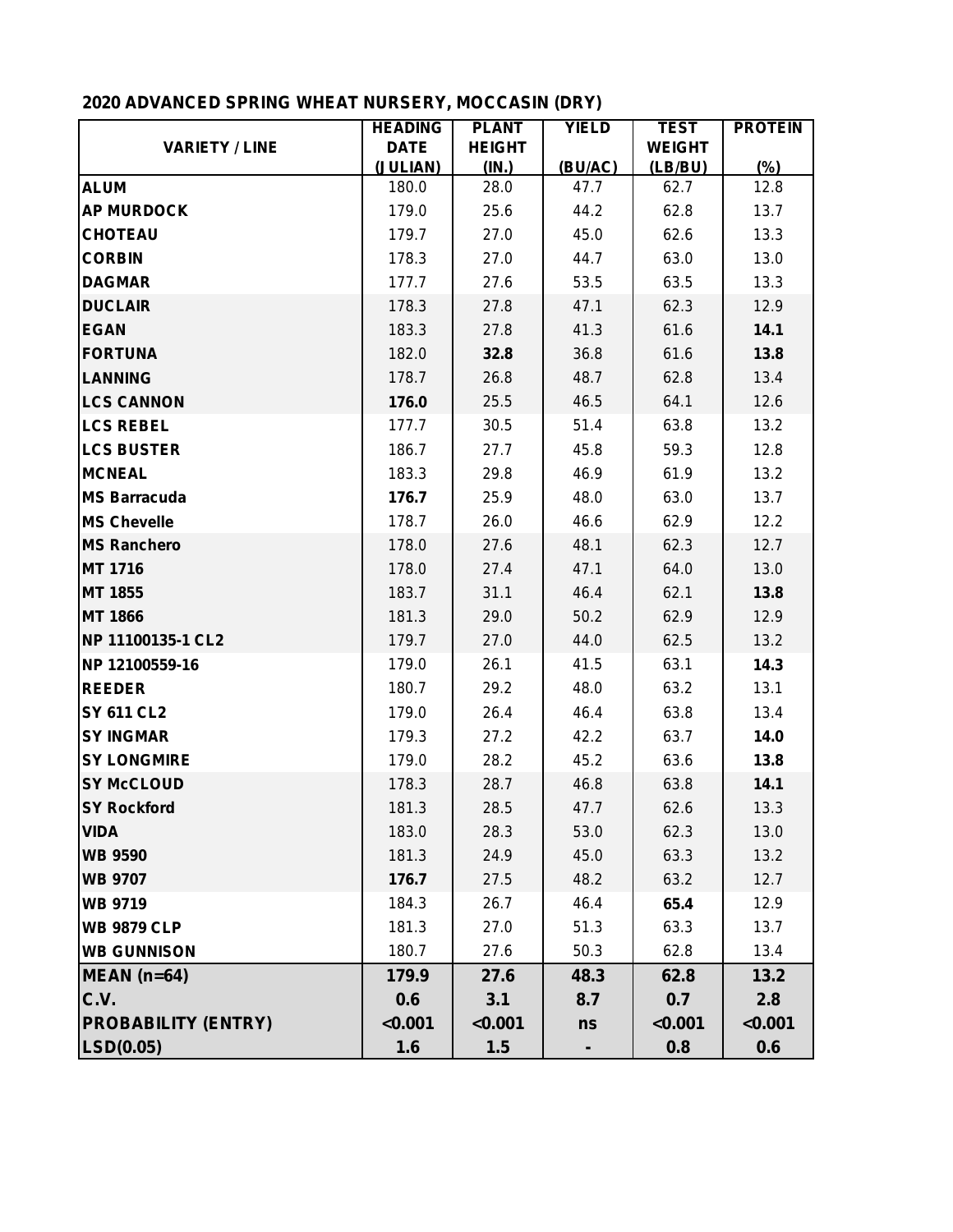# **2020 ADVANCED SPRING WHEAT NURSERY, MOCCASIN (DRY)**

|                            | <b>HEADING</b> | <b>PLANT</b>  | <b>YIELD</b> | <b>TEST</b>   | <b>PROTEIN</b> |
|----------------------------|----------------|---------------|--------------|---------------|----------------|
| <b>VARIETY / LINE</b>      | <b>DATE</b>    | <b>HEIGHT</b> |              | <b>WEIGHT</b> |                |
|                            | (JULIAN)       | (IN.)         | (BU/AC)      | (LB/BU)       | (%)            |
| <b>ALUM</b>                | 180.0          | 28.0          | 47.7         | 62.7          | 12.8           |
| <b>AP MURDOCK</b>          | 179.0          | 25.6          | 44.2         | 62.8          | 13.7           |
| <b>CHOTEAU</b>             | 179.7          | 27.0          | 45.0         | 62.6          | 13.3           |
| <b>CORBIN</b>              | 178.3          | 27.0          | 44.7         | 63.0          | 13.0           |
| <b>DAGMAR</b>              | 177.7          | 27.6          | 53.5         | 63.5          | 13.3           |
| <b>DUCLAIR</b>             | 178.3          | 27.8          | 47.1         | 62.3          | 12.9           |
| <b>EGAN</b>                | 183.3          | 27.8          | 41.3         | 61.6          | 14.1           |
| <b>FORTUNA</b>             | 182.0          | 32.8          | 36.8         | 61.6          | 13.8           |
| <b>LANNING</b>             | 178.7          | 26.8          | 48.7         | 62.8          | 13.4           |
| <b>LCS CANNON</b>          | 176.0          | 25.5          | 46.5         | 64.1          | 12.6           |
| <b>LCS REBEL</b>           | 177.7          | 30.5          | 51.4         | 63.8          | 13.2           |
| <b>LCS BUSTER</b>          | 186.7          | 27.7          | 45.8         | 59.3          | 12.8           |
| <b>MCNEAL</b>              | 183.3          | 29.8          | 46.9         | 61.9          | 13.2           |
| <b>MS Barracuda</b>        | 176.7          | 25.9          | 48.0         | 63.0          | 13.7           |
| <b>MS Chevelle</b>         | 178.7          | 26.0          | 46.6         | 62.9          | 12.2           |
| <b>MS Ranchero</b>         | 178.0          | 27.6          | 48.1         | 62.3          | 12.7           |
| <b>MT 1716</b>             | 178.0          | 27.4          | 47.1         | 64.0          | 13.0           |
| <b>MT 1855</b>             | 183.7          | 31.1          | 46.4         | 62.1          | 13.8           |
| <b>MT 1866</b>             | 181.3          | 29.0          | 50.2         | 62.9          | 12.9           |
| NP 11100135-1 CL2          | 179.7          | 27.0          | 44.0         | 62.5          | 13.2           |
| NP 12100559-16             | 179.0          | 26.1          | 41.5         | 63.1          | 14.3           |
| <b>REEDER</b>              | 180.7          | 29.2          | 48.0         | 63.2          | 13.1           |
| <b>SY 611 CL2</b>          | 179.0          | 26.4          | 46.4         | 63.8          | 13.4           |
| <b>SY INGMAR</b>           | 179.3          | 27.2          | 42.2         | 63.7          | 14.0           |
| <b>SY LONGMIRE</b>         | 179.0          | 28.2          | 45.2         | 63.6          | 13.8           |
| <b>SY McCLOUD</b>          | 178.3          | 28.7          | 46.8         | 63.8          | 14.1           |
| <b>SY Rockford</b>         | 181.3          | 28.5          | 47.7         | 62.6          | 13.3           |
| <b>VIDA</b>                | 183.0          | 28.3          | 53.0         | 62.3          | 13.0           |
| <b>WB 9590</b>             | 181.3          | 24.9          | 45.0         | 63.3          | 13.2           |
| <b>WB 9707</b>             | 176.7          | 27.5          | 48.2         | 63.2          | 12.7           |
| <b>WB 9719</b>             | 184.3          | 26.7          | 46.4         | 65.4          | 12.9           |
| <b>WB 9879 CLP</b>         | 181.3          | 27.0          | 51.3         | 63.3          | 13.7           |
| <b>WB GUNNISON</b>         | 180.7          | 27.6          | 50.3         | 62.8          | 13.4           |
| $MEAN$ (n=64)              | 179.9          | 27.6          | 48.3         | 62.8          | 13.2           |
| C.V.                       | 0.6            | 3.1           | 8.7          | 0.7           | 2.8            |
| <b>PROBABILITY (ENTRY)</b> | < 0.001        | < 0.001       | ns           | < 0.001       | < 0.001        |
| LSD(0.05)                  | 1.6            | 1.5           |              | 0.8           | 0.6            |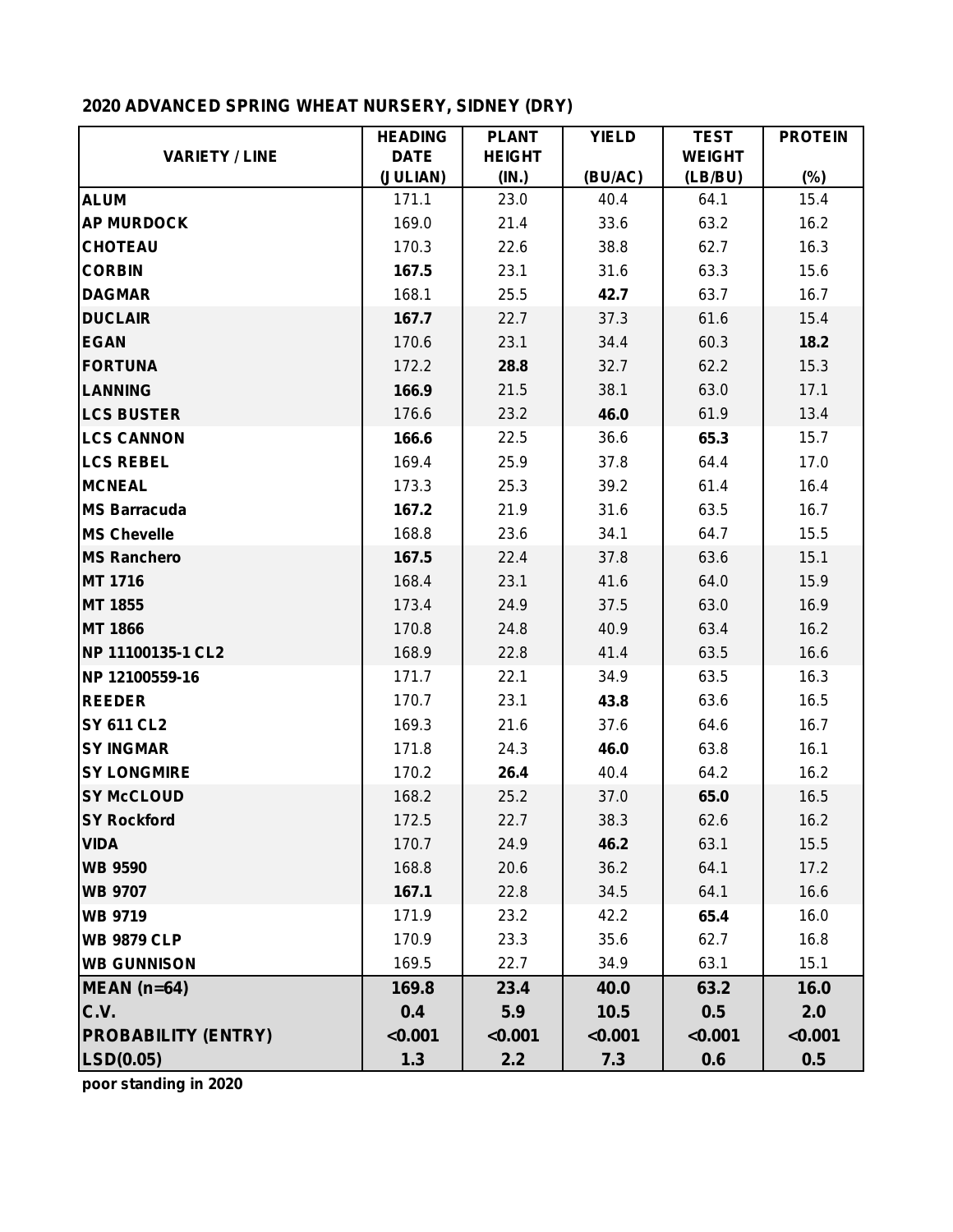# **2020 ADVANCED SPRING WHEAT NURSERY, SIDNEY (DRY)**

|                            | <b>HEADING</b> | <b>PLANT</b>  | <b>YIELD</b> | <b>TEST</b>   | <b>PROTEIN</b> |
|----------------------------|----------------|---------------|--------------|---------------|----------------|
| <b>VARIETY / LINE</b>      | <b>DATE</b>    | <b>HEIGHT</b> |              | <b>WEIGHT</b> |                |
|                            | (JULIAN)       | (IN.)         | (BU/AC)      | (LB/BU)       | $(\%)$         |
| <b>ALUM</b>                | 171.1          | 23.0          | 40.4         | 64.1          | 15.4           |
| <b>AP MURDOCK</b>          | 169.0          | 21.4          | 33.6         | 63.2          | 16.2           |
| <b>CHOTEAU</b>             | 170.3          | 22.6          | 38.8         | 62.7          | 16.3           |
| <b>CORBIN</b>              | 167.5          | 23.1          | 31.6         | 63.3          | 15.6           |
| <b>DAGMAR</b>              | 168.1          | 25.5          | 42.7         | 63.7          | 16.7           |
| <b>DUCLAIR</b>             | 167.7          | 22.7          | 37.3         | 61.6          | 15.4           |
| <b>EGAN</b>                | 170.6          | 23.1          | 34.4         | 60.3          | 18.2           |
| <b>FORTUNA</b>             | 172.2          | 28.8          | 32.7         | 62.2          | 15.3           |
| <b>LANNING</b>             | 166.9          | 21.5          | 38.1         | 63.0          | 17.1           |
| <b>LCS BUSTER</b>          | 176.6          | 23.2          | 46.0         | 61.9          | 13.4           |
| <b>LCS CANNON</b>          | 166.6          | 22.5          | 36.6         | 65.3          | 15.7           |
| <b>LCS REBEL</b>           | 169.4          | 25.9          | 37.8         | 64.4          | 17.0           |
| <b>MCNEAL</b>              | 173.3          | 25.3          | 39.2         | 61.4          | 16.4           |
| <b>MS Barracuda</b>        | 167.2          | 21.9          | 31.6         | 63.5          | 16.7           |
| <b>MS Chevelle</b>         | 168.8          | 23.6          | 34.1         | 64.7          | 15.5           |
| <b>MS Ranchero</b>         | 167.5          | 22.4          | 37.8         | 63.6          | 15.1           |
| <b>MT 1716</b>             | 168.4          | 23.1          | 41.6         | 64.0          | 15.9           |
| <b>MT 1855</b>             | 173.4          | 24.9          | 37.5         | 63.0          | 16.9           |
| <b>MT 1866</b>             | 170.8          | 24.8          | 40.9         | 63.4          | 16.2           |
| NP 11100135-1 CL2          | 168.9          | 22.8          | 41.4         | 63.5          | 16.6           |
| NP 12100559-16             | 171.7          | 22.1          | 34.9         | 63.5          | 16.3           |
| <b>REEDER</b>              | 170.7          | 23.1          | 43.8         | 63.6          | 16.5           |
| <b>SY 611 CL2</b>          | 169.3          | 21.6          | 37.6         | 64.6          | 16.7           |
| <b>SY INGMAR</b>           | 171.8          | 24.3          | 46.0         | 63.8          | 16.1           |
| <b>SY LONGMIRE</b>         | 170.2          | 26.4          | 40.4         | 64.2          | 16.2           |
| <b>SY McCLOUD</b>          | 168.2          | 25.2          | 37.0         | 65.0          | 16.5           |
| <b>SY Rockford</b>         | 172.5          | 22.7          | 38.3         | 62.6          | 16.2           |
| <b>VIDA</b>                | 170.7          | 24.9          | 46.2         | 63.1          | 15.5           |
| <b>WB 9590</b>             | 168.8          | 20.6          | 36.2         | 64.1          | 17.2           |
| <b>WB 9707</b>             | 167.1          | 22.8          | 34.5         | 64.1          | 16.6           |
| <b>WB 9719</b>             | 171.9          | 23.2          | 42.2         | 65.4          | 16.0           |
| <b>WB 9879 CLP</b>         | 170.9          | 23.3          | 35.6         | 62.7          | 16.8           |
| <b>WB GUNNISON</b>         | 169.5          | 22.7          | 34.9         | 63.1          | 15.1           |
| MEAN (n=64)                | 169.8          | 23.4          | 40.0         | 63.2          | 16.0           |
| C.V.                       | 0.4            | 5.9           | 10.5         | 0.5           | 2.0            |
| <b>PROBABILITY (ENTRY)</b> | < 0.001        | < 0.001       | < 0.001      | < 0.001       | < 0.001        |
| LSD(0.05)                  | 1.3            | 2.2           | 7.3          | 0.6           | 0.5            |

**poor standing in 2020**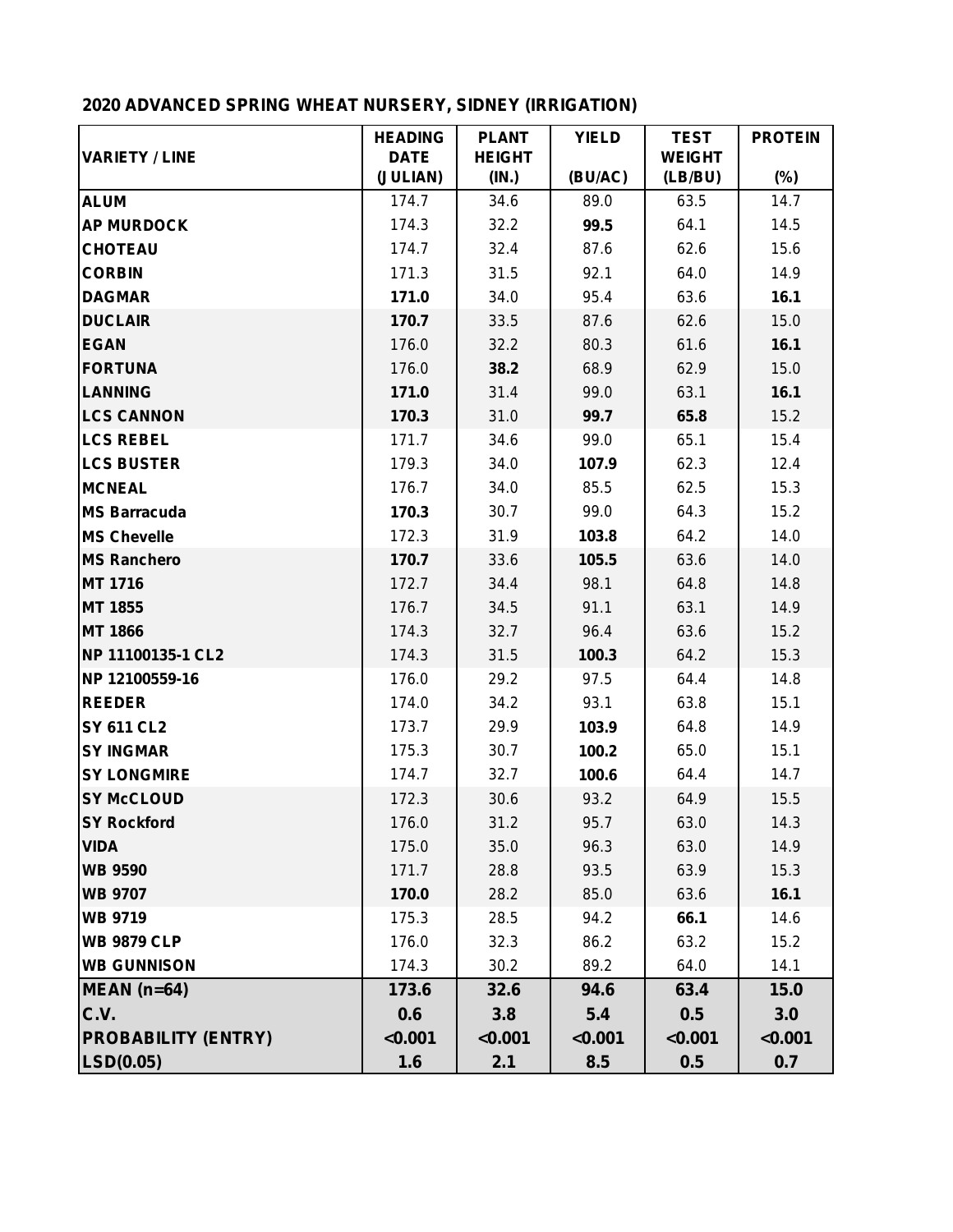# **2020 ADVANCED SPRING WHEAT NURSERY, SIDNEY (IRRIGATION)**

|                            | <b>HEADING</b>          | <b>PLANT</b>           | <b>YIELD</b> | <b>TEST</b>              | <b>PROTEIN</b> |
|----------------------------|-------------------------|------------------------|--------------|--------------------------|----------------|
| <b>VARIETY / LINE</b>      | <b>DATE</b><br>(JULIAN) | <b>HEIGHT</b><br>(IN.) | (BU/AC)      | <b>WEIGHT</b><br>(LB/BU) | $(\%)$         |
| <b>ALUM</b>                | 174.7                   | 34.6                   | 89.0         | 63.5                     | 14.7           |
| <b>AP MURDOCK</b>          | 174.3                   | 32.2                   | 99.5         | 64.1                     | 14.5           |
| <b>CHOTEAU</b>             | 174.7                   | 32.4                   | 87.6         | 62.6                     | 15.6           |
| <b>CORBIN</b>              | 171.3                   | 31.5                   | 92.1         | 64.0                     | 14.9           |
| <b>DAGMAR</b>              | 171.0                   | 34.0                   | 95.4         | 63.6                     | 16.1           |
| <b>DUCLAIR</b>             | 170.7                   | 33.5                   | 87.6         | 62.6                     | 15.0           |
| <b>EGAN</b>                | 176.0                   | 32.2                   | 80.3         | 61.6                     | 16.1           |
| <b>FORTUNA</b>             | 176.0                   | 38.2                   | 68.9         | 62.9                     | 15.0           |
| <b>LANNING</b>             | 171.0                   | 31.4                   | 99.0         | 63.1                     | 16.1           |
| <b>LCS CANNON</b>          | 170.3                   | 31.0                   | 99.7         | 65.8                     | 15.2           |
| <b>LCS REBEL</b>           | 171.7                   | 34.6                   | 99.0         | 65.1                     | 15.4           |
| <b>LCS BUSTER</b>          | 179.3                   | 34.0                   | 107.9        | 62.3                     | 12.4           |
| <b>MCNEAL</b>              | 176.7                   | 34.0                   | 85.5         | 62.5                     | 15.3           |
| <b>MS Barracuda</b>        | 170.3                   | 30.7                   | 99.0         | 64.3                     | 15.2           |
| <b>MS Chevelle</b>         | 172.3                   | 31.9                   | 103.8        | 64.2                     | 14.0           |
| <b>MS Ranchero</b>         | 170.7                   | 33.6                   | 105.5        | 63.6                     | 14.0           |
| <b>MT 1716</b>             | 172.7                   | 34.4                   | 98.1         | 64.8                     | 14.8           |
| <b>MT 1855</b>             | 176.7                   | 34.5                   | 91.1         | 63.1                     | 14.9           |
| <b>MT 1866</b>             | 174.3                   | 32.7                   | 96.4         | 63.6                     | 15.2           |
| NP 11100135-1 CL2          | 174.3                   | 31.5                   | 100.3        | 64.2                     | 15.3           |
| NP 12100559-16             | 176.0                   | 29.2                   | 97.5         | 64.4                     | 14.8           |
| <b>REEDER</b>              | 174.0                   | 34.2                   | 93.1         | 63.8                     | 15.1           |
| <b>SY 611 CL2</b>          | 173.7                   | 29.9                   | 103.9        | 64.8                     | 14.9           |
| <b>SY INGMAR</b>           | 175.3                   | 30.7                   | 100.2        | 65.0                     | 15.1           |
| <b>SY LONGMIRE</b>         | 174.7                   | 32.7                   | 100.6        | 64.4                     | 14.7           |
| <b>SY McCLOUD</b>          | 172.3                   | 30.6                   | 93.2         | 64.9                     | 15.5           |
| <b>SY Rockford</b>         | 176.0                   | 31.2                   | 95.7         | 63.0                     | 14.3           |
| <b>VIDA</b>                | 175.0                   | 35.0                   | 96.3         | 63.0                     | 14.9           |
| <b>WB 9590</b>             | 171.7                   | 28.8                   | 93.5         | 63.9                     | 15.3           |
| <b>WB 9707</b>             | 170.0                   | 28.2                   | 85.0         | 63.6                     | 16.1           |
| <b>WB 9719</b>             | 175.3                   | 28.5                   | 94.2         | 66.1                     | 14.6           |
| <b>WB 9879 CLP</b>         | 176.0                   | 32.3                   | 86.2         | 63.2                     | 15.2           |
| <b>WB GUNNISON</b>         | 174.3                   | 30.2                   | 89.2         | 64.0                     | 14.1           |
| $MEAN$ (n=64)              | 173.6                   | 32.6                   | 94.6         | 63.4                     | 15.0           |
| C.V.                       | 0.6                     | 3.8                    | 5.4          | 0.5                      | 3.0            |
| <b>PROBABILITY (ENTRY)</b> | < 0.001                 | < 0.001                | < 0.001      | < 0.001                  | < 0.001        |
| LSD(0.05)                  | 1.6                     | 2.1                    | 8.5          | 0.5                      | 0.7            |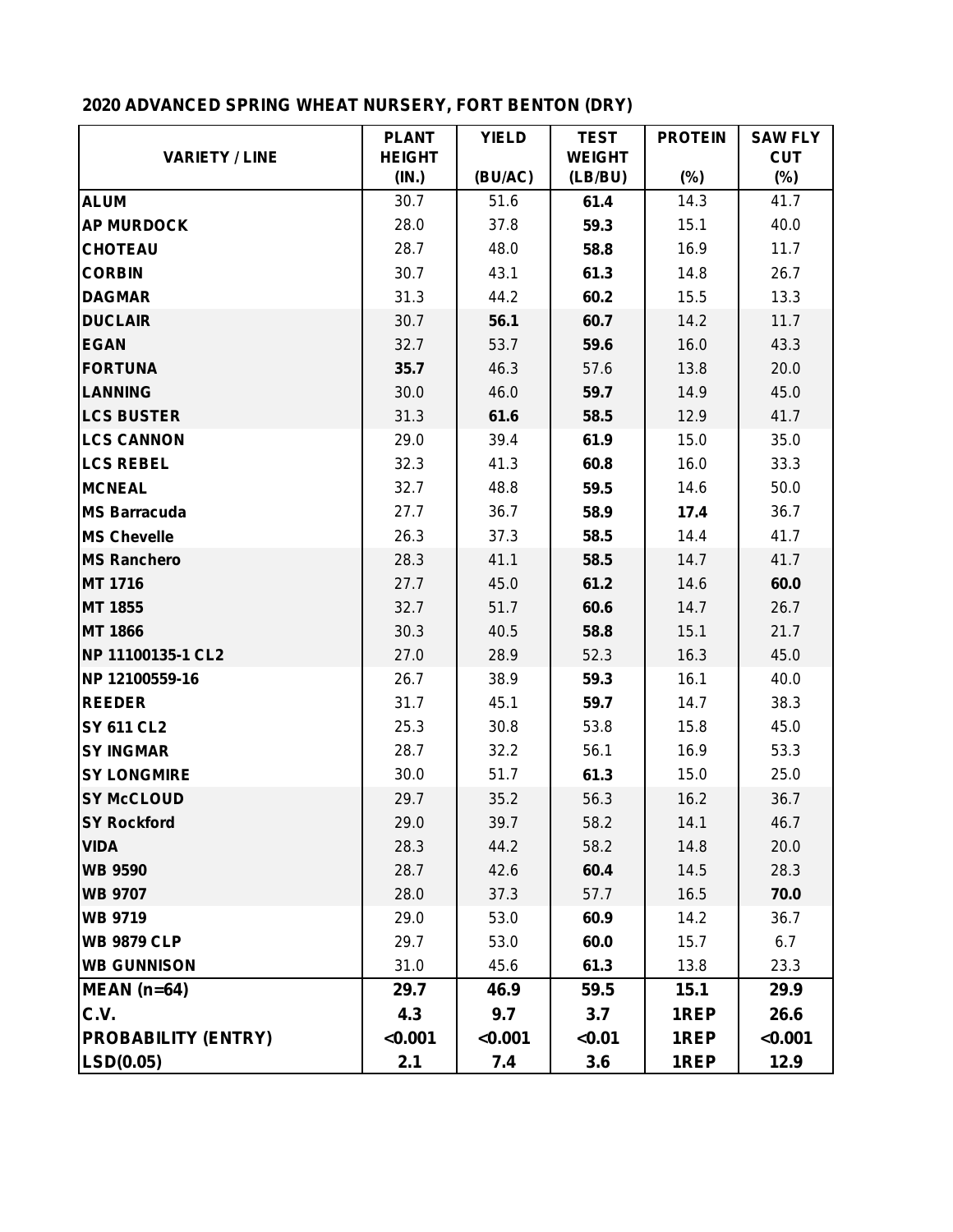# **2020 ADVANCED SPRING WHEAT NURSERY, FORT BENTON (DRY)**

|                            | <b>PLANT</b>           | <b>YIELD</b> | <b>TEST</b>              | <b>PROTEIN</b> | <b>SAW FLY</b>       |
|----------------------------|------------------------|--------------|--------------------------|----------------|----------------------|
| <b>VARIETY / LINE</b>      | <b>HEIGHT</b><br>(IN.) | (BU/AC)      | <b>WEIGHT</b><br>(LB/BU) | $(\%)$         | <b>CUT</b><br>$(\%)$ |
| <b>ALUM</b>                | 30.7                   | 51.6         | 61.4                     | 14.3           | 41.7                 |
| <b>AP MURDOCK</b>          | 28.0                   | 37.8         | 59.3                     | 15.1           | 40.0                 |
| <b>CHOTEAU</b>             | 28.7                   | 48.0         | 58.8                     | 16.9           | 11.7                 |
| <b>CORBIN</b>              | 30.7                   | 43.1         | 61.3                     | 14.8           | 26.7                 |
| <b>DAGMAR</b>              | 31.3                   | 44.2         | 60.2                     | 15.5           | 13.3                 |
| <b>DUCLAIR</b>             | 30.7                   | 56.1         | 60.7                     | 14.2           | 11.7                 |
| <b>EGAN</b>                | 32.7                   | 53.7         | 59.6                     | 16.0           | 43.3                 |
| <b>FORTUNA</b>             | 35.7                   | 46.3         | 57.6                     | 13.8           | 20.0                 |
| <b>LANNING</b>             | 30.0                   | 46.0         | 59.7                     | 14.9           | 45.0                 |
| <b>LCS BUSTER</b>          | 31.3                   | 61.6         | 58.5                     | 12.9           | 41.7                 |
| <b>LCS CANNON</b>          | 29.0                   | 39.4         | 61.9                     | 15.0           | 35.0                 |
| <b>LCS REBEL</b>           | 32.3                   | 41.3         | 60.8                     | 16.0           | 33.3                 |
| <b>MCNEAL</b>              | 32.7                   | 48.8         | 59.5                     | 14.6           | 50.0                 |
| <b>MS Barracuda</b>        | 27.7                   | 36.7         | 58.9                     | 17.4           | 36.7                 |
| <b>MS Chevelle</b>         | 26.3                   | 37.3         | 58.5                     | 14.4           | 41.7                 |
| <b>MS Ranchero</b>         | 28.3                   | 41.1         | 58.5                     | 14.7           | 41.7                 |
| <b>MT 1716</b>             | 27.7                   | 45.0         | 61.2                     | 14.6           | 60.0                 |
| <b>MT 1855</b>             | 32.7                   | 51.7         | 60.6                     | 14.7           | 26.7                 |
| <b>MT 1866</b>             | 30.3                   | 40.5         | 58.8                     | 15.1           | 21.7                 |
| NP 11100135-1 CL2          | 27.0                   | 28.9         | 52.3                     | 16.3           | 45.0                 |
| NP 12100559-16             | 26.7                   | 38.9         | 59.3                     | 16.1           | 40.0                 |
| <b>REEDER</b>              | 31.7                   | 45.1         | 59.7                     | 14.7           | 38.3                 |
| <b>SY 611 CL2</b>          | 25.3                   | 30.8         | 53.8                     | 15.8           | 45.0                 |
| <b>SY INGMAR</b>           | 28.7                   | 32.2         | 56.1                     | 16.9           | 53.3                 |
| <b>SY LONGMIRE</b>         | 30.0                   | 51.7         | 61.3                     | 15.0           | 25.0                 |
| <b>SY McCLOUD</b>          | 29.7                   | 35.2         | 56.3                     | 16.2           | 36.7                 |
| <b>SY Rockford</b>         | 29.0                   | 39.7         | 58.2                     | 14.1           | 46.7                 |
| <b>VIDA</b>                | 28.3                   | 44.2         | 58.2                     | 14.8           | 20.0                 |
| <b>WB 9590</b>             | 28.7                   | 42.6         | 60.4                     | 14.5           | 28.3                 |
| <b>WB 9707</b>             | 28.0                   | 37.3         | 57.7                     | 16.5           | 70.0                 |
| <b>WB 9719</b>             | 29.0                   | 53.0         | 60.9                     | 14.2           | 36.7                 |
| <b>WB 9879 CLP</b>         | 29.7                   | 53.0         | 60.0                     | 15.7           | 6.7                  |
| <b>WB GUNNISON</b>         | 31.0                   | 45.6         | 61.3                     | 13.8           | 23.3                 |
| $MEAN$ (n=64)              | 29.7                   | 46.9         | 59.5                     | 15.1           | 29.9                 |
| C.V.                       | 4.3                    | 9.7          | 3.7                      | 1REP           | 26.6                 |
| <b>PROBABILITY (ENTRY)</b> | < 0.001                | < 0.001      | < 0.01                   | 1REP           | < 0.001              |
| LSD(0.05)                  | 2.1                    | 7.4          | 3.6                      | 1REP           | 12.9                 |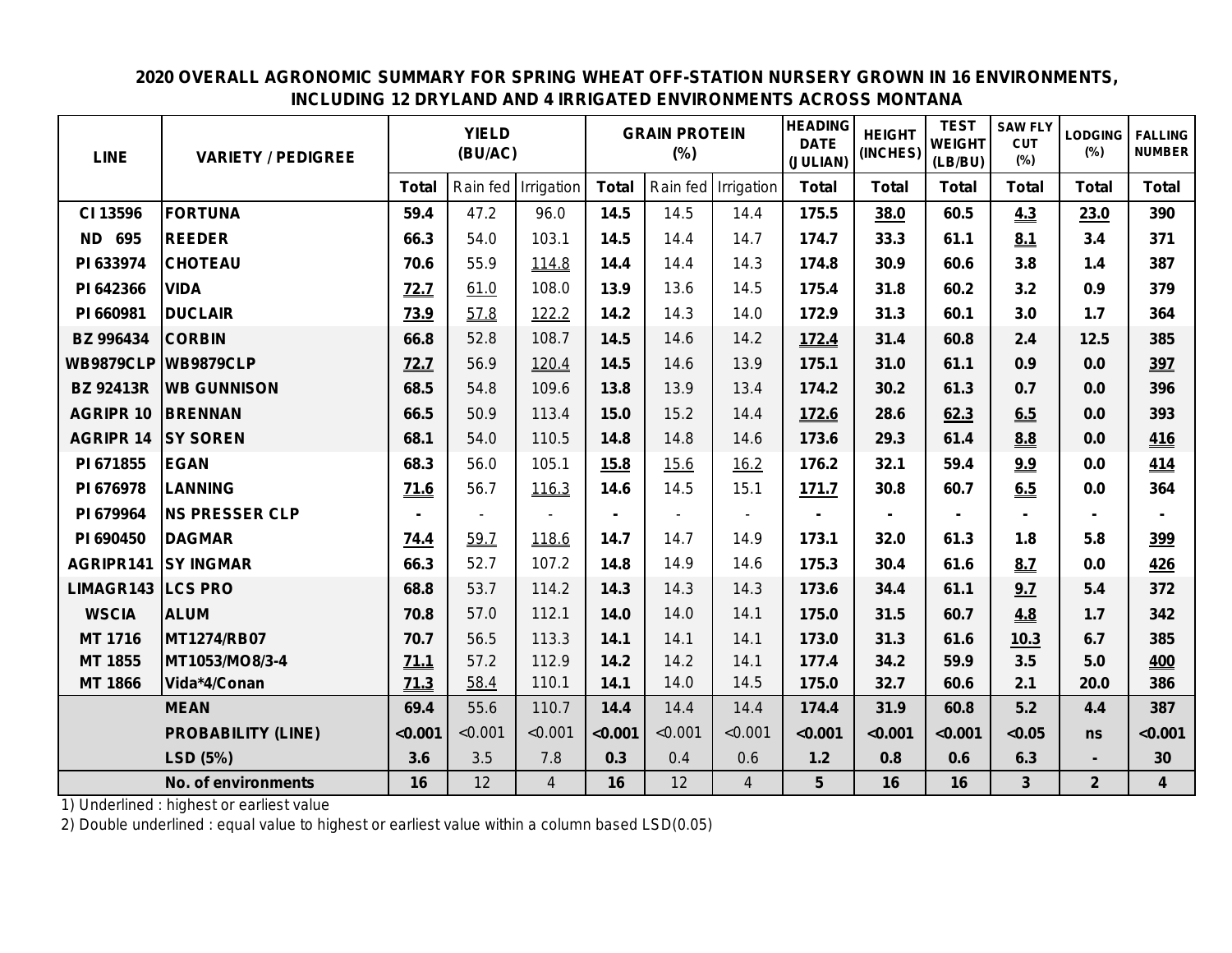## **2020 OVERALL AGRONOMIC SUMMARY FOR SPRING WHEAT OFF-STATION NURSERY GROWN IN 16 ENVIRONMENTS, INCLUDING 12 DRYLAND AND 4 IRRIGATED ENVIRONMENTS ACROSS MONTANA**

| <b>LINE</b>         | <b>VARIETY / PEDIGREE</b>  |              | <b>YIELD</b><br>(BU/AC) |                |              | <b>GRAIN PROTEIN</b><br>$(\%)$ |                     | <b>HEADING</b><br><b>DATE</b><br>(JULIAN) | <b>HEIGHT</b><br>(INCHES) | <b>TEST</b><br><b>WEIGHT</b><br>(LB/BU) | <b>SAW FLY</b><br><b>CUT</b><br>(%) | <b>LODGING</b><br>(%) | <b>FALLING</b><br><b>NUMBER</b> |
|---------------------|----------------------------|--------------|-------------------------|----------------|--------------|--------------------------------|---------------------|-------------------------------------------|---------------------------|-----------------------------------------|-------------------------------------|-----------------------|---------------------------------|
|                     |                            | <b>Total</b> | Rain fed                | Irrigation     | <b>Total</b> |                                | Rain fed Irrigation | <b>Total</b>                              | <b>Total</b>              | <b>Total</b>                            | <b>Total</b>                        | <b>Total</b>          | <b>Total</b>                    |
| CI 13596            | <b>FORTUNA</b>             | 59.4         | 47.2                    | 96.0           | 14.5         | 14.5                           | 14.4                | 175.5                                     | 38.0                      | 60.5                                    | 4.3                                 | 23.0                  | 390                             |
| <b>ND 695</b>       | <b>REEDER</b>              | 66.3         | 54.0                    | 103.1          | 14.5         | 14.4                           | 14.7                | 174.7                                     | 33.3                      | 61.1                                    | 8.1                                 | 3.4                   | 371                             |
| PI 633974           | <b>CHOTEAU</b>             | 70.6         | 55.9                    | 114.8          | 14.4         | 14.4                           | 14.3                | 174.8                                     | 30.9                      | 60.6                                    | 3.8                                 | 1.4                   | 387                             |
| PI 642366           | <b>VIDA</b>                | 72.7         | 61.0                    | 108.0          | 13.9         | 13.6                           | 14.5                | 175.4                                     | 31.8                      | 60.2                                    | 3.2                                 | 0.9                   | 379                             |
| PI 660981           | <b>DUCLAIR</b>             | <b>73.9</b>  | 57.8                    | 122.2          | 14.2         | 14.3                           | 14.0                | 172.9                                     | 31.3                      | 60.1                                    | 3.0                                 | 1.7                   | 364                             |
| <b>BZ 996434</b>    | <b>CORBIN</b>              | 66.8         | 52.8                    | 108.7          | 14.5         | 14.6                           | 14.2                | 172.4                                     | 31.4                      | 60.8                                    | 2.4                                 | 12.5                  | 385                             |
|                     | <b>WB9879CLP WB9879CLP</b> | 72.7         | 56.9                    | 120.4          | 14.5         | 14.6                           | 13.9                | 175.1                                     | 31.0                      | 61.1                                    | 0.9                                 | 0.0                   | 397                             |
| <b>BZ 92413R</b>    | <b>WB GUNNISON</b>         | 68.5         | 54.8                    | 109.6          | 13.8         | 13.9                           | 13.4                | 174.2                                     | 30.2                      | 61.3                                    | 0.7                                 | 0.0                   | 396                             |
| <b>AGRIPR 10</b>    | <b>BRENNAN</b>             | 66.5         | 50.9                    | 113.4          | 15.0         | 15.2                           | 14.4                | 172.6                                     | 28.6                      | 62.3                                    | 6.5                                 | 0.0                   | 393                             |
| <b>AGRIPR 14</b>    | <b>SY SOREN</b>            | 68.1         | 54.0                    | 110.5          | 14.8         | 14.8                           | 14.6                | 173.6                                     | 29.3                      | 61.4                                    | 8.8                                 | 0.0                   | <b>416</b>                      |
| PI 671855           | <b>EGAN</b>                | 68.3         | 56.0                    | 105.1          | 15.8         | 15.6                           | 16.2                | 176.2                                     | 32.1                      | 59.4                                    | 9.9                                 | 0.0                   | 414                             |
| PI 676978           | <b>LANNING</b>             | 71.6         | 56.7                    | 116.3          | 14.6         | 14.5                           | 15.1                | 171.7                                     | 30.8                      | 60.7                                    | 6.5                                 | 0.0                   | 364                             |
| PI 679964           | <b>NS PRESSER CLP</b>      |              |                         |                |              |                                |                     |                                           |                           |                                         |                                     |                       |                                 |
| PI 690450           | <b>DAGMAR</b>              | 74.4         | 59.7                    | 118.6          | 14.7         | 14.7                           | 14.9                | 173.1                                     | 32.0                      | 61.3                                    | 1.8                                 | 5.8                   | 399                             |
|                     | <b>AGRIPR141 SY INGMAR</b> | 66.3         | 52.7                    | 107.2          | 14.8         | 14.9                           | 14.6                | 175.3                                     | 30.4                      | 61.6                                    | 8.7                                 | 0.0                   | 426                             |
| LIMAGR143   LCS PRO |                            | 68.8         | 53.7                    | 114.2          | 14.3         | 14.3                           | 14.3                | 173.6                                     | 34.4                      | 61.1                                    | 9.7                                 | 5.4                   | 372                             |
| <b>WSCIA</b>        | <b>ALUM</b>                | 70.8         | 57.0                    | 112.1          | 14.0         | 14.0                           | 14.1                | 175.0                                     | 31.5                      | 60.7                                    | 4.8                                 | $1.7$                 | 342                             |
| <b>MT 1716</b>      | <b>MT1274/RB07</b>         | 70.7         | 56.5                    | 113.3          | 14.1         | 14.1                           | 14.1                | 173.0                                     | 31.3                      | 61.6                                    | 10.3                                | 6.7                   | 385                             |
| MT 1855             | MT1053/MO8/3-4             | 71.1         | 57.2                    | 112.9          | 14.2         | 14.2                           | 14.1                | 177.4                                     | 34.2                      | 59.9                                    | 3.5                                 | 5.0                   | 400                             |
| <b>MT 1866</b>      | Vida*4/Conan               | 71.3         | 58.4                    | 110.1          | 14.1         | 14.0                           | 14.5                | 175.0                                     | 32.7                      | 60.6                                    | 2.1                                 | 20.0                  | 386                             |
|                     | <b>MEAN</b>                | 69.4         | 55.6                    | 110.7          | 14.4         | 14.4                           | 14.4                | 174.4                                     | 31.9                      | 60.8                                    | 5.2                                 | 4.4                   | 387                             |
|                     | <b>PROBABILITY (LINE)</b>  | < 0.001      | < 0.001                 | < 0.001        | < 0.001      | < 0.001                        | < 0.001             | < 0.001                                   | < 0.001                   | < 0.001                                 | < 0.05                              | ns                    | < 0.001                         |
|                     | LSD (5%)                   | 3.6          | 3.5                     | 7.8            | 0.3          | 0.4                            | 0.6                 | $1.2$                                     | 0.8                       | 0.6                                     | 6.3                                 | $\blacksquare$        | 30                              |
|                     | <b>No. of environments</b> | 16           | 12                      | $\overline{4}$ | 16           | 12                             | $\overline{4}$      | 5                                         | 16                        | 16                                      | $\overline{3}$                      | $\overline{2}$        | $\overline{\mathbf{4}}$         |

1) Underlined : highest or earliest value

2) Double underlined : equal value to highest or earliest value within a column based LSD(0.05)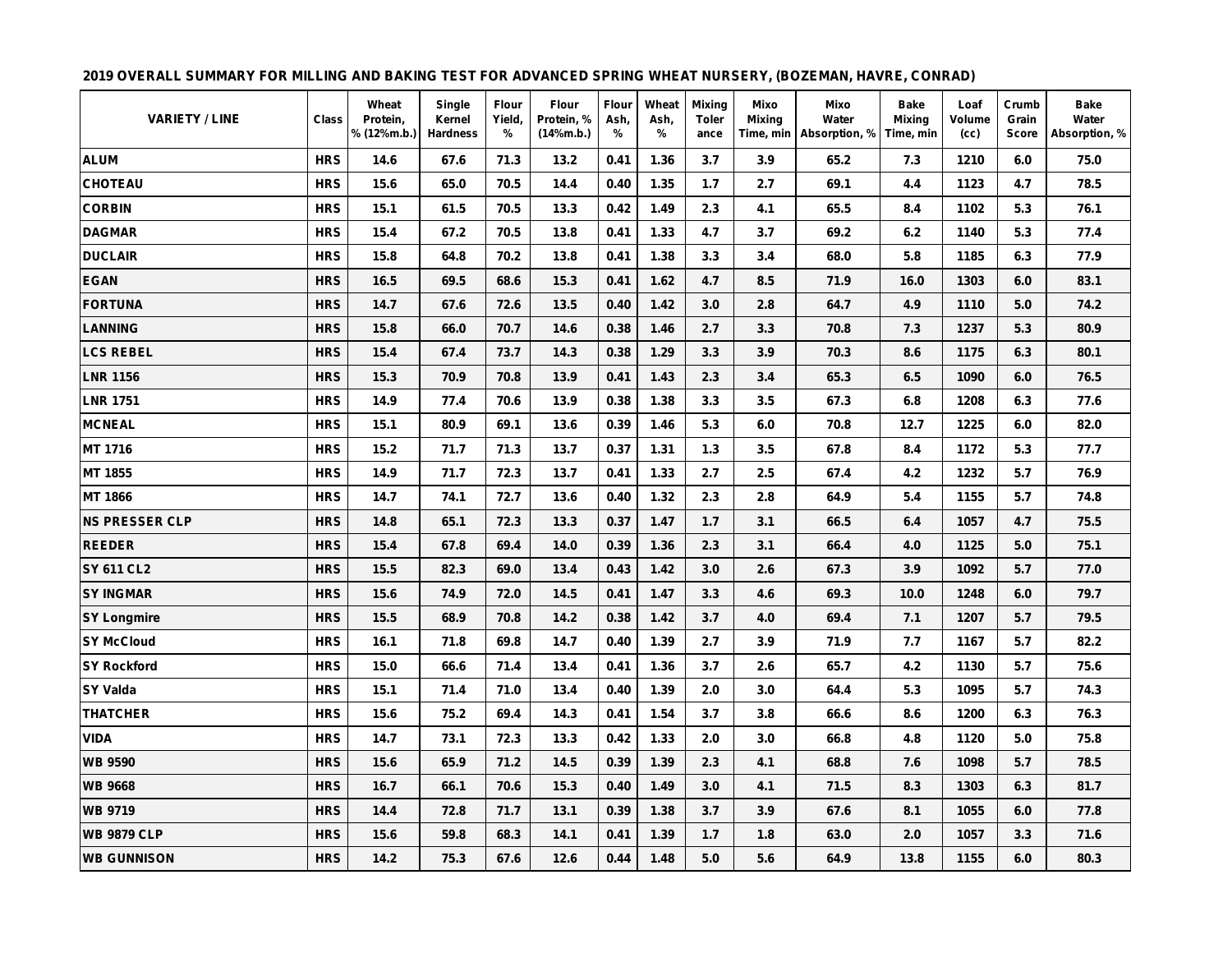#### **2019 OVERALL SUMMARY FOR MILLING AND BAKING TEST FOR ADVANCED SPRING WHEAT NURSERY, (BOZEMAN, HAVRE, CONRAD)**

| <b>VARIETY / LINE</b> | Class      | Wheat<br>Protein,<br>% (12%m.b.) | Single<br>Kernel<br><b>Hardness</b> | <b>Flour</b><br>Yield,<br>% | <b>Flour</b><br>Protein, %<br>(14%m.b.) | Flour<br>Ash,<br>% | Wheat<br>Ash,<br>% | <b>Mixing</b><br>Toler<br>ance | Mixo<br>Mixing | Mixo<br>Water<br>Time, min   Absorption, % | <b>Bake</b><br><b>Mixing</b><br>Time, min | Loaf<br>Volume<br>(cc) | Crumb<br>Grain<br><b>Score</b> | <b>Bake</b><br>Water<br>Absorption, % |
|-----------------------|------------|----------------------------------|-------------------------------------|-----------------------------|-----------------------------------------|--------------------|--------------------|--------------------------------|----------------|--------------------------------------------|-------------------------------------------|------------------------|--------------------------------|---------------------------------------|
| <b>ALUM</b>           | <b>HRS</b> | 14.6                             | 67.6                                | 71.3                        | 13.2                                    | 0.41               | 1.36               | 3.7                            | 3.9            | 65.2                                       | 7.3                                       | 1210                   | 6.0                            | 75.0                                  |
| <b>CHOTEAU</b>        | <b>HRS</b> | 15.6                             | 65.0                                | 70.5                        | 14.4                                    | 0.40               | 1.35               | 1.7                            | 2.7            | 69.1                                       | 4.4                                       | 1123                   | 4.7                            | 78.5                                  |
| <b>CORBIN</b>         | <b>HRS</b> | 15.1                             | 61.5                                | 70.5                        | 13.3                                    | 0.42               | 1.49               | 2.3                            | 4.1            | 65.5                                       | 8.4                                       | 1102                   | 5.3                            | 76.1                                  |
| <b>DAGMAR</b>         | <b>HRS</b> | 15.4                             | 67.2                                | 70.5                        | 13.8                                    | 0.41               | 1.33               | 4.7                            | 3.7            | 69.2                                       | 6.2                                       | 1140                   | 5.3                            | 77.4                                  |
| <b>DUCLAIR</b>        | <b>HRS</b> | 15.8                             | 64.8                                | 70.2                        | 13.8                                    | 0.41               | 1.38               | 3.3                            | 3.4            | 68.0                                       | 5.8                                       | 1185                   | 6.3                            | 77.9                                  |
| <b>EGAN</b>           | <b>HRS</b> | 16.5                             | 69.5                                | 68.6                        | 15.3                                    | 0.41               | 1.62               | 4.7                            | 8.5            | 71.9                                       | 16.0                                      | 1303                   | 6.0                            | 83.1                                  |
| <b>FORTUNA</b>        | <b>HRS</b> | 14.7                             | 67.6                                | 72.6                        | 13.5                                    | 0.40               | 1.42               | 3.0                            | 2.8            | 64.7                                       | 4.9                                       | 1110                   | 5.0                            | 74.2                                  |
| <b>LANNING</b>        | <b>HRS</b> | 15.8                             | 66.0                                | 70.7                        | 14.6                                    | 0.38               | 1.46               | 2.7                            | 3.3            | 70.8                                       | 7.3                                       | 1237                   | 5.3                            | 80.9                                  |
| <b>LCS REBEL</b>      | <b>HRS</b> | 15.4                             | 67.4                                | 73.7                        | 14.3                                    | 0.38               | 1.29               | 3.3                            | 3.9            | 70.3                                       | 8.6                                       | 1175                   | 6.3                            | 80.1                                  |
| <b>LNR 1156</b>       | <b>HRS</b> | 15.3                             | 70.9                                | 70.8                        | 13.9                                    | 0.41               | 1.43               | 2.3                            | 3.4            | 65.3                                       | 6.5                                       | 1090                   | 6.0                            | 76.5                                  |
| <b>LNR 1751</b>       | <b>HRS</b> | 14.9                             | 77.4                                | 70.6                        | 13.9                                    | 0.38               | 1.38               | 3.3                            | 3.5            | 67.3                                       | 6.8                                       | 1208                   | 6.3                            | 77.6                                  |
| <b>MCNEAL</b>         | <b>HRS</b> | 15.1                             | 80.9                                | 69.1                        | 13.6                                    | 0.39               | 1.46               | 5.3                            | 6.0            | 70.8                                       | 12.7                                      | 1225                   | 6.0                            | 82.0                                  |
| MT 1716               | <b>HRS</b> | 15.2                             | 71.7                                | 71.3                        | 13.7                                    | 0.37               | 1.31               | $1.3$                          | 3.5            | 67.8                                       | 8.4                                       | 1172                   | 5.3                            | 77.7                                  |
| MT 1855               | <b>HRS</b> | 14.9                             | 71.7                                | 72.3                        | 13.7                                    | 0.41               | 1.33               | 2.7                            | 2.5            | 67.4                                       | 4.2                                       | 1232                   | 5.7                            | 76.9                                  |
| MT 1866               | <b>HRS</b> | 14.7                             | 74.1                                | 72.7                        | 13.6                                    | 0.40               | 1.32               | 2.3                            | 2.8            | 64.9                                       | 5.4                                       | 1155                   | 5.7                            | 74.8                                  |
| <b>NS PRESSER CLP</b> | <b>HRS</b> | 14.8                             | 65.1                                | 72.3                        | 13.3                                    | 0.37               | 1.47               | 1.7                            | 3.1            | 66.5                                       | 6.4                                       | 1057                   | 4.7                            | 75.5                                  |
| <b>REEDER</b>         | <b>HRS</b> | 15.4                             | 67.8                                | 69.4                        | 14.0                                    | 0.39               | 1.36               | 2.3                            | 3.1            | 66.4                                       | 4.0                                       | 1125                   | 5.0                            | 75.1                                  |
| <b>SY 611 CL2</b>     | <b>HRS</b> | 15.5                             | 82.3                                | 69.0                        | 13.4                                    | 0.43               | 1.42               | 3.0                            | 2.6            | 67.3                                       | 3.9                                       | 1092                   | 5.7                            | 77.0                                  |
| <b>SY INGMAR</b>      | <b>HRS</b> | 15.6                             | 74.9                                | 72.0                        | 14.5                                    | 0.41               | 1.47               | 3.3                            | 4.6            | 69.3                                       | 10.0                                      | 1248                   | 6.0                            | 79.7                                  |
| <b>SY Longmire</b>    | <b>HRS</b> | 15.5                             | 68.9                                | 70.8                        | 14.2                                    | 0.38               | 1.42               | 3.7                            | 4.0            | 69.4                                       | 7.1                                       | 1207                   | 5.7                            | 79.5                                  |
| <b>SY McCloud</b>     | <b>HRS</b> | 16.1                             | 71.8                                | 69.8                        | 14.7                                    | 0.40               | 1.39               | 2.7                            | 3.9            | 71.9                                       | 7.7                                       | 1167                   | 5.7                            | 82.2                                  |
| <b>SY Rockford</b>    | <b>HRS</b> | 15.0                             | 66.6                                | 71.4                        | 13.4                                    | 0.41               | 1.36               | 3.7                            | 2.6            | 65.7                                       | 4.2                                       | 1130                   | 5.7                            | 75.6                                  |
| <b>SY Valda</b>       | <b>HRS</b> | 15.1                             | 71.4                                | 71.0                        | 13.4                                    | 0.40               | 1.39               | 2.0                            | 3.0            | 64.4                                       | 5.3                                       | 1095                   | 5.7                            | 74.3                                  |
| <b>THATCHER</b>       | <b>HRS</b> | 15.6                             | 75.2                                | 69.4                        | 14.3                                    | 0.41               | 1.54               | 3.7                            | 3.8            | 66.6                                       | 8.6                                       | 1200                   | 6.3                            | 76.3                                  |
| <b>VIDA</b>           | <b>HRS</b> | 14.7                             | 73.1                                | 72.3                        | 13.3                                    | 0.42               | 1.33               | 2.0                            | 3.0            | 66.8                                       | 4.8                                       | 1120                   | 5.0                            | 75.8                                  |
| <b>WB 9590</b>        | <b>HRS</b> | 15.6                             | 65.9                                | 71.2                        | 14.5                                    | 0.39               | 1.39               | 2.3                            | 4.1            | 68.8                                       | 7.6                                       | 1098                   | 5.7                            | 78.5                                  |
| <b>WB 9668</b>        | <b>HRS</b> | 16.7                             | 66.1                                | 70.6                        | 15.3                                    | 0.40               | 1.49               | 3.0                            | 4.1            | 71.5                                       | 8.3                                       | 1303                   | 6.3                            | 81.7                                  |
| <b>WB 9719</b>        | <b>HRS</b> | 14.4                             | 72.8                                | 71.7                        | 13.1                                    | 0.39               | 1.38               | 3.7                            | 3.9            | 67.6                                       | 8.1                                       | 1055                   | 6.0                            | 77.8                                  |
| <b>WB 9879 CLP</b>    | <b>HRS</b> | 15.6                             | 59.8                                | 68.3                        | 14.1                                    | 0.41               | 1.39               | 1.7                            | 1.8            | 63.0                                       | 2.0                                       | 1057                   | 3.3                            | 71.6                                  |
| <b>WB GUNNISON</b>    | <b>HRS</b> | 14.2                             | 75.3                                | 67.6                        | 12.6                                    | 0.44               | 1.48               | 5.0                            | 5.6            | 64.9                                       | 13.8                                      | 1155                   | 6.0                            | 80.3                                  |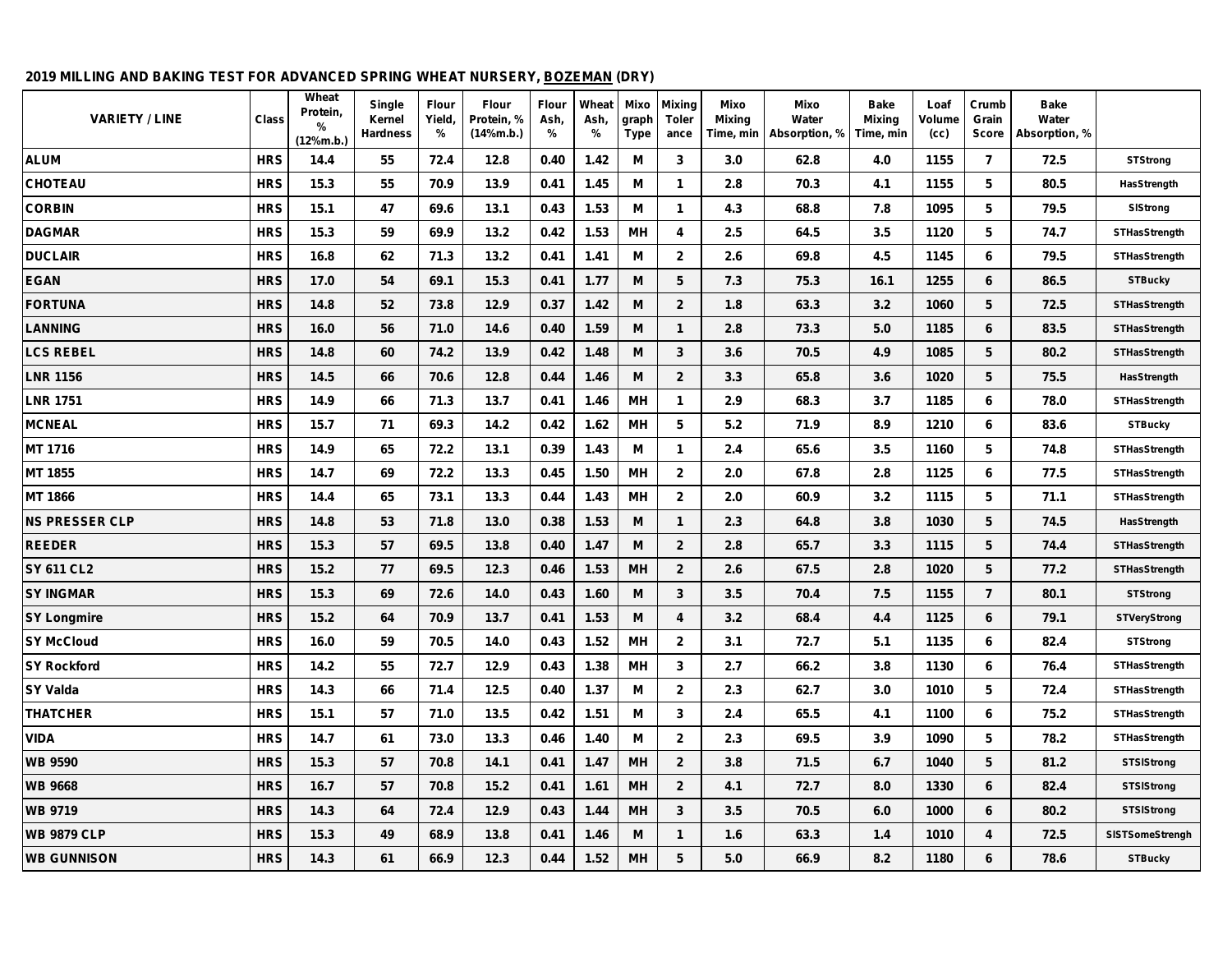#### **2019 MILLING AND BAKING TEST FOR ADVANCED SPRING WHEAT NURSERY, BOZEMAN (DRY)**

| <b>VARIETY / LINE</b> | <b>Class</b> | Wheat<br>Protein,<br>℅<br>(12%m.b. | Single<br>Kernel<br><b>Hardness</b> | <b>Flour</b><br>Yield,<br>% | <b>Flour</b><br>Protein, %<br>(14%m.b.) | Flour<br>Ash,<br>% | Wheat<br>Ash,<br>% | Mixo<br>graph<br><b>Type</b> | <b>Mixing</b><br><b>Toler</b><br>ance | Mixo<br><b>Mixing</b><br>Time, min | Mixo<br>Water<br>Absorption, % | <b>Bake</b><br><b>Mixing</b><br>Time, min | Loaf<br>Volume<br>(cc) | Crumb<br>Grain<br>Score | <b>Bake</b><br>Water<br>Absorption, % |                        |
|-----------------------|--------------|------------------------------------|-------------------------------------|-----------------------------|-----------------------------------------|--------------------|--------------------|------------------------------|---------------------------------------|------------------------------------|--------------------------------|-------------------------------------------|------------------------|-------------------------|---------------------------------------|------------------------|
| <b>ALUM</b>           | <b>HRS</b>   | 14.4                               | 55                                  | 72.4                        | 12.8                                    | 0.40               | 1.42               | М                            | 3                                     | 3.0                                | 62.8                           | 4.0                                       | 1155                   | $\overline{7}$          | 72.5                                  | <b>STStrong</b>        |
| <b>CHOTEAU</b>        | <b>HRS</b>   | 15.3                               | 55                                  | 70.9                        | 13.9                                    | 0.41               | 1.45               | м                            | 1                                     | 2.8                                | 70.3                           | 4.1                                       | 1155                   | 5                       | 80.5                                  | HasStrength            |
| <b>CORBIN</b>         | <b>HRS</b>   | 15.1                               | 47                                  | 69.6                        | 13.1                                    | 0.43               | 1.53               | M                            | 1                                     | 4.3                                | 68.8                           | 7.8                                       | 1095                   | 5                       | 79.5                                  | SIStrong               |
| <b>DAGMAR</b>         | <b>HRS</b>   | 15.3                               | 59                                  | 69.9                        | 13.2                                    | 0.42               | 1.53               | MH                           | 4                                     | 2.5                                | 64.5                           | 3.5                                       | 1120                   | 5                       | 74.7                                  | <b>STHasStrength</b>   |
| <b>DUCLAIR</b>        | <b>HRS</b>   | 16.8                               | 62                                  | 71.3                        | 13.2                                    | 0.41               | 1.41               | М                            | $\mathbf{2}$                          | 2.6                                | 69.8                           | 4.5                                       | 1145                   | 6                       | 79.5                                  | <b>STHasStrength</b>   |
| <b>EGAN</b>           | <b>HRS</b>   | 17.0                               | 54                                  | 69.1                        | 15.3                                    | 0.41               | 1.77               | M                            | 5                                     | 7.3                                | 75.3                           | 16.1                                      | 1255                   | 6                       | 86.5                                  | <b>STBucky</b>         |
| <b>FORTUNA</b>        | <b>HRS</b>   | 14.8                               | 52                                  | 73.8                        | 12.9                                    | 0.37               | 1.42               | M                            | $\overline{2}$                        | 1.8                                | 63.3                           | 3.2                                       | 1060                   | 5                       | 72.5                                  | <b>STHasStrength</b>   |
| <b>LANNING</b>        | <b>HRS</b>   | 16.0                               | 56                                  | 71.0                        | 14.6                                    | 0.40               | 1.59               | M                            | $\mathbf{1}$                          | 2.8                                | 73.3                           | 5.0                                       | 1185                   | 6                       | 83.5                                  | <b>STHasStrength</b>   |
| <b>LCS REBEL</b>      | <b>HRS</b>   | 14.8                               | 60                                  | 74.2                        | 13.9                                    | 0.42               | 1.48               | м                            | 3                                     | 3.6                                | 70.5                           | 4.9                                       | 1085                   | 5                       | 80.2                                  | <b>STHasStrength</b>   |
| <b>LNR 1156</b>       | <b>HRS</b>   | 14.5                               | 66                                  | 70.6                        | 12.8                                    | 0.44               | 1.46               | M                            | $\mathbf{2}$                          | 3.3                                | 65.8                           | 3.6                                       | 1020                   | 5                       | 75.5                                  | HasStrength            |
| <b>LNR 1751</b>       | <b>HRS</b>   | 14.9                               | 66                                  | 71.3                        | 13.7                                    | 0.41               | 1.46               | MН                           | 1                                     | 2.9                                | 68.3                           | 3.7                                       | 1185                   | 6                       | 78.0                                  | <b>STHasStrength</b>   |
| <b>MCNEAL</b>         | <b>HRS</b>   | 15.7                               | 71                                  | 69.3                        | 14.2                                    | 0.42               | 1.62               | MH                           | 5                                     | 5.2                                | 71.9                           | 8.9                                       | 1210                   | 6                       | 83.6                                  | <b>STBucky</b>         |
| MT 1716               | <b>HRS</b>   | 14.9                               | 65                                  | 72.2                        | 13.1                                    | 0.39               | 1.43               | M                            | 1                                     | 2.4                                | 65.6                           | 3.5                                       | 1160                   | 5                       | 74.8                                  | <b>STHasStrength</b>   |
| <b>MT1855</b>         | <b>HRS</b>   | 14.7                               | 69                                  | 72.2                        | 13.3                                    | 0.45               | 1.50               | <b>MH</b>                    | $\mathbf 2$                           | 2.0                                | 67.8                           | 2.8                                       | 1125                   | 6                       | 77.5                                  | <b>STHasStrength</b>   |
| MT 1866               | <b>HRS</b>   | 14.4                               | 65                                  | 73.1                        | 13.3                                    | 0.44               | 1.43               | MH                           | $\mathbf{2}$                          | 2.0                                | 60.9                           | 3.2                                       | 1115                   | 5                       | 71.1                                  | <b>STHasStrength</b>   |
| <b>NS PRESSER CLP</b> | <b>HRS</b>   | 14.8                               | 53                                  | 71.8                        | 13.0                                    | 0.38               | 1.53               | M                            | 1                                     | 2.3                                | 64.8                           | 3.8                                       | 1030                   | 5                       | 74.5                                  | HasStrength            |
| <b>REEDER</b>         | <b>HRS</b>   | 15.3                               | 57                                  | 69.5                        | 13.8                                    | 0.40               | 1.47               | м                            | $\overline{2}$                        | 2.8                                | 65.7                           | 3.3                                       | 1115                   | 5                       | 74.4                                  | <b>STHasStrength</b>   |
| <b>SY 611 CL2</b>     | <b>HRS</b>   | 15.2                               | 77                                  | 69.5                        | 12.3                                    | 0.46               | 1.53               | <b>MH</b>                    | $\mathbf{2}$                          | 2.6                                | 67.5                           | 2.8                                       | 1020                   | 5                       | 77.2                                  | <b>STHasStrength</b>   |
| <b>SY INGMAR</b>      | <b>HRS</b>   | 15.3                               | 69                                  | 72.6                        | 14.0                                    | 0.43               | 1.60               | M                            | 3                                     | 3.5                                | 70.4                           | 7.5                                       | 1155                   | $\overline{7}$          | 80.1                                  | <b>STStrong</b>        |
| <b>SY Longmire</b>    | <b>HRS</b>   | 15.2                               | 64                                  | 70.9                        | 13.7                                    | 0.41               | 1.53               | M                            | 4                                     | 3.2                                | 68.4                           | 4.4                                       | 1125                   | 6                       | 79.1                                  | <b>STVeryStrong</b>    |
| <b>SY McCloud</b>     | <b>HRS</b>   | 16.0                               | 59                                  | 70.5                        | 14.0                                    | 0.43               | 1.52               | MH                           | $\mathbf{2}$                          | 3.1                                | 72.7                           | 5.1                                       | 1135                   | 6                       | 82.4                                  | <b>STStrong</b>        |
| <b>SY Rockford</b>    | <b>HRS</b>   | 14.2                               | 55                                  | 72.7                        | 12.9                                    | 0.43               | 1.38               | MH                           | 3                                     | 2.7                                | 66.2                           | 3.8                                       | 1130                   | 6                       | 76.4                                  | <b>STHasStrength</b>   |
| <b>SY Valda</b>       | <b>HRS</b>   | 14.3                               | 66                                  | 71.4                        | 12.5                                    | 0.40               | 1.37               | M                            | $\mathbf{2}$                          | 2.3                                | 62.7                           | 3.0                                       | 1010                   | 5                       | 72.4                                  | <b>STHasStrength</b>   |
| <b>THATCHER</b>       | <b>HRS</b>   | 15.1                               | 57                                  | 71.0                        | 13.5                                    | 0.42               | 1.51               | M                            | 3                                     | 2.4                                | 65.5                           | 4.1                                       | 1100                   | 6                       | 75.2                                  | <b>STHasStrength</b>   |
| <b>VIDA</b>           | <b>HRS</b>   | 14.7                               | 61                                  | 73.0                        | 13.3                                    | 0.46               | 1.40               | M                            | $\mathbf{2}$                          | 2.3                                | 69.5                           | 3.9                                       | 1090                   | 5                       | 78.2                                  | <b>STHasStrength</b>   |
| <b>WB 9590</b>        | <b>HRS</b>   | 15.3                               | 57                                  | 70.8                        | 14.1                                    | 0.41               | 1.47               | MН                           | $\mathbf{2}$                          | 3.8                                | 71.5                           | 6.7                                       | 1040                   | 5                       | 81.2                                  | <b>STSIStrong</b>      |
| <b>WB 9668</b>        | <b>HRS</b>   | 16.7                               | 57                                  | 70.8                        | 15.2                                    | 0.41               | 1.61               | <b>MH</b>                    | $\overline{2}$                        | 4.1                                | 72.7                           | 8.0                                       | 1330                   | 6                       | 82.4                                  | <b>STSIStrong</b>      |
| <b>WB 9719</b>        | <b>HRS</b>   | 14.3                               | 64                                  | 72.4                        | 12.9                                    | 0.43               | 1.44               | <b>MH</b>                    | 3                                     | 3.5                                | 70.5                           | 6.0                                       | 1000                   | 6                       | 80.2                                  | <b>STSIStrong</b>      |
| <b>WB 9879 CLP</b>    | <b>HRS</b>   | 15.3                               | 49                                  | 68.9                        | 13.8                                    | 0.41               | 1.46               | M                            | 1                                     | 1.6                                | 63.3                           | 1.4                                       | 1010                   | 4                       | 72.5                                  | <b>SISTSomeStrengh</b> |
| <b>WB GUNNISON</b>    | <b>HRS</b>   | 14.3                               | 61                                  | 66.9                        | 12.3                                    | 0.44               | 1.52               | MН                           | 5                                     | 5.0                                | 66.9                           | 8.2                                       | 1180                   | 6                       | 78.6                                  | <b>STBucky</b>         |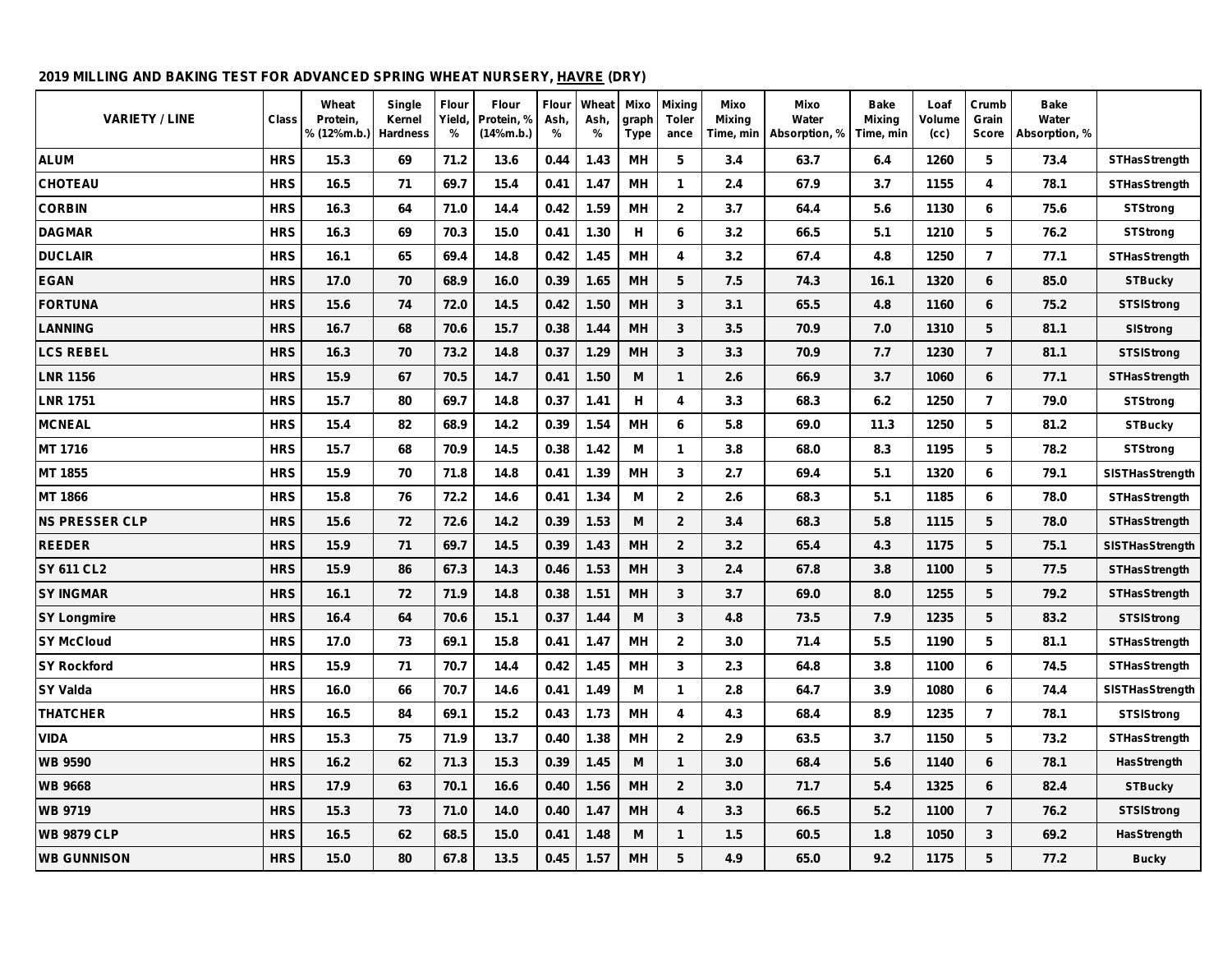#### **2019 MILLING AND BAKING TEST FOR ADVANCED SPRING WHEAT NURSERY, HAVRE (DRY)**

| <b>VARIETY / LINE</b> | Class      | Wheat<br>Protein,<br>% (12%m.b.) | Single<br>Kernel<br><b>Hardness</b> | Flour<br>Yield,<br>% | Flour<br>Protein, %<br>(14%m.b.) | Flour<br>Ash,<br>$\frac{9}{6}$ | Wheat<br>Ash,<br>$\%$ | Mixo<br>graph<br><b>Type</b> | <b>Mixing</b><br><b>Toler</b><br>ance | Mixo<br><b>Mixing</b><br>Time, min | Mixo<br>Water<br>Absorption, % | <b>Bake</b><br><b>Mixing</b><br>Time, min | Loaf<br>Volume<br>(cc) | Crumb<br>Grain<br>Score | <b>Bake</b><br>Water<br>Absorption, % |                        |
|-----------------------|------------|----------------------------------|-------------------------------------|----------------------|----------------------------------|--------------------------------|-----------------------|------------------------------|---------------------------------------|------------------------------------|--------------------------------|-------------------------------------------|------------------------|-------------------------|---------------------------------------|------------------------|
| <b>ALUM</b>           | <b>HRS</b> | 15.3                             | 69                                  | 71.2                 | 13.6                             | 0.44                           | 1.43                  | <b>MH</b>                    | 5                                     | 3.4                                | 63.7                           | 6.4                                       | 1260                   | 5                       | 73.4                                  | <b>STHasStrength</b>   |
| <b>CHOTEAU</b>        | <b>HRS</b> | 16.5                             | 71                                  | 69.7                 | 15.4                             | 0.41                           | 1.47                  | MН                           | $\mathbf{1}$                          | 2.4                                | 67.9                           | 3.7                                       | 1155                   | 4                       | 78.1                                  | <b>STHasStrength</b>   |
| <b>CORBIN</b>         | <b>HRS</b> | 16.3                             | 64                                  | 71.0                 | 14.4                             | 0.42                           | 1.59                  | MН                           | $\overline{2}$                        | 3.7                                | 64.4                           | 5.6                                       | 1130                   | 6                       | 75.6                                  | <b>STStrong</b>        |
| <b>DAGMAR</b>         | <b>HRS</b> | 16.3                             | 69                                  | 70.3                 | 15.0                             | 0.41                           | 1.30                  | н                            | 6                                     | 3.2                                | 66.5                           | 5.1                                       | 1210                   | 5                       | 76.2                                  | <b>STStrong</b>        |
| <b>DUCLAIR</b>        | <b>HRS</b> | 16.1                             | 65                                  | 69.4                 | 14.8                             | 0.42                           | 1.45                  | MН                           | 4                                     | 3.2                                | 67.4                           | 4.8                                       | 1250                   | $\overline{7}$          | 77.1                                  | <b>STHasStrength</b>   |
| <b>EGAN</b>           | <b>HRS</b> | 17.0                             | 70                                  | 68.9                 | 16.0                             | 0.39                           | 1.65                  | <b>MH</b>                    | 5                                     | 7.5                                | 74.3                           | 16.1                                      | 1320                   | 6                       | 85.0                                  | <b>STBucky</b>         |
| <b>FORTUNA</b>        | <b>HRS</b> | 15.6                             | 74                                  | 72.0                 | 14.5                             | 0.42                           | 1.50                  | MH                           | 3                                     | 3.1                                | 65.5                           | 4.8                                       | 1160                   | 6                       | 75.2                                  | <b>STSIStrong</b>      |
| <b>LANNING</b>        | <b>HRS</b> | 16.7                             | 68                                  | 70.6                 | 15.7                             | 0.38                           | 1.44                  | <b>MH</b>                    | 3                                     | 3.5                                | 70.9                           | 7.0                                       | 1310                   | 5                       | 81.1                                  | SIStrong               |
| <b>LCS REBEL</b>      | <b>HRS</b> | 16.3                             | 70                                  | 73.2                 | 14.8                             | 0.37                           | 1.29                  | <b>MH</b>                    | $\mathbf{3}$                          | 3.3                                | 70.9                           | 7.7                                       | 1230                   | $\overline{7}$          | 81.1                                  | <b>STSIStrong</b>      |
| <b>LNR 1156</b>       | <b>HRS</b> | 15.9                             | 67                                  | 70.5                 | 14.7                             | 0.41                           | 1.50                  | M                            | $\mathbf 1$                           | 2.6                                | 66.9                           | 3.7                                       | 1060                   | 6                       | 77.1                                  | <b>STHasStrength</b>   |
| <b>LNR 1751</b>       | <b>HRS</b> | 15.7                             | 80                                  | 69.7                 | 14.8                             | 0.37                           | 1.41                  | н                            | 4                                     | 3.3                                | 68.3                           | 6.2                                       | 1250                   | $\overline{7}$          | 79.0                                  | <b>STStrong</b>        |
| <b>MCNEAL</b>         | <b>HRS</b> | 15.4                             | 82                                  | 68.9                 | 14.2                             | 0.39                           | 1.54                  | <b>MH</b>                    | 6                                     | 5.8                                | 69.0                           | 11.3                                      | 1250                   | 5                       | 81.2                                  | <b>STBucky</b>         |
| MT 1716               | <b>HRS</b> | 15.7                             | 68                                  | 70.9                 | 14.5                             | 0.38                           | 1.42                  | M                            | $\mathbf{1}$                          | 3.8                                | 68.0                           | 8.3                                       | 1195                   | 5                       | 78.2                                  | <b>STStrong</b>        |
| MT 1855               | <b>HRS</b> | 15.9                             | 70                                  | 71.8                 | 14.8                             | 0.41                           | 1.39                  | <b>MH</b>                    | 3                                     | 2.7                                | 69.4                           | 5.1                                       | 1320                   | 6                       | 79.1                                  | <b>SISTHasStrength</b> |
| MT 1866               | <b>HRS</b> | 15.8                             | 76                                  | 72.2                 | 14.6                             | 0.41                           | 1.34                  | M                            | $\overline{2}$                        | 2.6                                | 68.3                           | 5.1                                       | 1185                   | 6                       | 78.0                                  | <b>STHasStrength</b>   |
| <b>NS PRESSER CLP</b> | <b>HRS</b> | 15.6                             | 72                                  | 72.6                 | 14.2                             | 0.39                           | 1.53                  | M                            | $\overline{2}$                        | 3.4                                | 68.3                           | 5.8                                       | 1115                   | 5                       | 78.0                                  | <b>STHasStrength</b>   |
| <b>REEDER</b>         | <b>HRS</b> | 15.9                             | 71                                  | 69.7                 | 14.5                             | 0.39                           | 1.43                  | MH                           | $\overline{2}$                        | 3.2                                | 65.4                           | 4.3                                       | 1175                   | 5                       | 75.1                                  | <b>SISTHasStrength</b> |
| <b>SY 611 CL2</b>     | <b>HRS</b> | 15.9                             | 86                                  | 67.3                 | 14.3                             | 0.46                           | 1.53                  | <b>MH</b>                    | 3                                     | 2.4                                | 67.8                           | 3.8                                       | 1100                   | 5                       | 77.5                                  | <b>STHasStrength</b>   |
| <b>SY INGMAR</b>      | <b>HRS</b> | 16.1                             | 72                                  | 71.9                 | 14.8                             | 0.38                           | 1.51                  | MH                           | 3                                     | 3.7                                | 69.0                           | 8.0                                       | 1255                   | $5\phantom{.0}$         | 79.2                                  | <b>STHasStrength</b>   |
| <b>SY Longmire</b>    | <b>HRS</b> | 16.4                             | 64                                  | 70.6                 | 15.1                             | 0.37                           | 1.44                  | M                            | 3                                     | 4.8                                | 73.5                           | 7.9                                       | 1235                   | 5                       | 83.2                                  | <b>STSIStrong</b>      |
| <b>SY McCloud</b>     | <b>HRS</b> | 17.0                             | 73                                  | 69.1                 | 15.8                             | 0.41                           | 1.47                  | MН                           | $\mathbf{2}$                          | 3.0                                | 71.4                           | 5.5                                       | 1190                   | 5                       | 81.1                                  | <b>STHasStrength</b>   |
| <b>SY Rockford</b>    | <b>HRS</b> | 15.9                             | 71                                  | 70.7                 | 14.4                             | 0.42                           | 1.45                  | <b>MH</b>                    | 3                                     | 2.3                                | 64.8                           | 3.8                                       | 1100                   | 6                       | 74.5                                  | <b>STHasStrength</b>   |
| SY Valda              | <b>HRS</b> | 16.0                             | 66                                  | 70.7                 | 14.6                             | 0.41                           | 1.49                  | M                            | 1                                     | 2.8                                | 64.7                           | 3.9                                       | 1080                   | 6                       | 74.4                                  | <b>SISTHasStrength</b> |
| <b>THATCHER</b>       | <b>HRS</b> | 16.5                             | 84                                  | 69.1                 | 15.2                             | 0.43                           | 1.73                  | MН                           | 4                                     | 4.3                                | 68.4                           | 8.9                                       | 1235                   | $\overline{7}$          | 78.1                                  | <b>STSIStrong</b>      |
| <b>VIDA</b>           | <b>HRS</b> | 15.3                             | 75                                  | 71.9                 | 13.7                             | 0.40                           | 1.38                  | MН                           | $\overline{2}$                        | 2.9                                | 63.5                           | 3.7                                       | 1150                   | 5                       | 73.2                                  | <b>STHasStrength</b>   |
| <b>WB 9590</b>        | <b>HRS</b> | 16.2                             | 62                                  | 71.3                 | 15.3                             | 0.39                           | 1.45                  | M                            | $\mathbf{1}$                          | 3.0                                | 68.4                           | 5.6                                       | 1140                   | 6                       | 78.1                                  | <b>HasStrength</b>     |
| <b>WB 9668</b>        | <b>HRS</b> | 17.9                             | 63                                  | 70.1                 | 16.6                             | 0.40                           | 1.56                  | <b>MH</b>                    | $\overline{2}$                        | 3.0                                | 71.7                           | 5.4                                       | 1325                   | 6                       | 82.4                                  | <b>STBucky</b>         |
| <b>WB 9719</b>        | <b>HRS</b> | 15.3                             | 73                                  | 71.0                 | 14.0                             | 0.40                           | 1.47                  | <b>MH</b>                    | 4                                     | 3.3                                | 66.5                           | 5.2                                       | 1100                   | $\overline{7}$          | 76.2                                  | <b>STSIStrong</b>      |
| <b>WB 9879 CLP</b>    | <b>HRS</b> | 16.5                             | 62                                  | 68.5                 | 15.0                             | 0.41                           | 1.48                  | M                            | $\mathbf{1}$                          | 1.5                                | 60.5                           | 1.8                                       | 1050                   | 3                       | 69.2                                  | HasStrength            |
| <b>WB GUNNISON</b>    | <b>HRS</b> | 15.0                             | 80                                  | 67.8                 | 13.5                             | 0.45                           | 1.57                  | MH                           | 5                                     | 4.9                                | 65.0                           | 9.2                                       | 1175                   | 5                       | 77.2                                  | <b>Bucky</b>           |